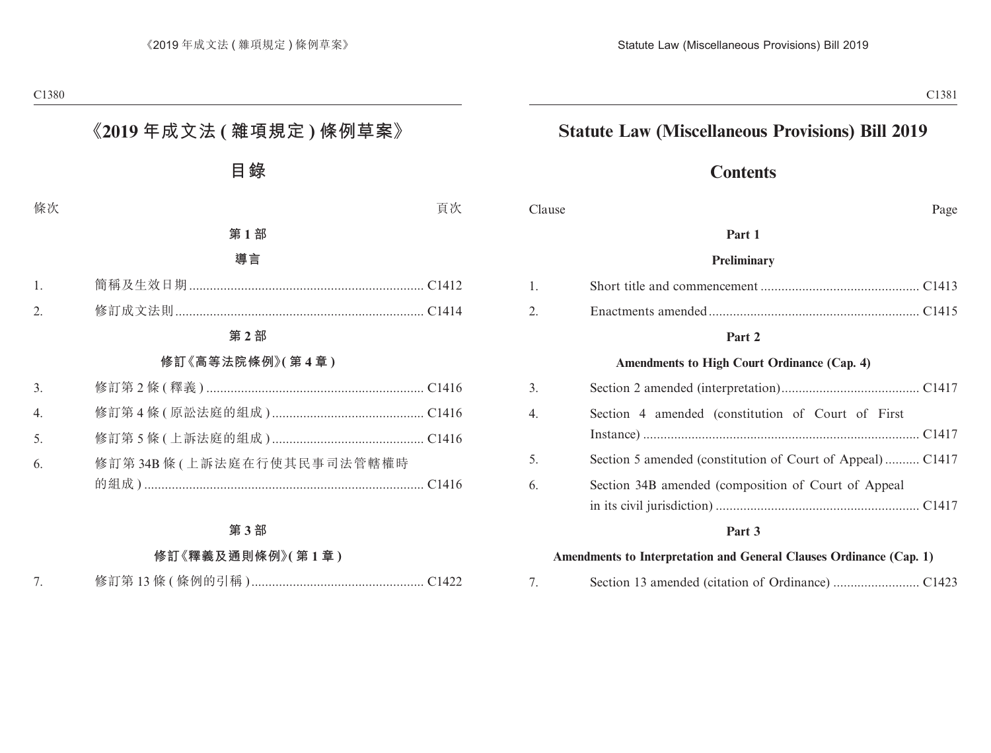## **Statute Law (Miscellaneous Provisions) Bill 2019**

## **Contents**

Clause Page

#### **Part 1**

#### **Preliminary**

#### **Part 2**

#### **Amendments to High Court Ordinance (Cap. 4)**

| 3. |                                                           |  |
|----|-----------------------------------------------------------|--|
| 4. | Section 4 amended (constitution of Court of First         |  |
| 5. | Section 5 amended (constitution of Court of Appeal) C1417 |  |
| 6. | Section 34B amended (composition of Court of Appeal       |  |

#### **Part 3**

#### **Amendments to Interpretation and General Clauses Ordinance (Cap. 1)**

|--|--|--|--|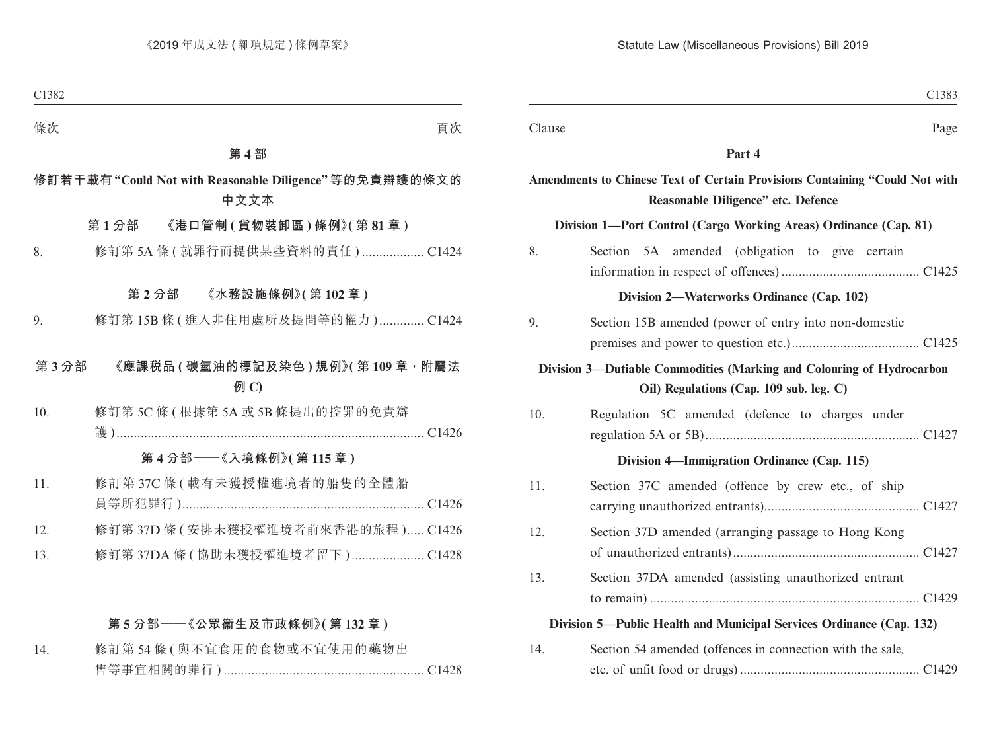| Clause | Page                                                                                                              |
|--------|-------------------------------------------------------------------------------------------------------------------|
|        | Part 4                                                                                                            |
|        | Amendments to Chinese Text of Certain Provisions Containing "Could Not with<br>Reasonable Diligence" etc. Defence |
|        | Division 1-Port Control (Cargo Working Areas) Ordinance (Cap. 81)                                                 |
| 8.     | Section 5A amended (obligation to give certain                                                                    |
|        | Division 2—Waterworks Ordinance (Cap. 102)                                                                        |
| 9.     | Section 15B amended (power of entry into non-domestic                                                             |
|        | Division 3-Dutiable Commodities (Marking and Colouring of Hydrocarbon<br>Oil) Regulations (Cap. 109 sub. leg. C)  |
| 10.    | Regulation 5C amended (defence to charges under                                                                   |
|        | Division 4—Immigration Ordinance (Cap. 115)                                                                       |
| 11.    | Section 37C amended (offence by crew etc., of ship                                                                |
| 12.    | Section 37D amended (arranging passage to Hong Kong                                                               |
| 13.    | Section 37DA amended (assisting unauthorized entrant                                                              |
|        | Division 5—Public Health and Municipal Services Ordinance (Cap. 132)                                              |
| 14.    | Section 54 amended (offences in connection with the sale,                                                         |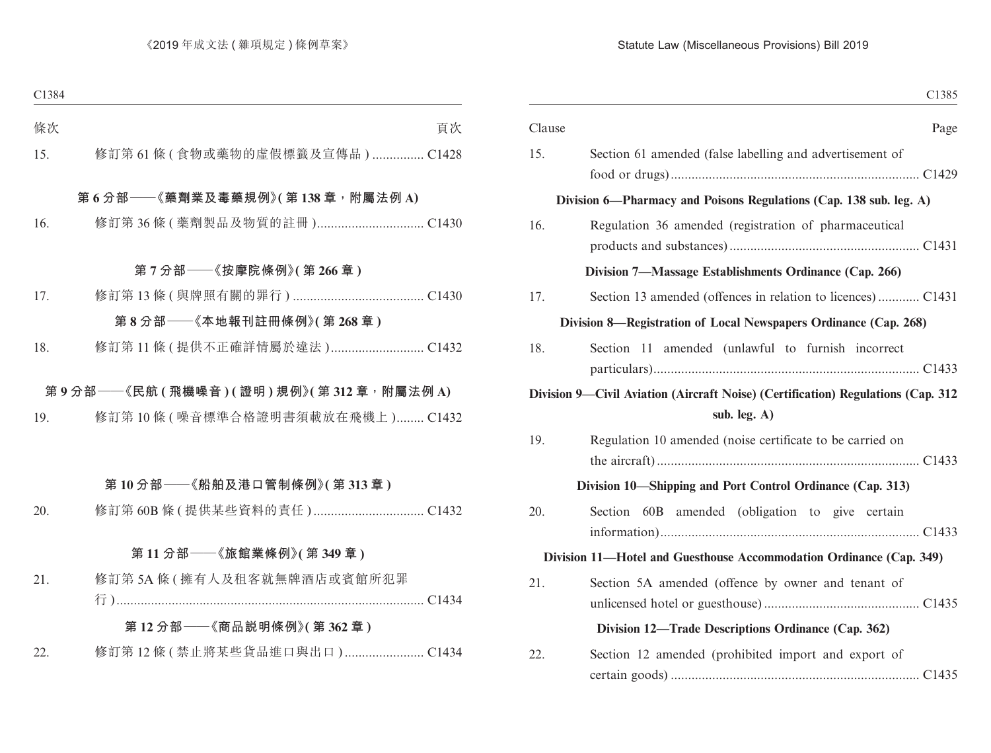#### Statute Law (Miscellaneous Provisions) Bill 2019

| C1385                                                                                               |        |
|-----------------------------------------------------------------------------------------------------|--------|
| Page                                                                                                | Clause |
| Section 61 amended (false labelling and advertisement of                                            | 15.    |
| Division 6—Pharmacy and Poisons Regulations (Cap. 138 sub. leg. A)                                  |        |
| Regulation 36 amended (registration of pharmaceutical                                               | 16.    |
| Division 7-Massage Establishments Ordinance (Cap. 266)                                              |        |
|                                                                                                     | 17.    |
| Division 8—Registration of Local Newspapers Ordinance (Cap. 268)                                    |        |
| Section 11 amended (unlawful to furnish incorrect                                                   | 18.    |
| Division 9—Civil Aviation (Aircraft Noise) (Certification) Regulations (Cap. 312<br>sub. leg. $A$ ) |        |
| Regulation 10 amended (noise certificate to be carried on                                           | 19.    |
| Division 10—Shipping and Port Control Ordinance (Cap. 313)                                          |        |
| Section 60B amended (obligation to give certain                                                     | 20.    |
| Division 11—Hotel and Guesthouse Accommodation Ordinance (Cap. 349)                                 |        |
| Section 5A amended (offence by owner and tenant of                                                  | 21.    |
| Division 12—Trade Descriptions Ordinance (Cap. 362)                                                 |        |
| Section 12 amended (prohibited import and export of                                                 | 22.    |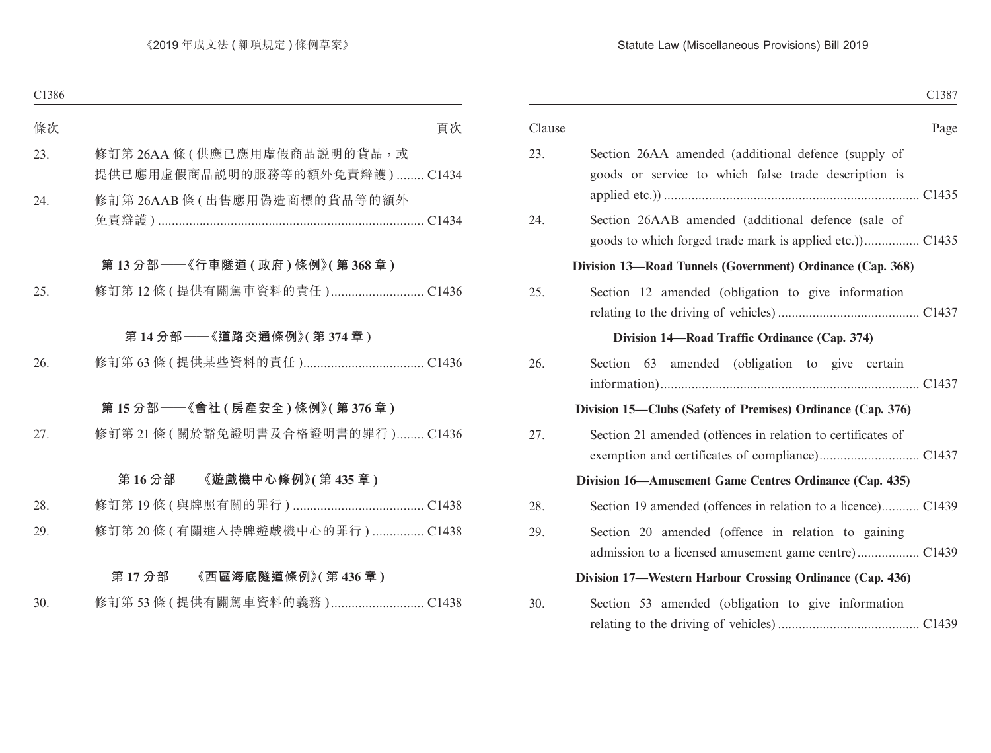#### Statute Law (Miscellaneous Provisions) Bill 2019

|                                                                                                             | C <sub>1387</sub> |
|-------------------------------------------------------------------------------------------------------------|-------------------|
|                                                                                                             | Page              |
| Section 26AA amended (additional defence (supply of<br>goods or service to which false trade description is |                   |
| Section 26AAB amended (additional defence (sale of                                                          |                   |
| Division 13-Road Tunnels (Government) Ordinance (Cap. 368)                                                  |                   |
| Section 12 amended (obligation to give information                                                          |                   |
| Division 14—Road Traffic Ordinance (Cap. 374)                                                               |                   |
| Section 63 amended (obligation to give certain                                                              |                   |
| Division 15—Clubs (Safety of Premises) Ordinance (Cap. 376)                                                 |                   |
| Section 21 amended (offences in relation to certificates of                                                 |                   |
| Division 16—Amusement Game Centres Ordinance (Cap. 435)                                                     |                   |
| Section 19 amended (offences in relation to a licence) C1439                                                |                   |
| Section 20 amended (offence in relation to gaining                                                          |                   |
| Division 17—Western Harbour Crossing Ordinance (Cap. 436)                                                   |                   |
| Section 53 amended (obligation to give information                                                          |                   |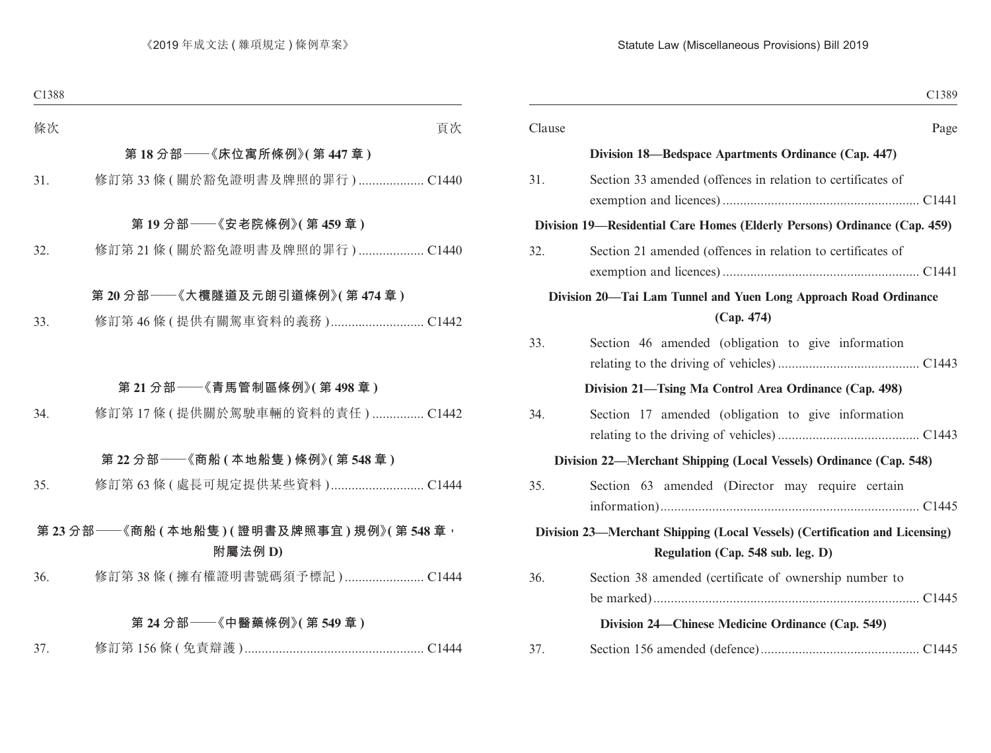| C <sub>1389</sub>                                                                                                |        |
|------------------------------------------------------------------------------------------------------------------|--------|
| Page                                                                                                             | Clause |
| Division 18—Bedspace Apartments Ordinance (Cap. 447)                                                             |        |
| Section 33 amended (offences in relation to certificates of                                                      | 31.    |
| Division 19—Residential Care Homes (Elderly Persons) Ordinance (Cap. 459)                                        |        |
| Section 21 amended (offences in relation to certificates of                                                      | 32.    |
| Division 20—Tai Lam Tunnel and Yuen Long Approach Road Ordinance<br>(Cap. 474)                                   |        |
| Section 46 amended (obligation to give information                                                               | 33.    |
| Division 21-Tsing Ma Control Area Ordinance (Cap. 498)                                                           |        |
| Section 17 amended (obligation to give information                                                               | 34.    |
| Division 22-Merchant Shipping (Local Vessels) Ordinance (Cap. 548)                                               |        |
| Section 63 amended (Director may require certain                                                                 | 35.    |
| Division 23-Merchant Shipping (Local Vessels) (Certification and Licensing)<br>Regulation (Cap. 548 sub. leg. D) |        |
| Section 38 amended (certificate of ownership number to                                                           | 36.    |
| Division 24—Chinese Medicine Ordinance (Cap. 549)                                                                |        |
|                                                                                                                  | 37.    |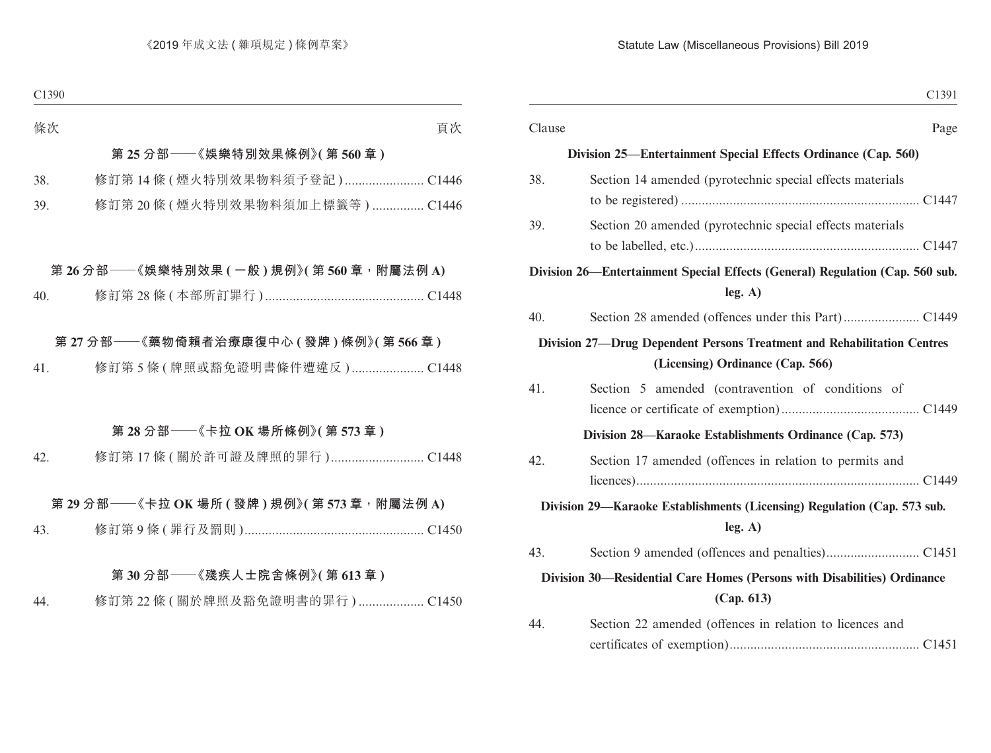|        | C <sub>1391</sub>                                                                                           |
|--------|-------------------------------------------------------------------------------------------------------------|
| Clause | Page                                                                                                        |
|        | Division 25—Entertainment Special Effects Ordinance (Cap. 560)                                              |
| 38.    | Section 14 amended (pyrotechnic special effects materials                                                   |
| 39.    | Section 20 amended (pyrotechnic special effects materials                                                   |
|        | Division 26—Entertainment Special Effects (General) Regulation (Cap. 560 sub.<br>leg. A)                    |
| 40.    |                                                                                                             |
|        | Division 27-Drug Dependent Persons Treatment and Rehabilitation Centres<br>(Licensing) Ordinance (Cap. 566) |
| 41.    | Section 5 amended (contravention of conditions of                                                           |
|        | Division 28—Karaoke Establishments Ordinance (Cap. 573)                                                     |
| 42.    | Section 17 amended (offences in relation to permits and                                                     |
|        | Division 29—Karaoke Establishments (Licensing) Regulation (Cap. 573 sub.<br>leg. A)                         |
| 43.    |                                                                                                             |
|        | Division 30—Residential Care Homes (Persons with Disabilities) Ordinance<br>(Cap. 613)                      |
| 44.    | Section 22 amended (offences in relation to licences and                                                    |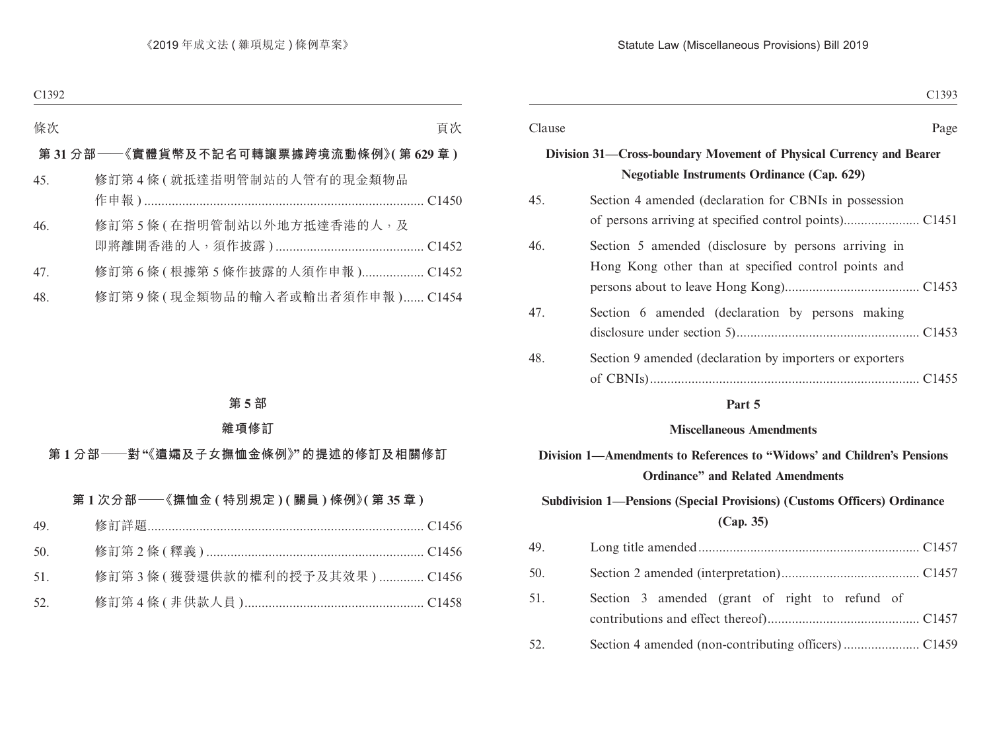| Clause                                                                                                                                                                                                                                                                                                                                                                                                              |
|---------------------------------------------------------------------------------------------------------------------------------------------------------------------------------------------------------------------------------------------------------------------------------------------------------------------------------------------------------------------------------------------------------------------|
|                                                                                                                                                                                                                                                                                                                                                                                                                     |
| 45.                                                                                                                                                                                                                                                                                                                                                                                                                 |
| 46.                                                                                                                                                                                                                                                                                                                                                                                                                 |
| 47.                                                                                                                                                                                                                                                                                                                                                                                                                 |
| 48.                                                                                                                                                                                                                                                                                                                                                                                                                 |
| Division 31—Cross-boundary Movement of Physical Currency and Bearer<br><b>Negotiable Instruments Ordinance (Cap. 629)</b><br>Section 4 amended (declaration for CBNIs in possession<br>Section 5 amended (disclosure by persons arriving in<br>Hong Kong other than at specified control points and<br>Section 6 amended (declaration by persons making<br>Section 9 amended (declaration by importers or exporters |

#### **Part 5**

#### **Miscellaneous Amendments**

## **Division 1—Amendments to References to "Widows' and Children's Pensions Ordinance" and Related Amendments**

## **Subdivision 1—Pensions (Special Provisions) (Customs Officers) Ordinance (Cap. 35)**

| 49. |                                                |  |
|-----|------------------------------------------------|--|
| 50. |                                                |  |
| 51. | Section 3 amended (grant of right to refund of |  |
| 52. |                                                |  |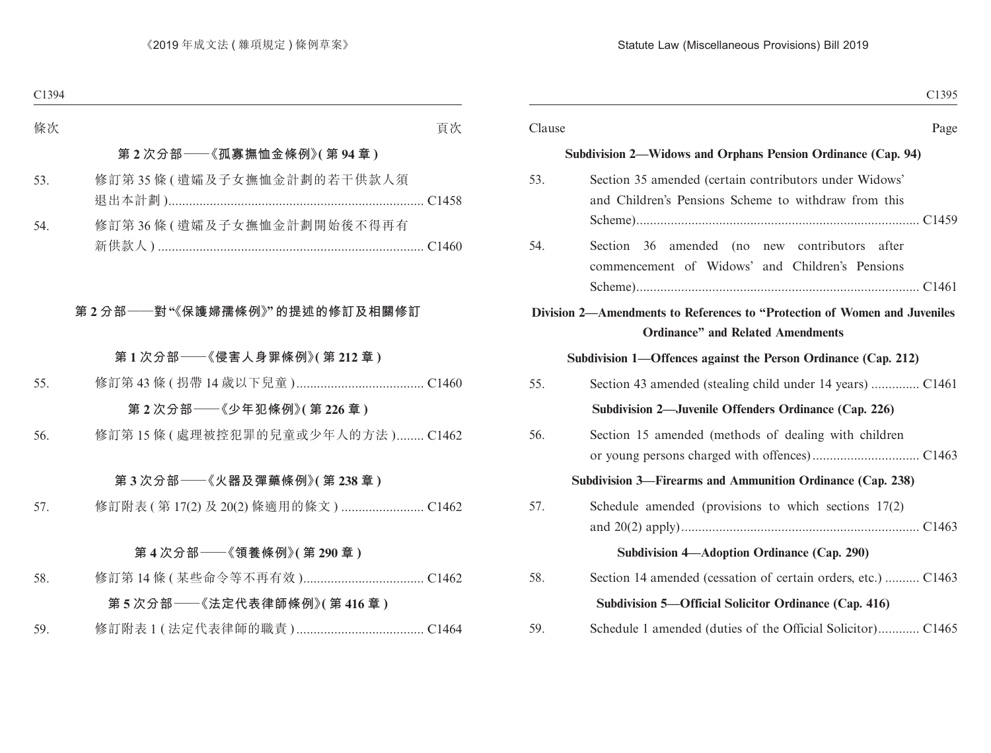| Page                                                                                                                   | Clause |
|------------------------------------------------------------------------------------------------------------------------|--------|
| Subdivision 2—Widows and Orphans Pension Ordinance (Cap. 94)                                                           |        |
| Section 35 amended (certain contributors under Widows'<br>and Children's Pensions Scheme to withdraw from this         | 53.    |
| Section 36 amended (no new contributors after<br>commencement of Widows' and Children's Pensions                       | 54.    |
| Division 2—Amendments to References to "Protection of Women and Juveniles"<br><b>Ordinance"</b> and Related Amendments |        |
| Subdivision 1—Offences against the Person Ordinance (Cap. 212)                                                         |        |
| Section 43 amended (stealing child under 14 years)  C1461                                                              | 55.    |
| Subdivision 2—Juvenile Offenders Ordinance (Cap. 226)                                                                  |        |
| Section 15 amended (methods of dealing with children                                                                   | 56.    |
| Subdivision 3—Firearms and Ammunition Ordinance (Cap. 238)                                                             |        |
| Schedule amended (provisions to which sections $17(2)$ )                                                               | 57.    |
| Subdivision 4—Adoption Ordinance (Cap. 290)                                                                            |        |
| Section 14 amended (cessation of certain orders, etc.)  C1463                                                          | 58.    |
| Subdivision 5—Official Solicitor Ordinance (Cap. 416)                                                                  |        |
| Schedule 1 amended (duties of the Official Solicitor) C1465                                                            | 59.    |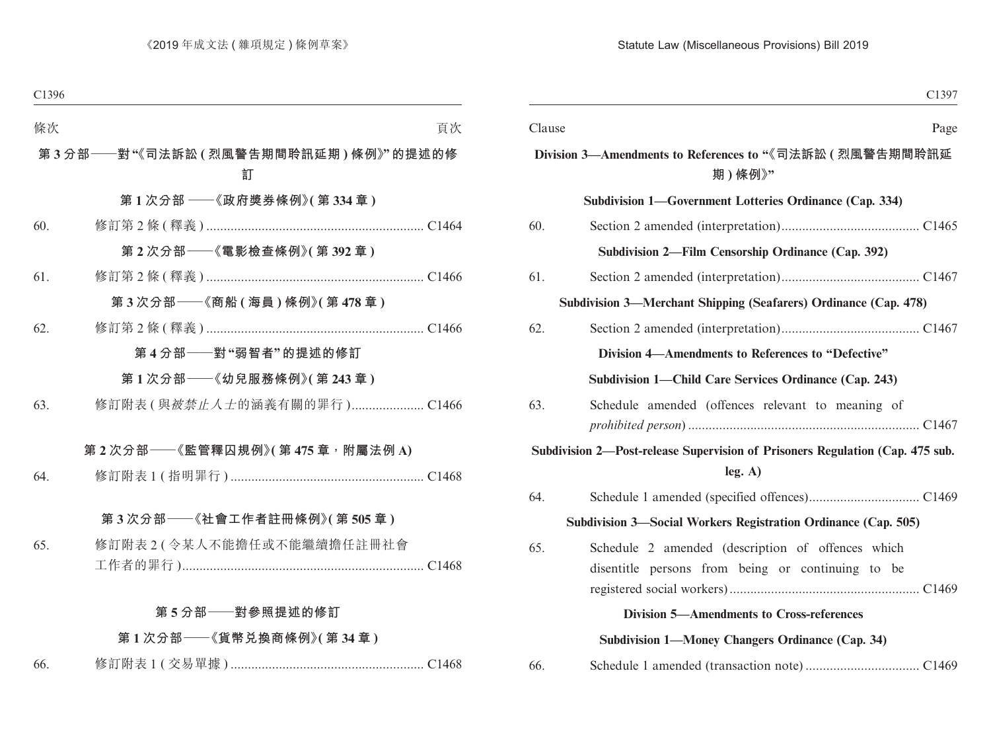| C1397                                                                                    |        |
|------------------------------------------------------------------------------------------|--------|
|                                                                                          | Clause |
| Division 3—Amendments to References to "《司法訴訟 ( 烈風警告期間聆訊延<br>期)條例》"                      |        |
| Subdivision 1-Government Lotteries Ordinance (Cap. 334)                                  |        |
|                                                                                          | 60.    |
| Subdivision 2—Film Censorship Ordinance (Cap. 392)                                       |        |
|                                                                                          | 61.    |
| Subdivision 3—Merchant Shipping (Seafarers) Ordinance (Cap. 478)                         |        |
|                                                                                          | 62.    |
| Division 4—Amendments to References to "Defective"                                       |        |
| Subdivision 1—Child Care Services Ordinance (Cap. 243)                                   |        |
| Schedule amended (offences relevant to meaning of                                        | 63.    |
|                                                                                          |        |
| Subdivision 2-Post-release Supervision of Prisoners Regulation (Cap. 475 sub.<br>leg. A) |        |
|                                                                                          | 64.    |
| Subdivision 3—Social Workers Registration Ordinance (Cap. 505)                           |        |
| Schedule 2 amended (description of offences which                                        | 65.    |
| disentitle persons from being or continuing to be                                        |        |
|                                                                                          |        |
| <b>Division 5-Amendments to Cross-references</b>                                         |        |
| Subdivision 1-Money Changers Ordinance (Cap. 34)                                         |        |
|                                                                                          | 66.    |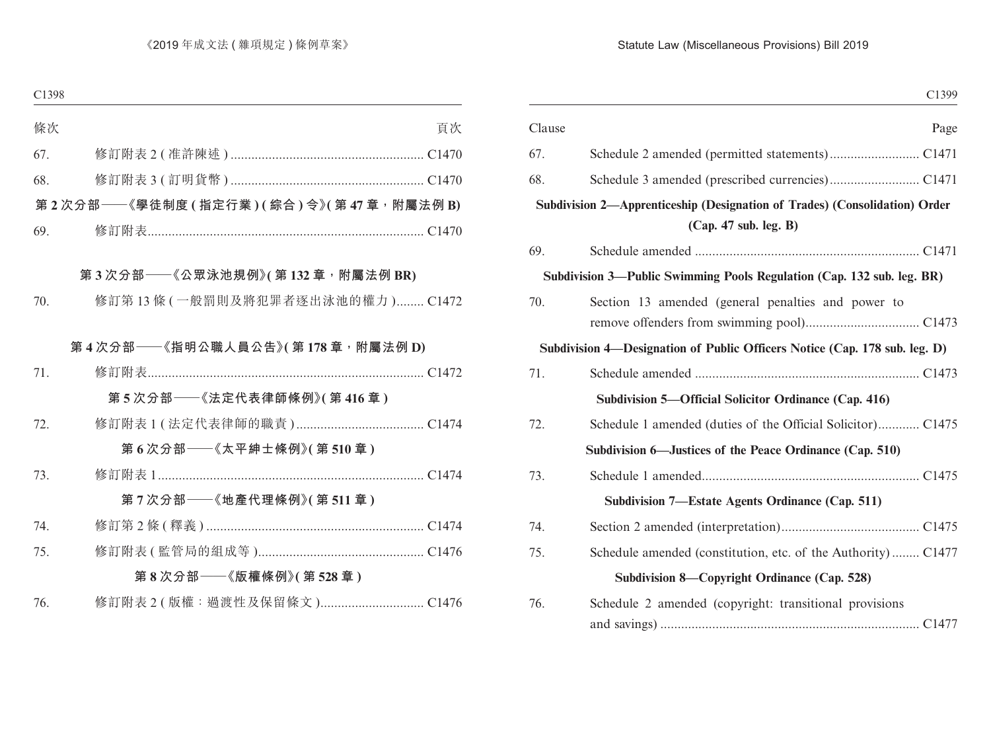|                                                                                                     | Clause |
|-----------------------------------------------------------------------------------------------------|--------|
|                                                                                                     | 67.    |
|                                                                                                     | 68.    |
| Subdivision 2-Apprenticeship (Designation of Trades) (Consolidation) Order<br>(Cap. 47 sub. leg. B) |        |
|                                                                                                     | 69.    |
| Subdivision 3-Public Swimming Pools Regulation (Cap. 132 sub. leg. BR)                              |        |
| Section 13 amended (general penalties and power to                                                  | 70.    |
| Subdivision 4—Designation of Public Officers Notice (Cap. 178 sub. leg. D)                          |        |
|                                                                                                     | 71.    |
| Subdivision 5—Official Solicitor Ordinance (Cap. 416)                                               |        |
|                                                                                                     | 72.    |
| Subdivision 6—Justices of the Peace Ordinance (Cap. 510)                                            |        |
|                                                                                                     | 73.    |
| Subdivision 7—Estate Agents Ordinance (Cap. 511)                                                    |        |
|                                                                                                     | 74.    |
| Schedule amended (constitution, etc. of the Authority) C1477                                        | 75.    |
| Subdivision 8—Copyright Ordinance (Cap. 528)                                                        |        |
| Schedule 2 amended (copyright: transitional provisions)                                             | 76.    |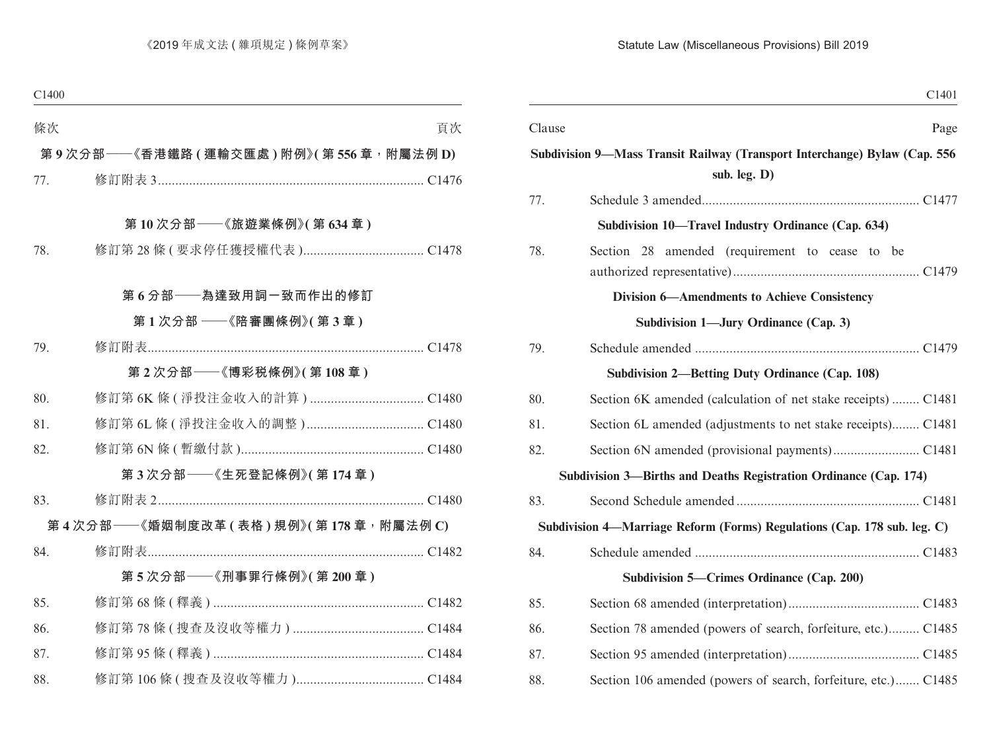| C <sub>1401</sub>                                                          |        |
|----------------------------------------------------------------------------|--------|
| Page                                                                       | Clause |
| Subdivision 9-Mass Transit Railway (Transport Interchange) Bylaw (Cap. 556 |        |
| sub. leg. D)                                                               |        |
|                                                                            | 77.    |
| Subdivision 10—Travel Industry Ordinance (Cap. 634)                        |        |
| Section 28 amended (requirement to cease to be                             | 78.    |
| <b>Division 6-Amendments to Achieve Consistency</b>                        |        |
| Subdivision 1—Jury Ordinance (Cap. 3)                                      |        |
|                                                                            | 79.    |
| <b>Subdivision 2—Betting Duty Ordinance (Cap. 108)</b>                     |        |
| Section 6K amended (calculation of net stake receipts)  C1481              | 80.    |
| Section 6L amended (adjustments to net stake receipts) C1481               | 81.    |
|                                                                            | 82.    |
| Subdivision 3—Births and Deaths Registration Ordinance (Cap. 174)          |        |
|                                                                            | 83.    |
| Subdivision 4-Marriage Reform (Forms) Regulations (Cap. 178 sub. leg. C)   |        |
|                                                                            | 84.    |
| Subdivision 5—Crimes Ordinance (Cap. 200)                                  |        |
|                                                                            | 85.    |
| Section 78 amended (powers of search, forfeiture, etc.) C1485              | 86.    |
|                                                                            | 87.    |
| Section 106 amended (powers of search, forfeiture, etc.) C1485             | 88.    |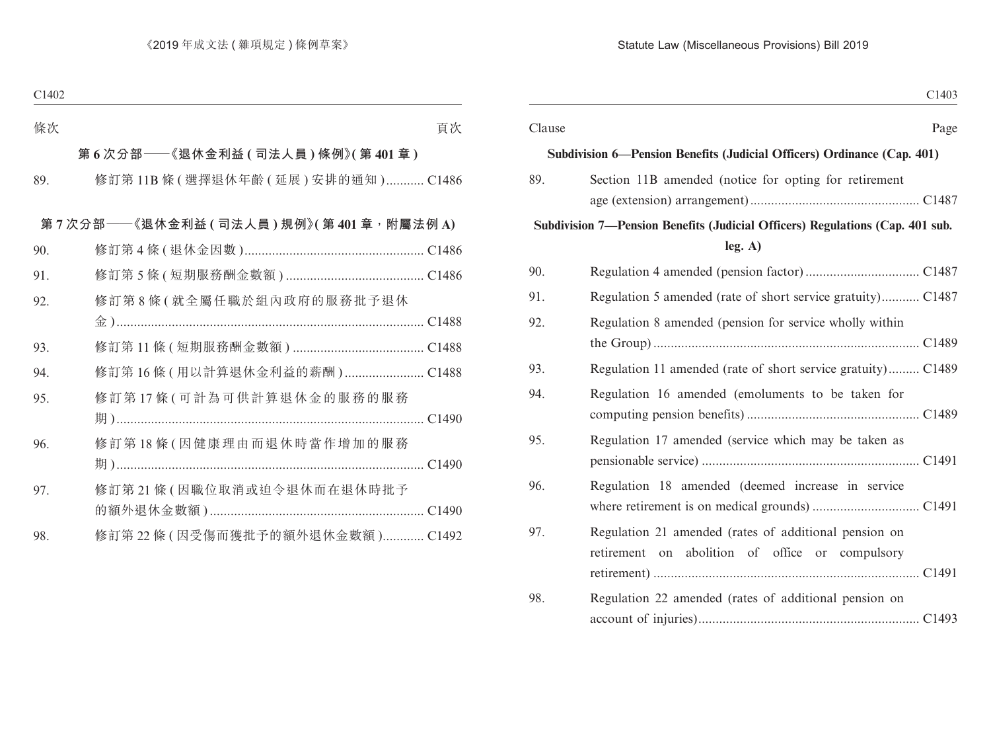| C1403                                                                                                           |  |
|-----------------------------------------------------------------------------------------------------------------|--|
| Clause<br>Page                                                                                                  |  |
| Subdivision 6—Pension Benefits (Judicial Officers) Ordinance (Cap. 401)                                         |  |
| 89.<br>Section 11B amended (notice for opting for retirement                                                    |  |
|                                                                                                                 |  |
| Subdivision 7—Pension Benefits (Judicial Officers) Regulations (Cap. 401 sub.<br>leg. A)                        |  |
| 90.                                                                                                             |  |
| Regulation 5 amended (rate of short service gratuity) C1487<br>91.                                              |  |
| 92.<br>Regulation 8 amended (pension for service wholly within                                                  |  |
| 93.<br>Regulation 11 amended (rate of short service gratuity) C1489                                             |  |
| 94.<br>Regulation 16 amended (emoluments to be taken for                                                        |  |
| 95.<br>Regulation 17 amended (service which may be taken as                                                     |  |
| 96.<br>Regulation 18 amended (deemed increase in service                                                        |  |
| 97.<br>Regulation 21 amended (rates of additional pension on<br>retirement on abolition of office or compulsory |  |
| 98.<br>Regulation 22 amended (rates of additional pension on                                                    |  |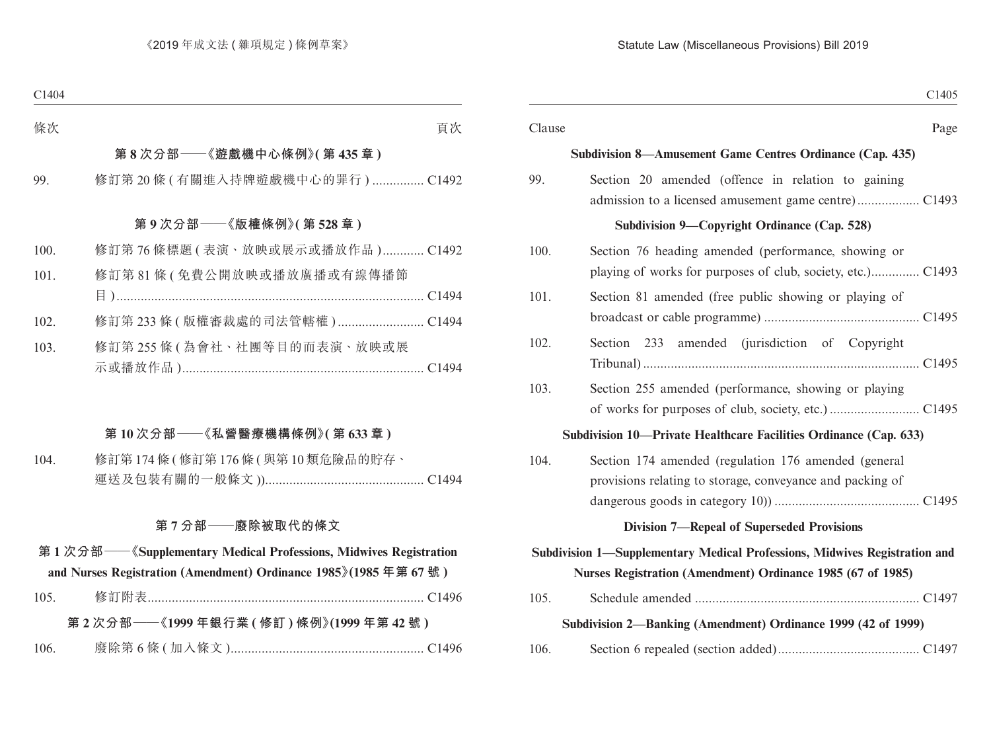| C1405                                                                                                                                     |        |
|-------------------------------------------------------------------------------------------------------------------------------------------|--------|
| Page                                                                                                                                      | Clause |
| Subdivision 8—Amusement Game Centres Ordinance (Cap. 435)                                                                                 |        |
| Section 20 amended (offence in relation to gaining                                                                                        | 99.    |
| Subdivision 9—Copyright Ordinance (Cap. 528)                                                                                              |        |
| Section 76 heading amended (performance, showing or                                                                                       | 100.   |
| Section 81 amended (free public showing or playing of                                                                                     | 101.   |
| Section 233 amended (jurisdiction of Copyright                                                                                            | 102.   |
| Section 255 amended (performance, showing or playing                                                                                      | 103.   |
| Subdivision 10—Private Healthcare Facilities Ordinance (Cap. 633)                                                                         |        |
| Section 174 amended (regulation 176 amended (general<br>provisions relating to storage, conveyance and packing of                         | 104.   |
| <b>Division 7-Repeal of Superseded Provisions</b>                                                                                         |        |
| Subdivision 1-Supplementary Medical Professions, Midwives Registration and<br>Nurses Registration (Amendment) Ordinance 1985 (67 of 1985) |        |
|                                                                                                                                           | 105.   |
| Subdivision 2—Banking (Amendment) Ordinance 1999 (42 of 1999)                                                                             |        |
|                                                                                                                                           | 106.   |
|                                                                                                                                           |        |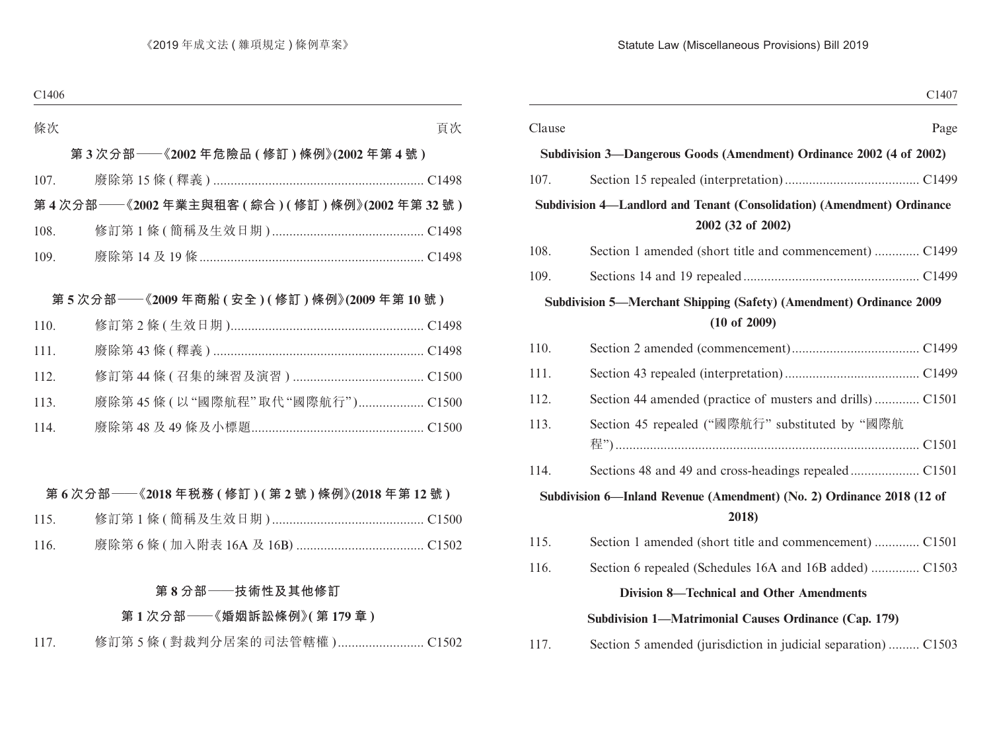|        | C1407                                                                                        |
|--------|----------------------------------------------------------------------------------------------|
| Clause | Page                                                                                         |
|        | Subdivision 3—Dangerous Goods (Amendment) Ordinance 2002 (4 of 2002)                         |
| 107.   |                                                                                              |
|        | Subdivision 4-Landlord and Tenant (Consolidation) (Amendment) Ordinance<br>2002 (32 of 2002) |
| 108.   | Section 1 amended (short title and commencement)  C1499                                      |
| 109.   |                                                                                              |
|        | Subdivision 5—Merchant Shipping (Safety) (Amendment) Ordinance 2009<br>$(10$ of 2009)        |
| 110.   |                                                                                              |
| 111.   |                                                                                              |
| 112.   | Section 44 amended (practice of musters and drills)  C1501                                   |
| 113.   | Section 45 repealed ("國際航行" substituted by "國際航                                              |
| 114.   |                                                                                              |
|        | Subdivision 6—Inland Revenue (Amendment) (No. 2) Ordinance 2018 (12 of<br>2018)              |
| 115.   | Section 1 amended (short title and commencement)  C1501                                      |
| 116.   | Section 6 repealed (Schedules 16A and 16B added)  C1503                                      |
|        | <b>Division 8-Technical and Other Amendments</b>                                             |
|        | Subdivision 1—Matrimonial Causes Ordinance (Cap. 179)                                        |
| 117.   | Section 5 amended (jurisdiction in judicial separation)  C1503                               |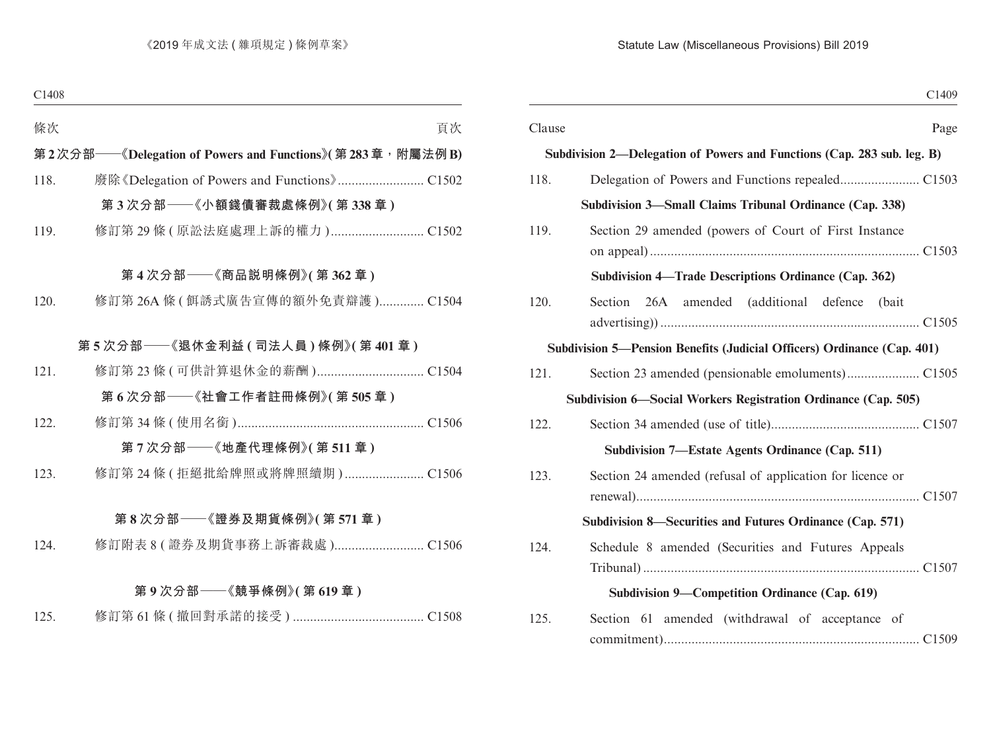| C1409                                                                   |        |
|-------------------------------------------------------------------------|--------|
| Page                                                                    | Clause |
| Subdivision 2—Delegation of Powers and Functions (Cap. 283 sub. leg. B) |        |
|                                                                         | 118.   |
| Subdivision 3—Small Claims Tribunal Ordinance (Cap. 338)                |        |
| Section 29 amended (powers of Court of First Instance                   | 119.   |
| Subdivision 4—Trade Descriptions Ordinance (Cap. 362)                   |        |
| Section 26A amended (additional defence (bait                           | 120.   |
| Subdivision 5—Pension Benefits (Judicial Officers) Ordinance (Cap. 401) |        |
|                                                                         | 121.   |
| Subdivision 6—Social Workers Registration Ordinance (Cap. 505)          |        |
|                                                                         | 122.   |
| Subdivision 7—Estate Agents Ordinance (Cap. 511)                        |        |
| Section 24 amended (refusal of application for licence or               | 123.   |
| Subdivision 8—Securities and Futures Ordinance (Cap. 571)               |        |
| Schedule 8 amended (Securities and Futures Appeals                      | 124.   |
| Subdivision 9-Competition Ordinance (Cap. 619)                          |        |
| Section 61 amended (withdrawal of acceptance of                         | 125.   |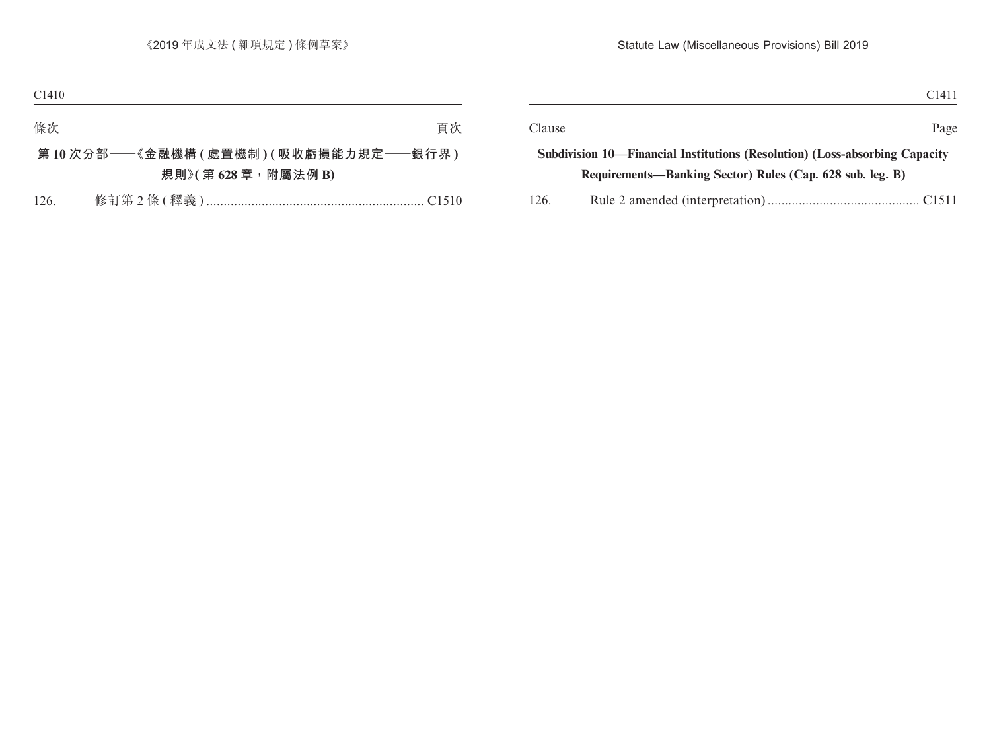|                                                           | Page                                                                                  |
|-----------------------------------------------------------|---------------------------------------------------------------------------------------|
|                                                           |                                                                                       |
| Requirements—Banking Sector) Rules (Cap. 628 sub. leg. B) |                                                                                       |
|                                                           |                                                                                       |
| 126.                                                      | Clause<br>Subdivision 10—Financial Institutions (Resolution) (Loss-absorbing Capacity |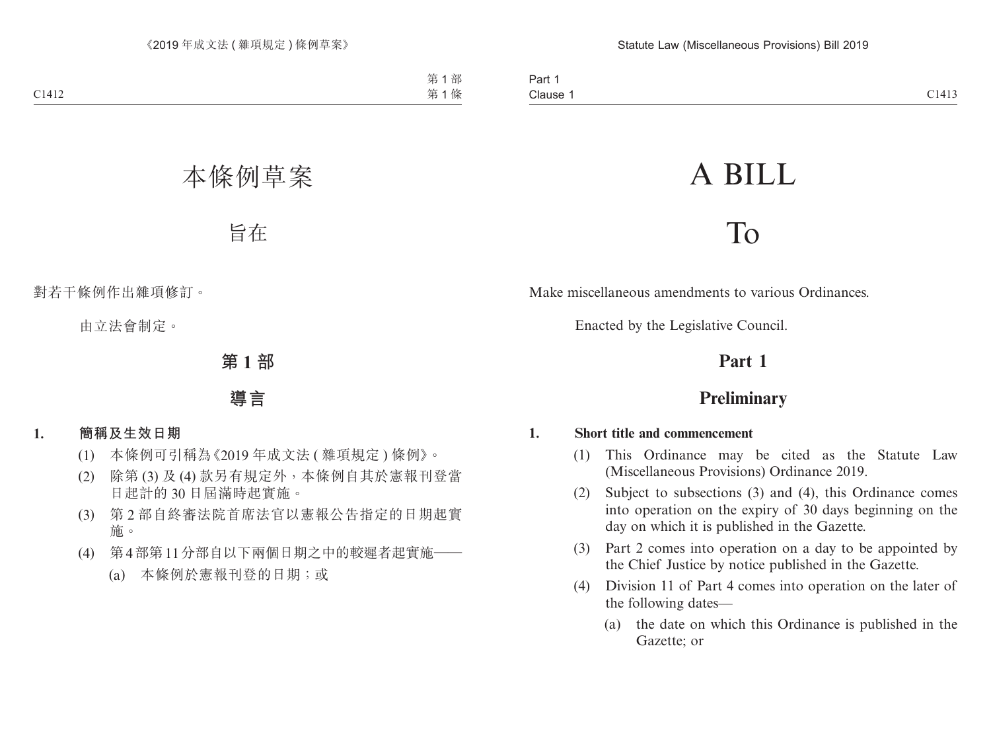# A BILL

## To

Make miscellaneous amendments to various Ordinances.

Enacted by the Legislative Council.

## **Part 1**

## **Preliminary**

#### **1. Short title and commencement**

- (1) This Ordinance may be cited as the Statute Law (Miscellaneous Provisions) Ordinance 2019.
- (2) Subject to subsections (3) and (4), this Ordinance comes into operation on the expiry of 30 days beginning on the day on which it is published in the Gazette.
- (3) Part 2 comes into operation on a day to be appointed by the Chief Justice by notice published in the Gazette.
- (4) Division 11 of Part 4 comes into operation on the later of the following dates—
	- (a) the date on which this Ordinance is published in the Gazette; or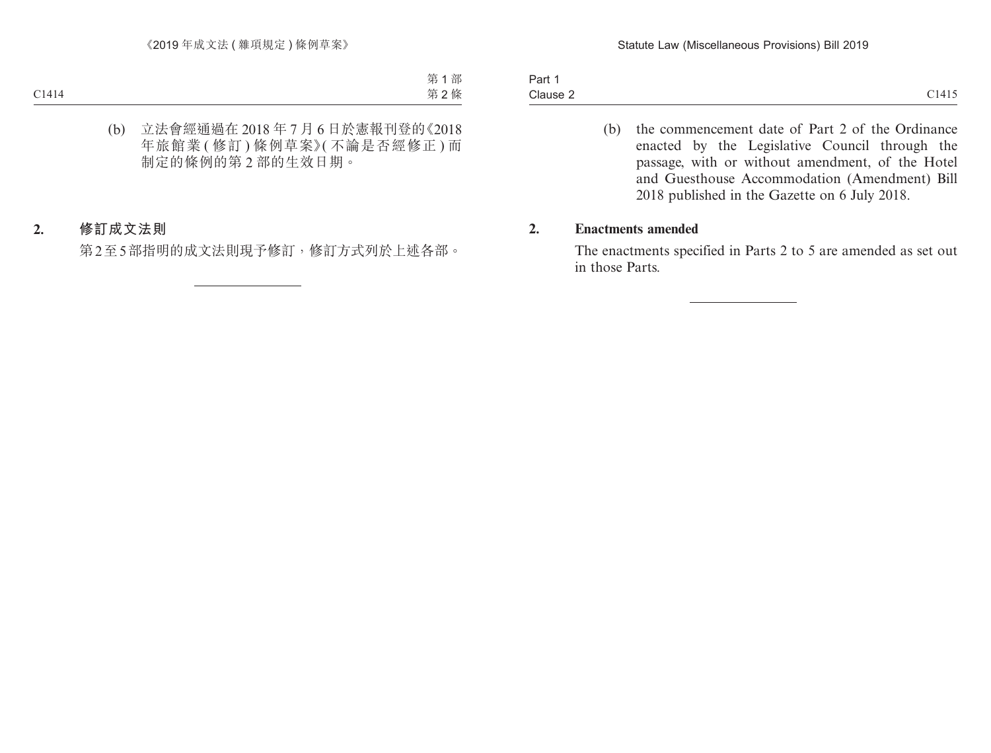Part 1 Clause 2 Clause 2  $C1415$ 

(b) the commencement date of Part 2 of the Ordinance enacted by the Legislative Council through the passage, with or without amendment, of the Hotel and Guesthouse Accommodation (Amendment) Bill 2018 published in the Gazette on 6 July 2018.

#### **2. Enactments amended**

The enactments specified in Parts 2 to 5 are amended as set out in those Parts.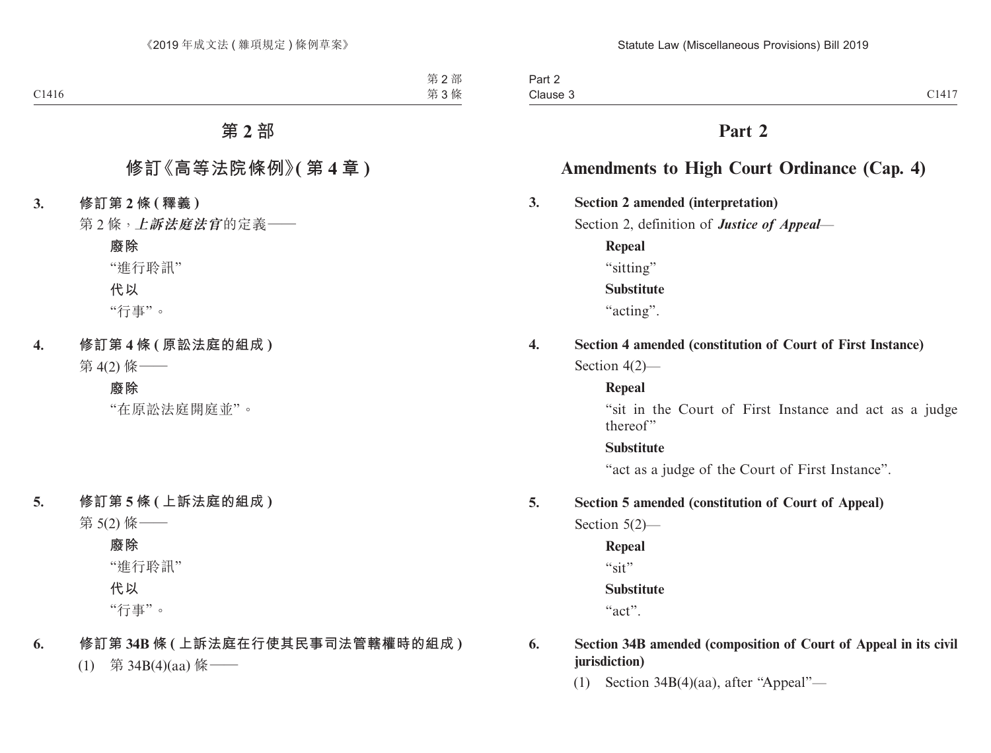## **Part 2**

## **Amendments to High Court Ordinance (Cap. 4)**

## **3. Section 2 amended (interpretation)**

Section 2, definition of *Justice of Appeal*—

**Repeal** "sitting" **Substitute** "acting".

## **4. Section 4 amended (constitution of Court of First Instance)**

Section 4(2)—

#### **Repeal**

"sit in the Court of First Instance and act as a judge thereof"

#### **Substitute**

"act as a judge of the Court of First Instance".

#### **5. Section 5 amended (constitution of Court of Appeal)**

Section 5(2)—

**Repeal**

"sit"

#### **Substitute**

"act".

#### **6. Section 34B amended (composition of Court of Appeal in its civil jurisdiction)**

(1) Section 34B(4)(aa), after "Appeal"—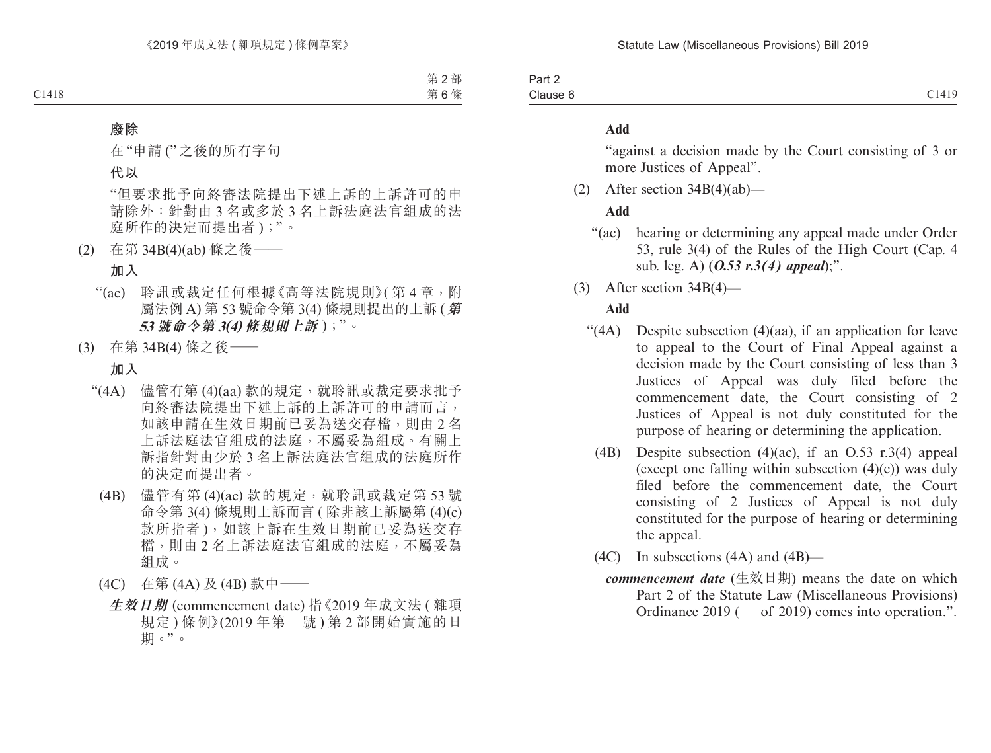Part 2 Clause 6 Clause 6 C1419

#### **Add**

"against a decision made by the Court consisting of 3 or more Justices of Appeal".

(2) After section  $34B(4)(ab)$ —

#### **Add**

- "(ac) hearing or determining any appeal made under Order 53, rule 3(4) of the Rules of the High Court (Cap. 4 sub. leg. A) (*O.53 r.3(4) appeal*);".
- (3) After section 34B(4)—

#### **Add**

- "(4A) Despite subsection (4)(aa), if an application for leave to appeal to the Court of Final Appeal against a decision made by the Court consisting of less than 3 Justices of Appeal was duly filed before the commencement date, the Court consisting of 2 Justices of Appeal is not duly constituted for the purpose of hearing or determining the application.
	- (4B) Despite subsection (4)(ac), if an O.53 r.3(4) appeal (except one falling within subsection  $(4)(c)$ ) was duly filed before the commencement date, the Court consisting of 2 Justices of Appeal is not duly constituted for the purpose of hearing or determining the appeal.
	- (4C) In subsections (4A) and (4B)
		- *commencement date* (生效日期) means the date on which Part 2 of the Statute Law (Miscellaneous Provisions) Ordinance 2019 ( of 2019) comes into operation.".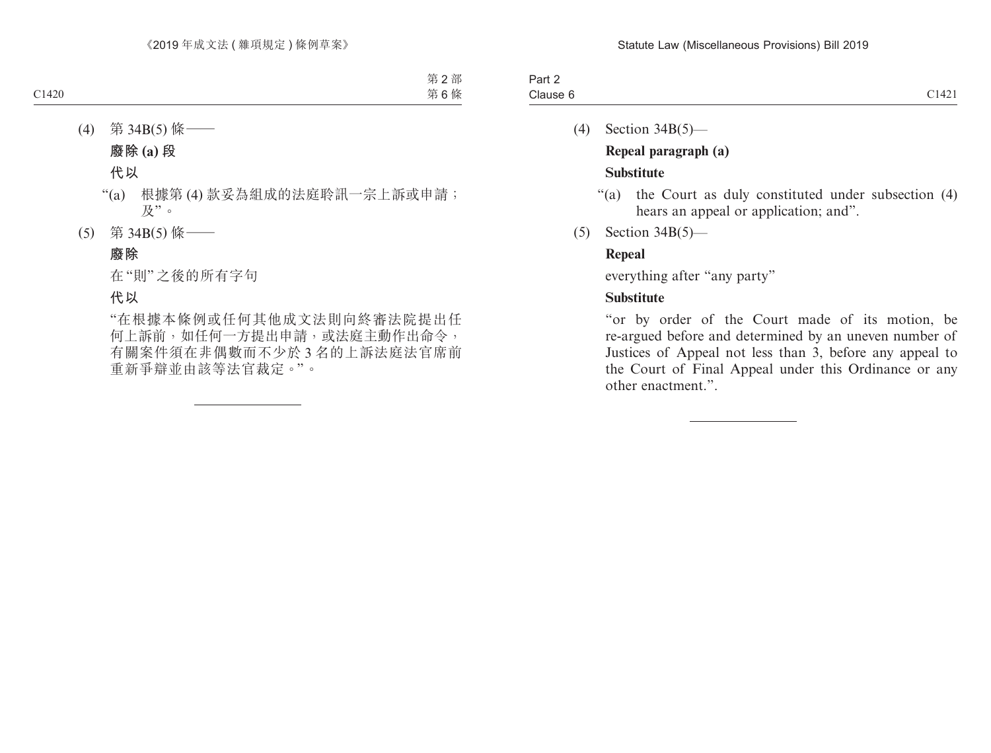| Part 2   |                           |
|----------|---------------------------|
|          | $\bigcap$ 1 1 $\bigcap$ 1 |
|          | 1.1421                    |
| Clause 6 |                           |

- (4) Section 34B(5)— **Repeal paragraph (a) Substitute**
	- "(a) the Court as duly constituted under subsection (4) hears an appeal or application; and".
- (5) Section 34B(5)—

#### **Repeal**

everything after "any party"

#### **Substitute**

"or by order of the Court made of its motion, be re-argued before and determined by an uneven number of Justices of Appeal not less than 3, before any appeal to the Court of Final Appeal under this Ordinance or any other enactment.".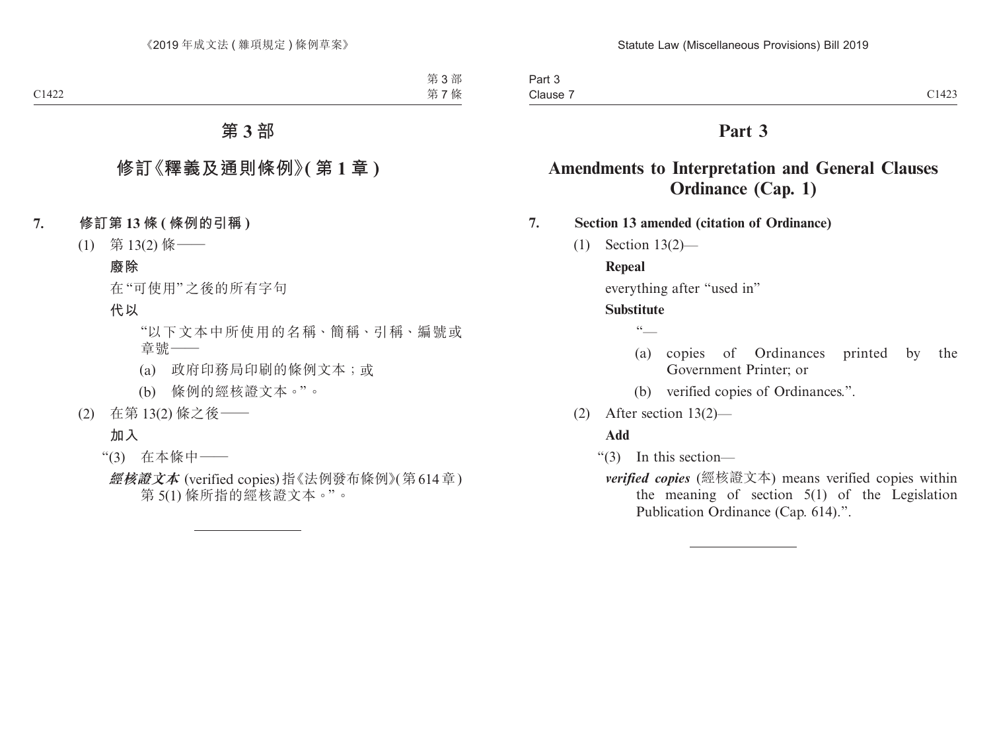## **Part 3**

## **Amendments to Interpretation and General Clauses Ordinance (Cap. 1)**

**7. Section 13 amended (citation of Ordinance)**

(1) Section 13(2)—

#### **Repeal**

everything after "used in"

#### **Substitute**

 $\sqrt{6}$ 

- (a) copies of Ordinances printed by the Government Printer; or
- (b) verified copies of Ordinances.".
- (2) After section 13(2)—

#### **Add**

- "(3) In this section
	- *verified copies* (經核證文本) means verified copies within the meaning of section 5(1) of the Legislation Publication Ordinance (Cap. 614).".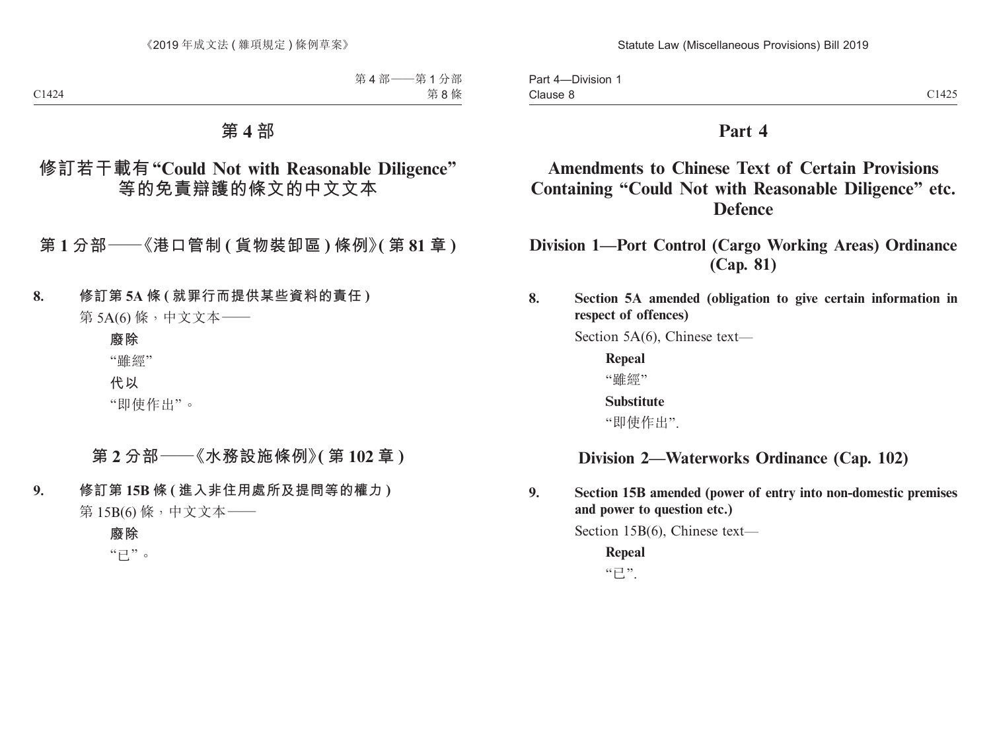Part 4—Division 1 Clause 8 Clause 8  $C1425$ 

## **Part 4**

## **Amendments to Chinese Text of Certain Provisions Containing "Could Not with Reasonable Diligence" etc. Defence**

**Division 1—Port Control (Cargo Working Areas) Ordinance (Cap. 81)**

#### **8. Section 5A amended (obligation to give certain information in respect of offences)**

Section 5A(6), Chinese text—

**Repeal** "雖經"

**Substitute**

"即使作出".

## **Division 2—Waterworks Ordinance (Cap. 102)**

**9. Section 15B amended (power of entry into non-domestic premises and power to question etc.)**

Section 15B(6), Chinese text—

**Repeal**  $"E"$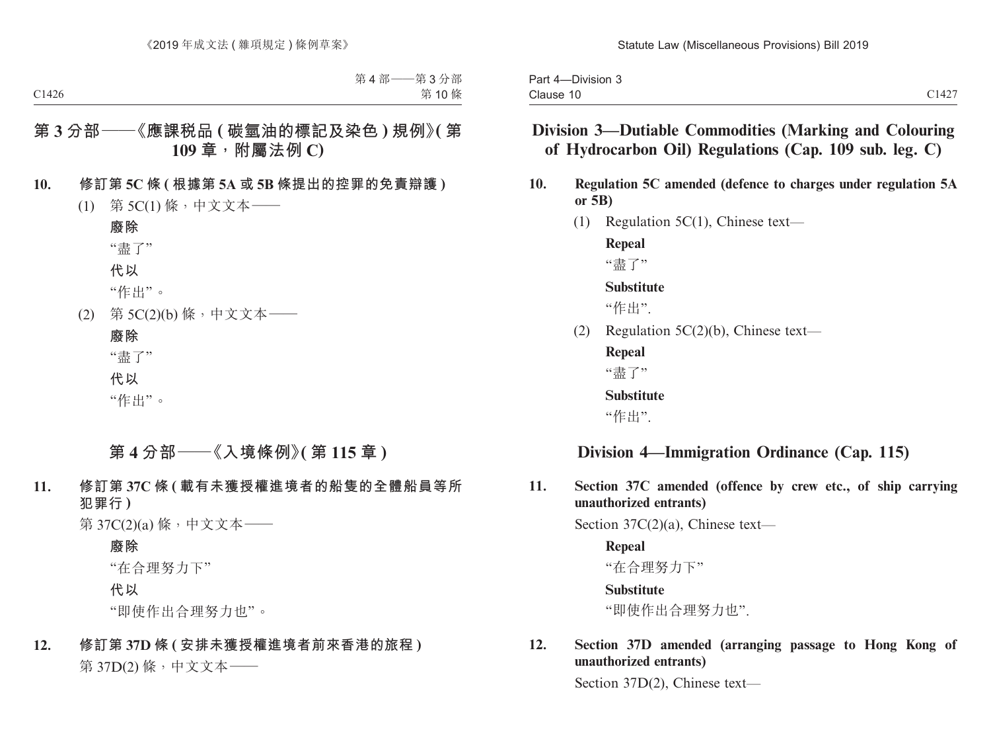| -Division 3<br>Part<br>. – Д |                |
|------------------------------|----------------|
| Clause                       | C1127<br>U 142 |

## **Division 3—Dutiable Commodities (Marking and Colouring of Hydrocarbon Oil) Regulations (Cap. 109 sub. leg. C)**

- **10. Regulation 5C amended (defence to charges under regulation 5A or 5B)**
	- (1) Regulation 5C(1), Chinese text—

**Repeal**

"盡了"

#### **Substitute**

"作出".

(2) Regulation 5C(2)(b), Chinese text—

**Repeal** "盡了"

**Substitute**

"作出".

## **Division 4—Immigration Ordinance (Cap. 115)**

**11. Section 37C amended (offence by crew etc., of ship carrying unauthorized entrants)**

Section 37C(2)(a), Chinese text—

**Repeal** "在合理努力下" **Substitute**

"即使作出合理努力也".

#### **12. Section 37D amended (arranging passage to Hong Kong of unauthorized entrants)**

Section 37D(2), Chinese text—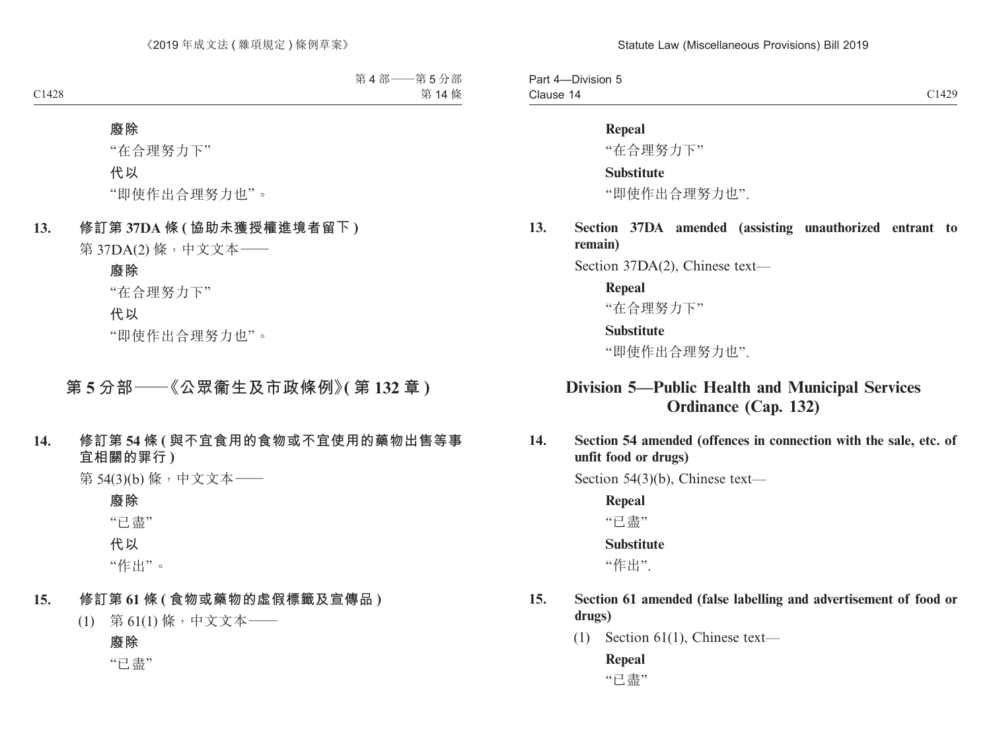Part 4—Division 5 Clause 14 Clause 14 C1429

#### **Repeal**

"在合理努力下"

#### **Substitute**

"即使作出合理努力也".

**13. Section 37DA amended (assisting unauthorized entrant to remain)**

Section 37DA(2), Chinese text—

#### **Repeal**

"在合理努力下"

#### **Substitute**

"即使作出合理努力也".

## **Division 5—Public Health and Municipal Services Ordinance (Cap. 132)**

**14. Section 54 amended (offences in connection with the sale, etc. of unfit food or drugs)**

Section 54(3)(b), Chinese text—

**Repeal**

"已盡"

#### **Substitute**

"作出".

- **15. Section 61 amended (false labelling and advertisement of food or drugs)**
	- (1) Section 61(1), Chinese text—

## **Repeal**

"已盡"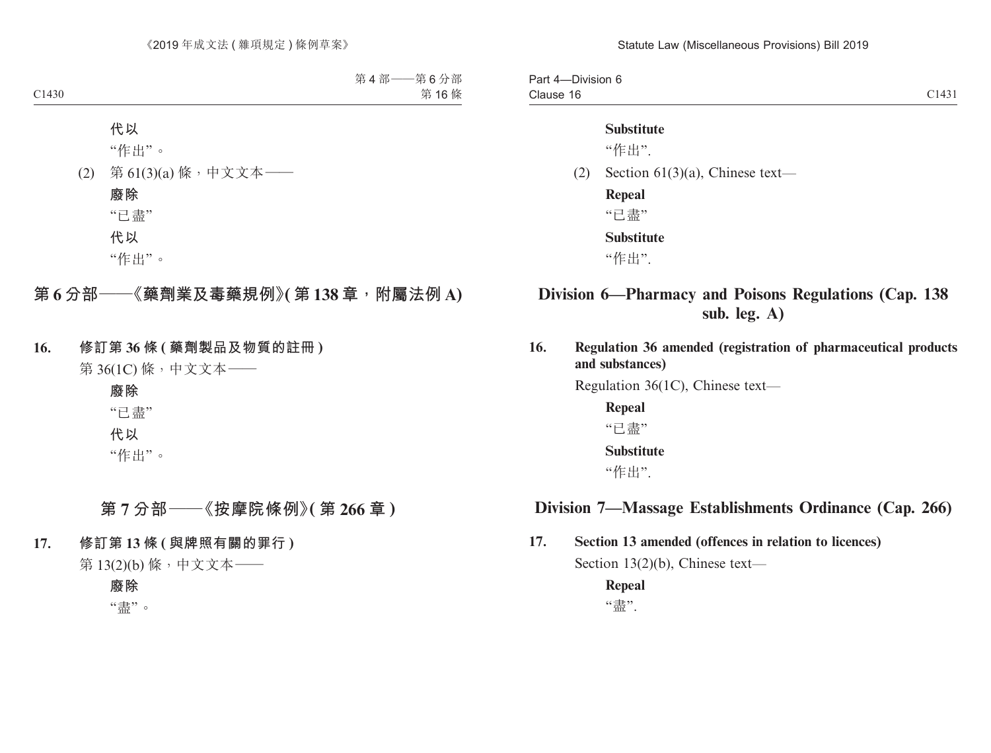Part 4—Division 6 Clause 16 Clause 16 and 2014 and 2014 and 2014 and 2014 and 2014 and 2014 and 2014 and 2014 and 2014 and 2014 and 2014 and 2014 and 2014 and 2014 and 2014 and 2014 and 2014 and 2014 and 2014 and 2014 and 2014 and 2014 and 2014 and 2

#### **Substitute**

"作出".

(2) Section 61(3)(a), Chinese text—

**Repeal** "已盡"

**Substitute**

"作出".

## **Division 6—Pharmacy and Poisons Regulations (Cap. 138 sub. leg. A)**

**16. Regulation 36 amended (registration of pharmaceutical products and substances)**

Regulation 36(1C), Chinese text—

**Repeal** "已盡" **Substitute** "作出".

## **Division 7—Massage Establishments Ordinance (Cap. 266)**

**17. Section 13 amended (offences in relation to licences)**

Section 13(2)(b), Chinese text—

**Repeal** "盡".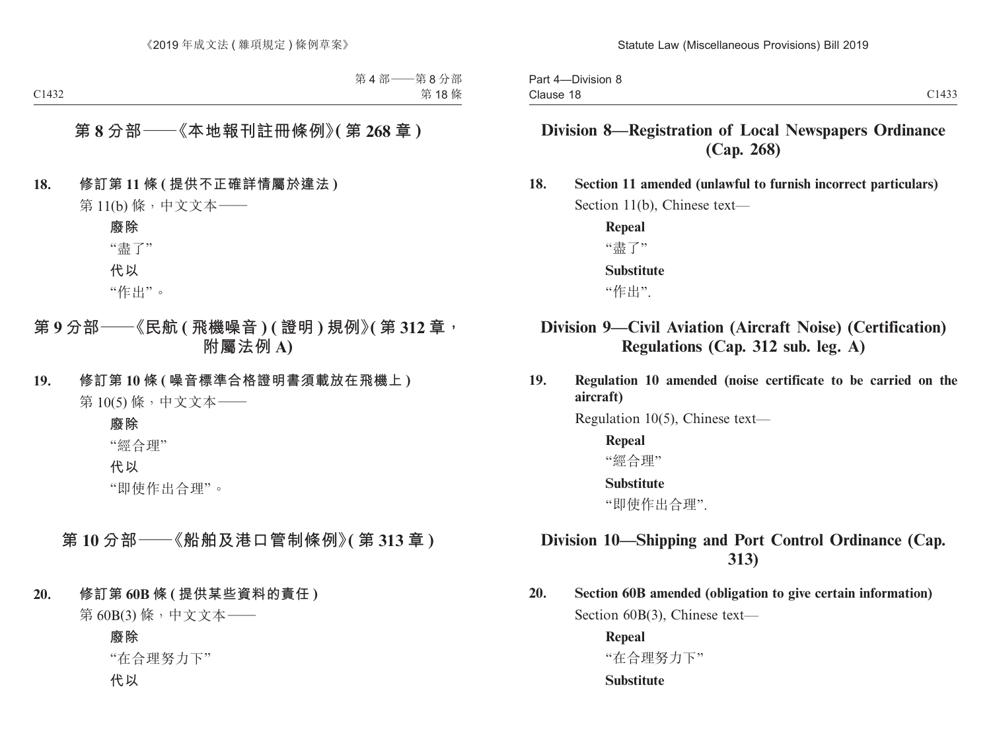## **Division 8—Registration of Local Newspapers Ordinance (Cap. 268)**

**18. Section 11 amended (unlawful to furnish incorrect particulars)** Section 11(b), Chinese text—

> **Repeal**  "盡了" **Substitute** "作出".

## **Division 9—Civil Aviation (Aircraft Noise) (Certification) Regulations (Cap. 312 sub. leg. A)**

**19. Regulation 10 amended (noise certificate to be carried on the aircraft)**

Regulation 10(5), Chinese text—

#### **Repeal**

"經合理"

#### **Substitute**

"即使作出合理".

## **Division 10—Shipping and Port Control Ordinance (Cap. 313)**

**20. Section 60B amended (obligation to give certain information)** Section 60B(3), Chinese text—

> **Repeal** "在合理努力下" **Substitute**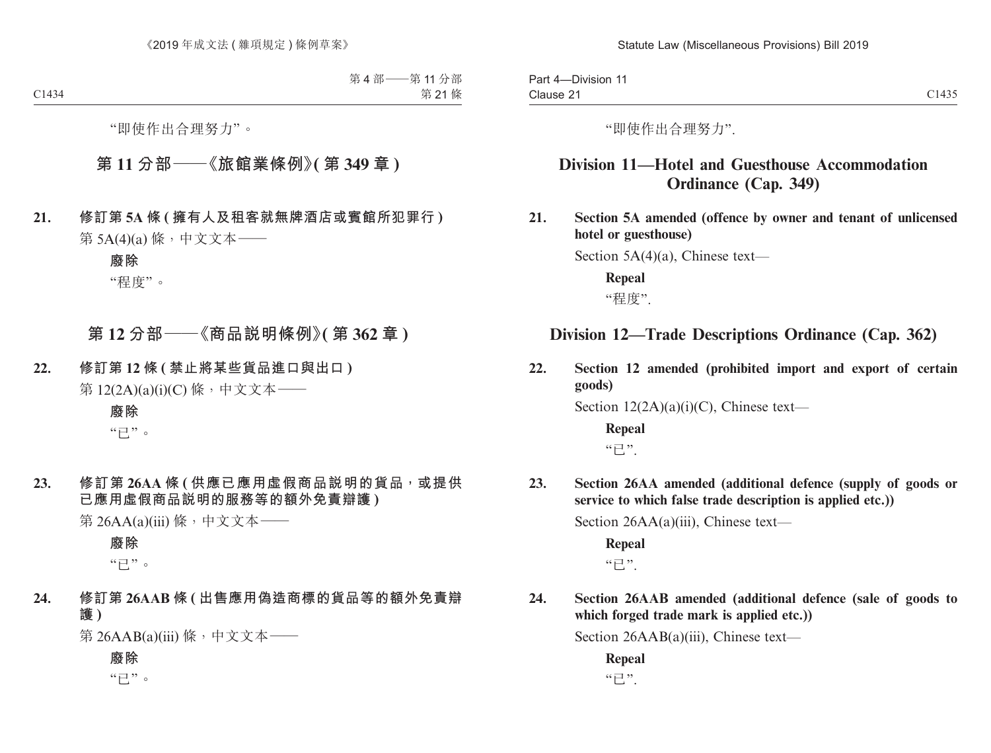Part 4—Division 11 Clause 21 Clause 21 Class Control of the Class Control of the Class Control of the Class Class Control of the Class Class

"即使作出合理努力".

## **Division 11—Hotel and Guesthouse Accommodation Ordinance (Cap. 349)**

**21. Section 5A amended (offence by owner and tenant of unlicensed hotel or guesthouse)**

Section 5A(4)(a), Chinese text—

**Repeal** "程度".

## **Division 12—Trade Descriptions Ordinance (Cap. 362)**

**22. Section 12 amended (prohibited import and export of certain goods)**

Section 12(2A)(a)(i)(C), Chinese text—

**Repeal**  $"E"$ 

**23. Section 26AA amended (additional defence (supply of goods or service to which false trade description is applied etc.))**

Section 26AA(a)(iii), Chinese text—

**Repeal**  $"E"$ 

**24. Section 26AAB amended (additional defence (sale of goods to which forged trade mark is applied etc.))**

Section 26AAB(a)(iii), Chinese text—

**Repeal** "已".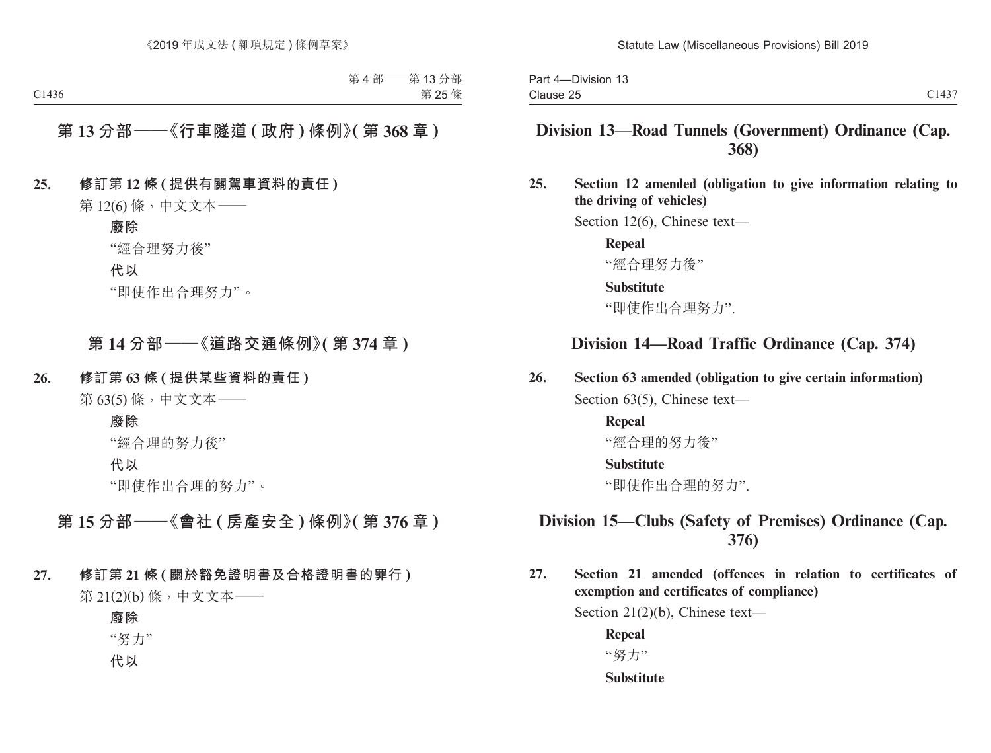## **Division 13—Road Tunnels (Government) Ordinance (Cap. 368)**

**25. Section 12 amended (obligation to give information relating to the driving of vehicles)**

Section 12(6), Chinese text—

**Repeal** "經合理努力後"

#### **Substitute**

"即使作出合理努力".

## **Division 14—Road Traffic Ordinance (Cap. 374)**

#### **26. Section 63 amended (obligation to give certain information)**

Section 63(5), Chinese text—

#### **Repeal** "經合理的努力後"

#### **Substitute**

"即使作出合理的努力".

## **Division 15—Clubs (Safety of Premises) Ordinance (Cap. 376)**

**27. Section 21 amended (offences in relation to certificates of exemption and certificates of compliance)**

Section 21(2)(b), Chinese text—

**Repeal** "努力"

**Substitute**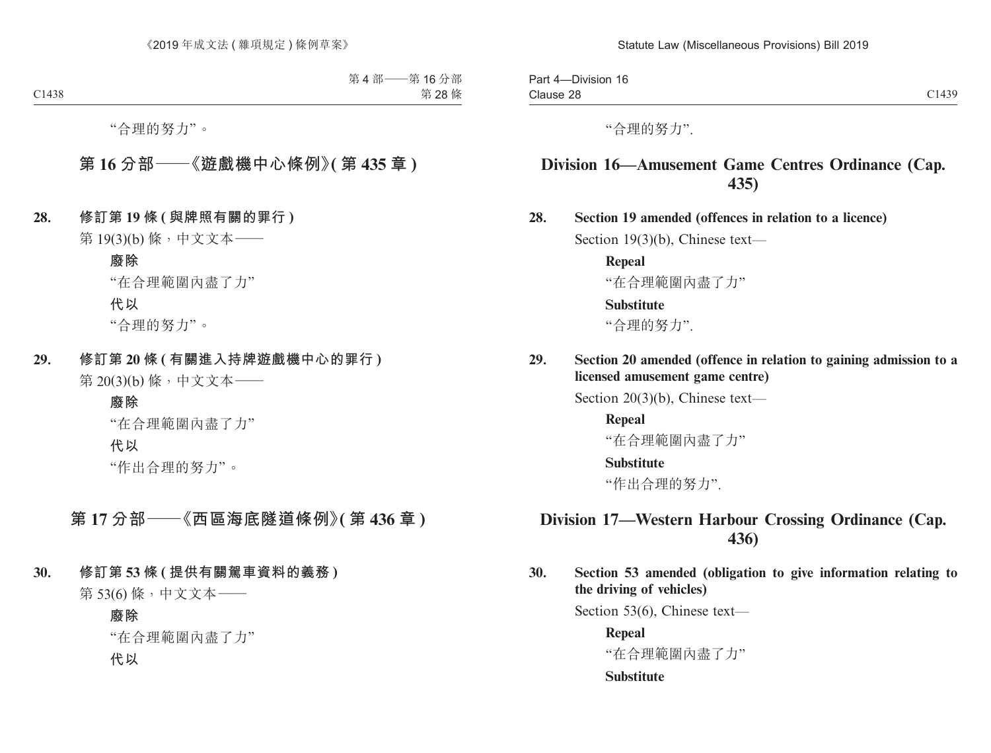Part 4—Division 16 Clause 28 Clause 28 Class Control of the Class Control of the Class Control of the Class Class Control of the Class Class

"合理的努力".

## **Division 16—Amusement Game Centres Ordinance (Cap. 435)**

**28. Section 19 amended (offences in relation to a licence)**

Section 19(3)(b), Chinese text—

**Repeal**  "在合理範圍內盡了力"

#### **Substitute**

"合理的努力".

**29. Section 20 amended (offence in relation to gaining admission to a licensed amusement game centre)**

Section 20(3)(b), Chinese text—

**Repeal**  "在合理範圍內盡了力"

#### **Substitute**

"作出合理的努力".

## **Division 17—Western Harbour Crossing Ordinance (Cap. 436)**

**30. Section 53 amended (obligation to give information relating to the driving of vehicles)**

Section 53(6), Chinese text—

**Repeal**

"在合理範圍內盡了力"

#### **Substitute**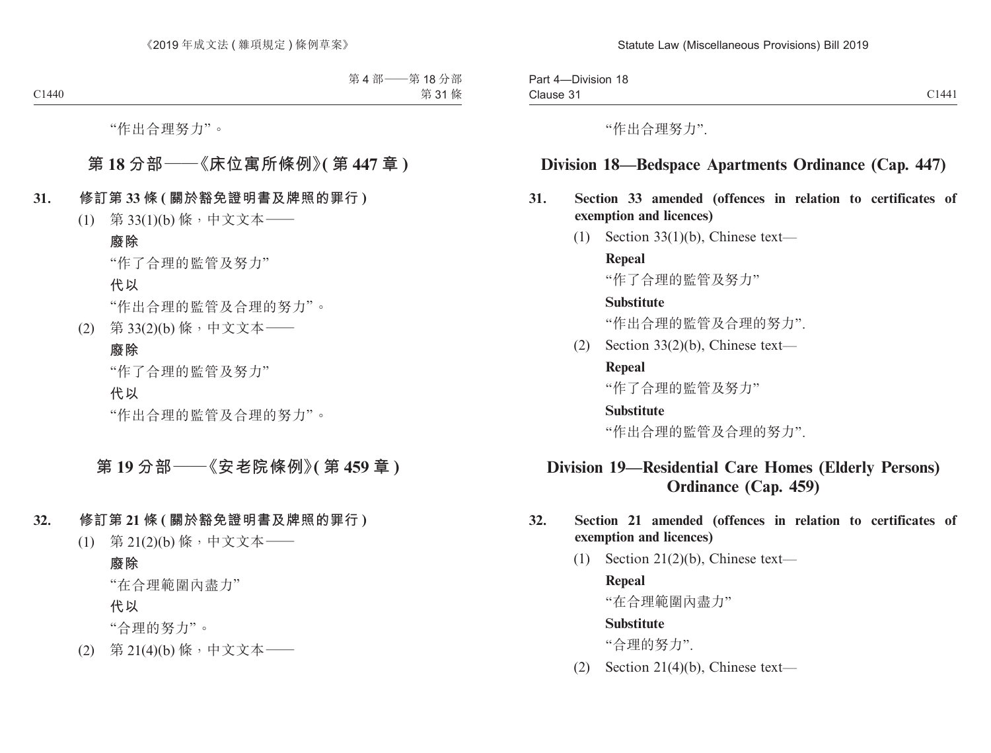Part 4—Division 18 Clause 31 Clause 31 Clause 31

"作出合理努力".

## **Division 18—Bedspace Apartments Ordinance (Cap. 447)**

#### **31. Section 33 amended (offences in relation to certificates of exemption and licences)**

(1) Section 33(1)(b), Chinese text—

**Repeal** "作了合理的監管及努力"

#### **Substitute**

"作出合理的監管及合理的努力".

(2) Section 33(2)(b), Chinese text—

#### **Repeal**

"作了合理的監管及努力"

#### **Substitute**

"作出合理的監管及合理的努力".

## **Division 19—Residential Care Homes (Elderly Persons) Ordinance (Cap. 459)**

#### **32. Section 21 amended (offences in relation to certificates of exemption and licences)**

(1) Section 21(2)(b), Chinese text—

#### **Repeal**

"在合理範圍內盡力"

#### **Substitute**

"合理的努力".

(2) Section 21(4)(b), Chinese text—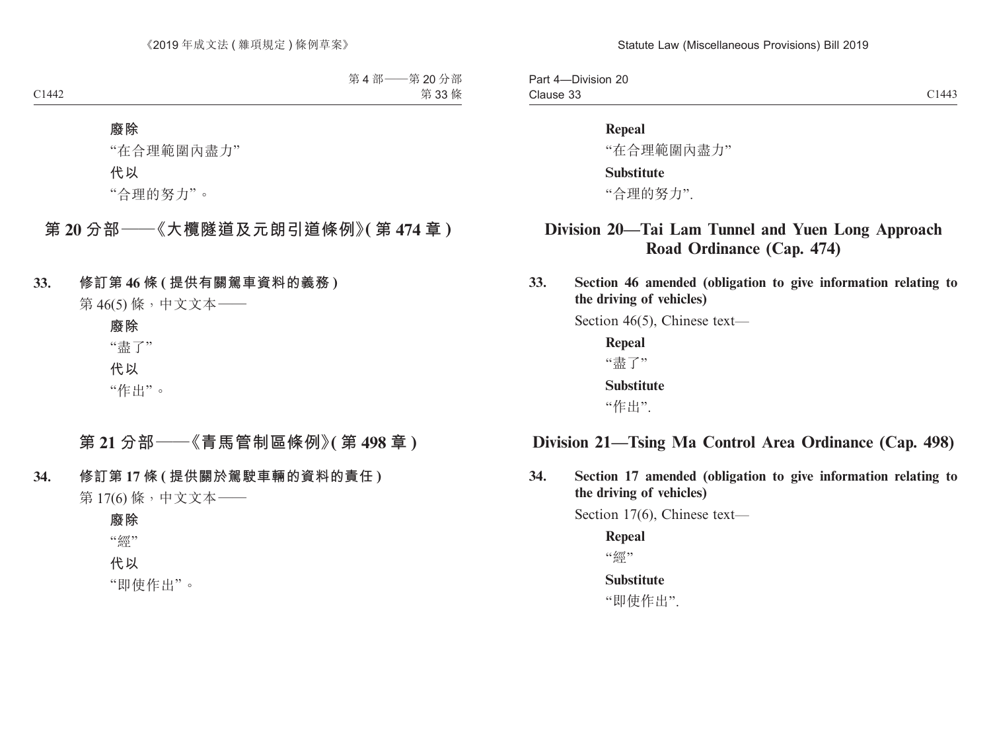Part 4—Division 20 Clause 33 Clause 33 Clause 33

#### **Repeal**

"在合理範圍內盡力"

#### **Substitute**

"合理的努力".

## **Division 20—Tai Lam Tunnel and Yuen Long Approach Road Ordinance (Cap. 474)**

**33. Section 46 amended (obligation to give information relating to the driving of vehicles)**

Section 46(5), Chinese text—

**Repeal** "盡了" **Substitute** "作出".

## **Division 21—Tsing Ma Control Area Ordinance (Cap. 498)**

**34. Section 17 amended (obligation to give information relating to the driving of vehicles)**

Section 17(6), Chinese text—

**Repeal** "丝磁" **Substitute**

"即使作出".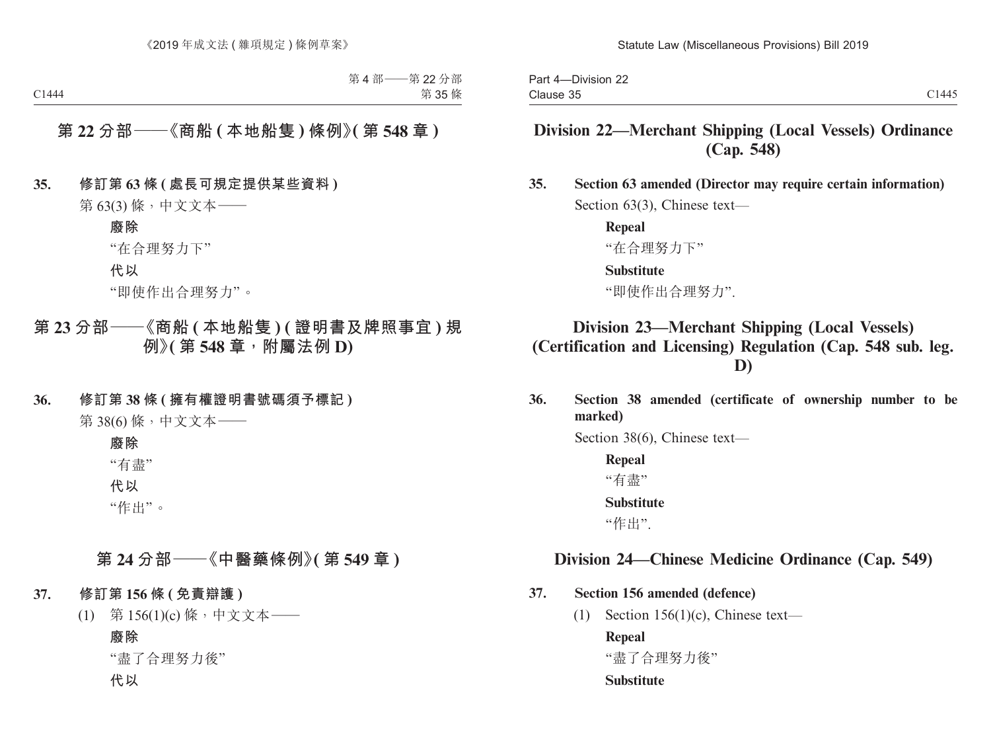Part 4—Division 22 Clause 35 Clause 35 Clause 35

## **Division 22—Merchant Shipping (Local Vessels) Ordinance (Cap. 548)**

**35. Section 63 amended (Director may require certain information)** Section 63(3), Chinese text—

> **Repeal** "在合理努力下"

#### **Substitute**

"即使作出合理努力".

## **Division 23—Merchant Shipping (Local Vessels) (Certification and Licensing) Regulation (Cap. 548 sub. leg. D)**

**36. Section 38 amended (certificate of ownership number to be marked)**

Section 38(6), Chinese text—

**Repeal** "有盡" **Substitute** "作出".

## **Division 24—Chinese Medicine Ordinance (Cap. 549)**

#### **37. Section 156 amended (defence)**

(1) Section 156(1)(c), Chinese text—

**Repeal**

"盡了合理努力後"

#### **Substitute**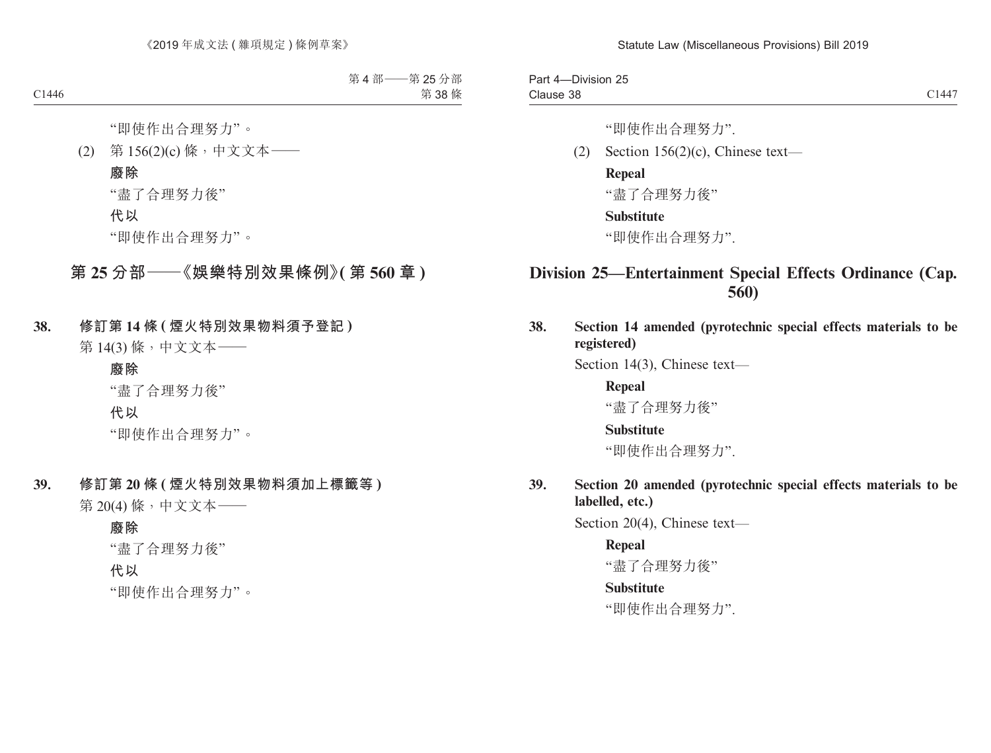Part 4—Division 25 Clause 38 Clause 38 and 2014 Clause 38 and 2014 Clause 38 and 2014 Clause 38 and 2014 Clause 38 and 2014 Clause 38 and 2014 Clause 38 and 2014 Clause 38 and 2014 Clause 38 and 2014 Clause 38 and 2014 Clause 38 and 2014 Clause 38 and

"即使作出合理努力".

(2) Section 156(2)(c), Chinese text—

#### **Repeal**

"盡了合理努力後"

#### **Substitute**

"即使作出合理努力".

## **Division 25—Entertainment Special Effects Ordinance (Cap. 560)**

**38. Section 14 amended (pyrotechnic special effects materials to be registered)**

Section 14(3), Chinese text—

**Repeal** "盡了合理努力後"

#### **Substitute**

"即使作出合理努力".

**39. Section 20 amended (pyrotechnic special effects materials to be labelled, etc.)**

Section 20(4), Chinese text—

#### **Repeal**

"盡了合理努力後"

#### **Substitute**

"即使作出合理努力".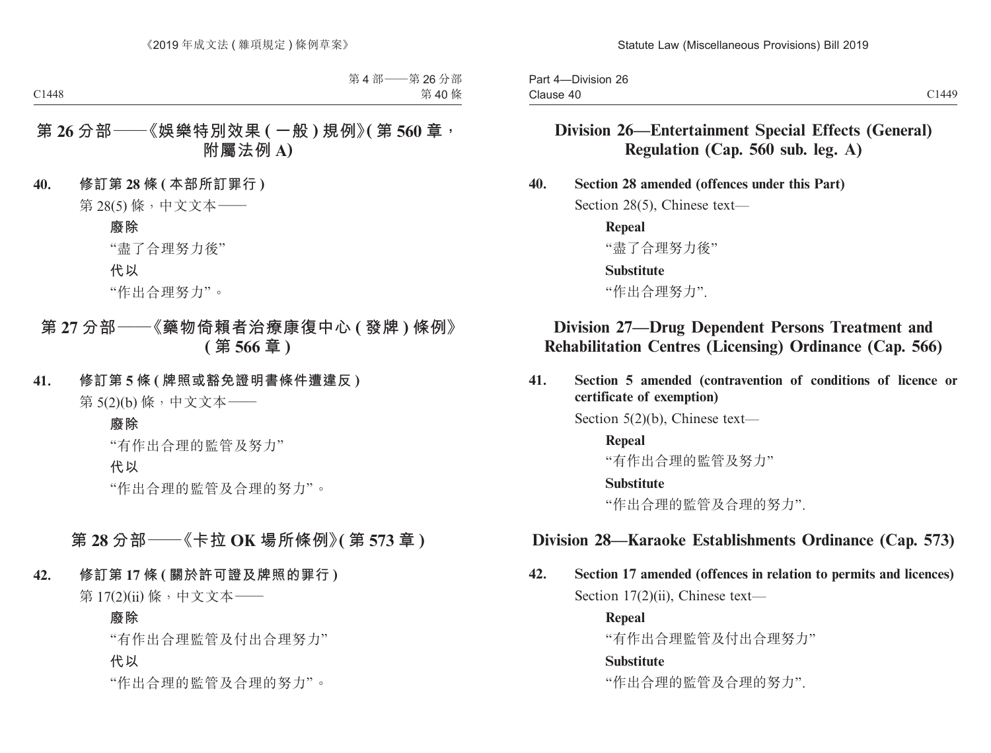Part 4—Division 26 Clause 40 Clause 40 and 2014 Clause 40 and 2014 Clause 40 and 2014 Clause 30 and 2014 Clause 30 and 2014 Clause 30 and 20

## **Division 26—Entertainment Special Effects (General) Regulation (Cap. 560 sub. leg. A)**

**40. Section 28 amended (offences under this Part)**

Section 28(5), Chinese text—

**Repeal** "盡了合理努力後"

**Substitute**

"作出合理努力".

## **Division 27—Drug Dependent Persons Treatment and Rehabilitation Centres (Licensing) Ordinance (Cap. 566)**

**41. Section 5 amended (contravention of conditions of licence or certificate of exemption)**

Section 5(2)(b), Chinese text—

**Repeal**

"有作出合理的監管及努力"

**Substitute**

"作出合理的監管及合理的努力".

## **Division 28—Karaoke Establishments Ordinance (Cap. 573)**

**42. Section 17 amended (offences in relation to permits and licences)** Section 17(2)(ii), Chinese text—

> **Repeal** "有作出合理監管及付出合理努力" **Substitute**

"作出合理的監管及合理的努力".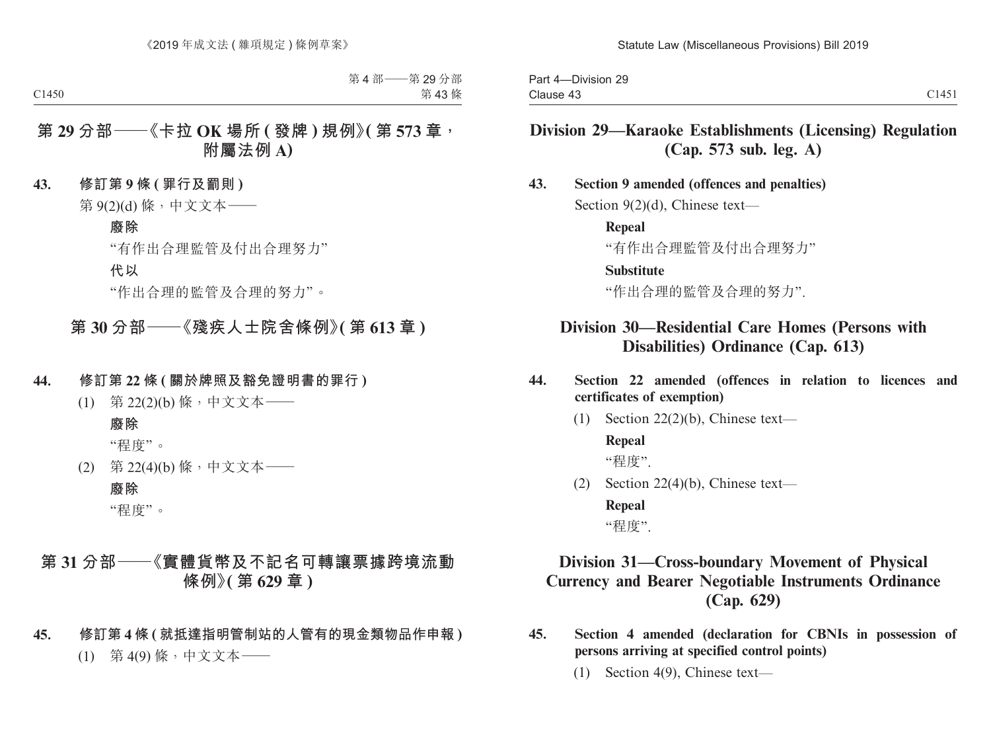Part 4—Division 29 Clause 43 Clause 43 Clause 43

## **Division 29—Karaoke Establishments (Licensing) Regulation (Cap. 573 sub. leg. A)**

#### **43. Section 9 amended (offences and penalties)**

Section 9(2)(d), Chinese text—

**Repeal**

"有作出合理監管及付出合理努力"

#### **Substitute**

"作出合理的監管及合理的努力".

## **Division 30—Residential Care Homes (Persons with Disabilities) Ordinance (Cap. 613)**

- **44. Section 22 amended (offences in relation to licences and certificates of exemption)**
	- (1) Section 22(2)(b), Chinese text—

#### **Repeal**

"程度".

(2) Section 22(4)(b), Chinese text—

**Repeal** "程度".

## **Division 31—Cross-boundary Movement of Physical Currency and Bearer Negotiable Instruments Ordinance (Cap. 629)**

- **45. Section 4 amended (declaration for CBNIs in possession of persons arriving at specified control points)**
	- (1) Section 4(9), Chinese text—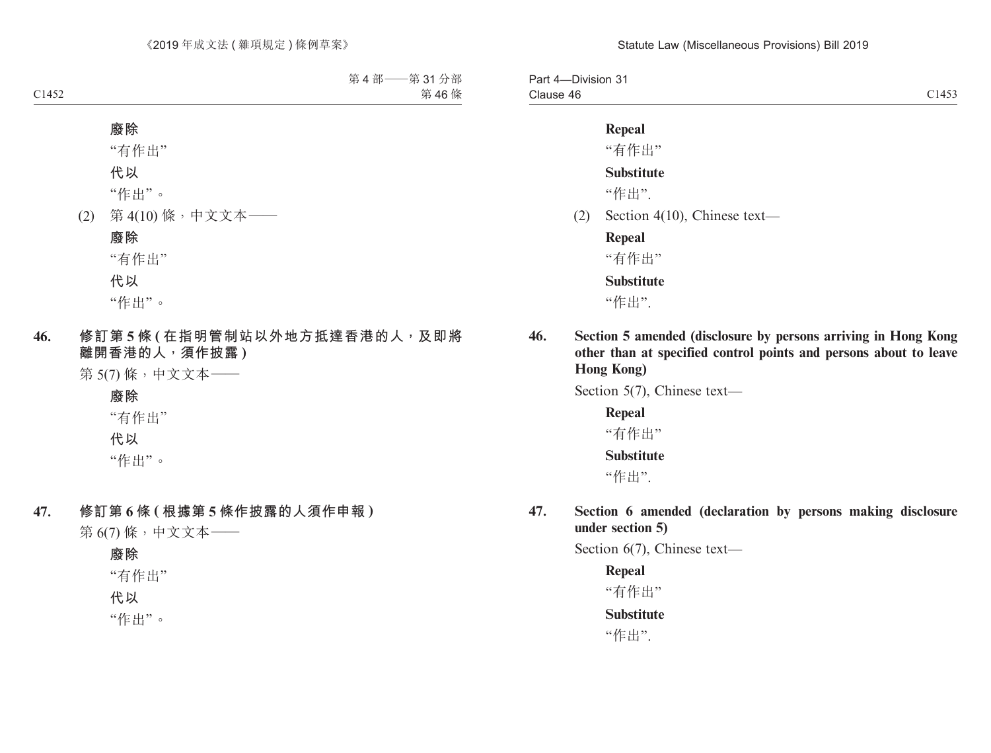Part 4—Division 31 Clause 46 Clause 46 contract to the contract of the contract of the contract of the contract of the contract of the contract of the contract of the contract of the contract of the contract of the contract of the contract of the cont

#### **Repeal**

"有作出"

#### **Substitute**

"作出".

(2) Section 4(10), Chinese text—

**Repeal**

"有作出"

**Substitute**

"作出".

**46. Section 5 amended (disclosure by persons arriving in Hong Kong other than at specified control points and persons about to leave Hong Kong)**

Section 5(7), Chinese text—

**Repeal** "有作出" **Substitute** "作出".

**47. Section 6 amended (declaration by persons making disclosure under section 5)**

Section 6(7), Chinese text—

**Repeal** "有作出" **Substitute**

"作出".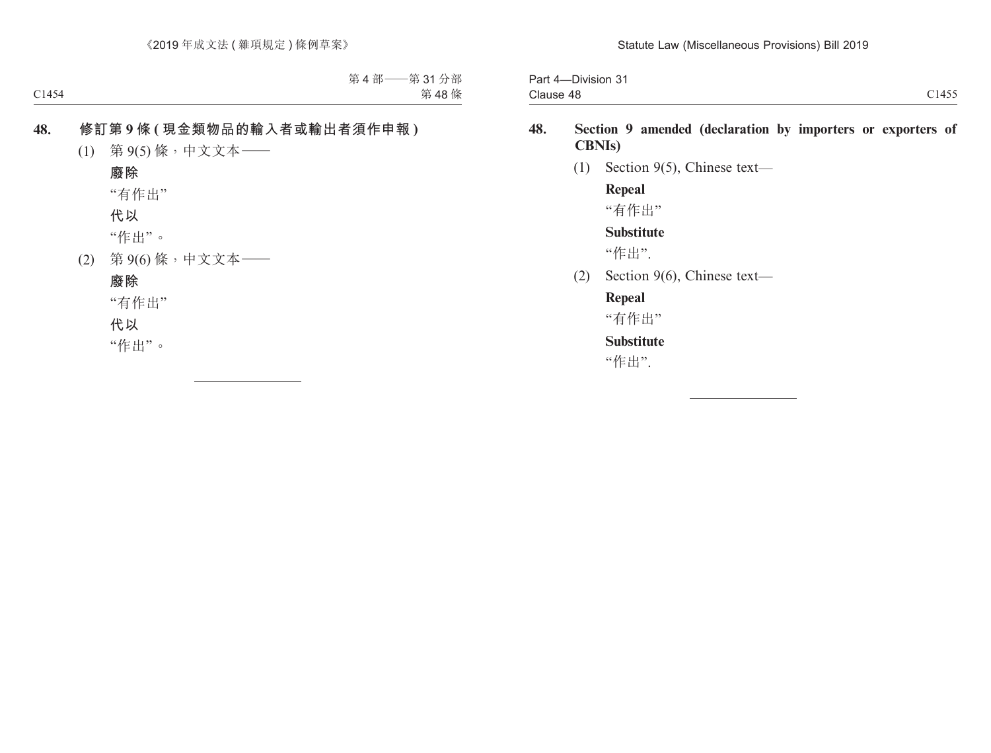| $\mathbf{a}$<br>-Division 31<br>Part 4- |                                   |
|-----------------------------------------|-----------------------------------|
| Clause 48                               | 3.1 A F F<br>$\lambda$ .<br>ر د ۱ |

# **48. Section 9 amended (declaration by importers or exporters of CBNIs)**

(1) Section 9(5), Chinese text—

**Repeal** "有作出"

**Substitute**

"作出".

(2) Section 9(6), Chinese text—

### **Repeal**

"有作出"

# **Substitute**

"作出".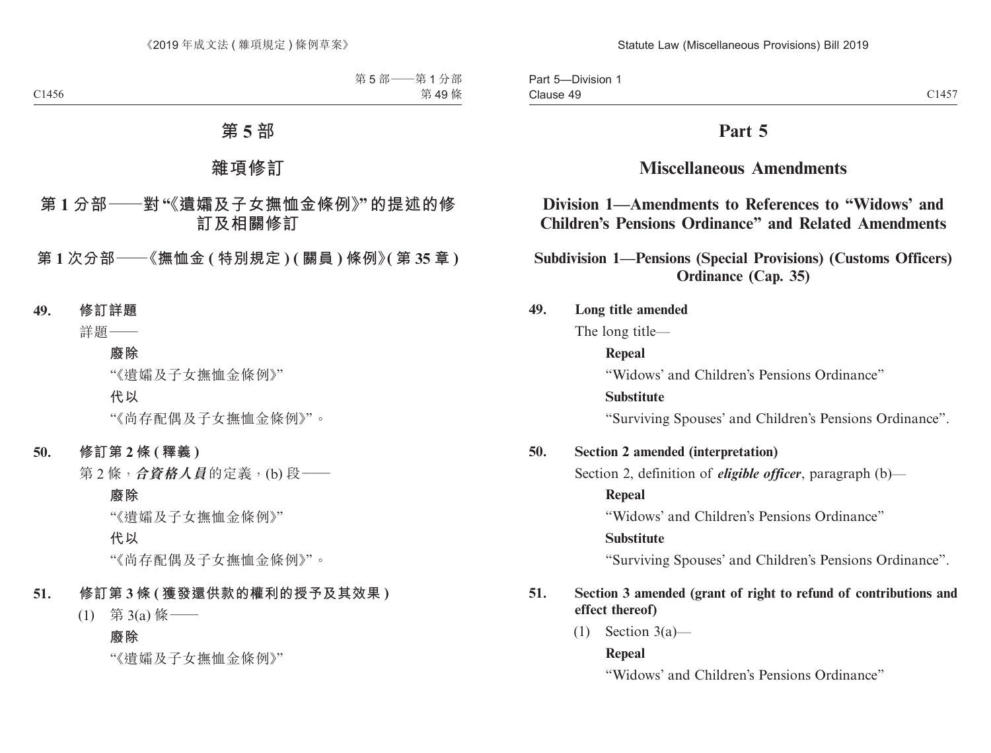Part 5—Division 1 Clause 49 Clause 49  $C1457$ 

# **Part 5**

# **Miscellaneous Amendments**

# **Division 1—Amendments to References to "Widows' and Children's Pensions Ordinance" and Related Amendments**

**Subdivision 1—Pensions (Special Provisions) (Customs Officers) Ordinance (Cap. 35)**

### **49. Long title amended**

The long title—

### **Repeal**

"Widows' and Children's Pensions Ordinance"

### **Substitute**

"Surviving Spouses' and Children's Pensions Ordinance".

### **50. Section 2 amended (interpretation)**

Section 2, definition of *eligible officer*, paragraph (b)—

### **Repeal**

"Widows' and Children's Pensions Ordinance"

### **Substitute**

"Surviving Spouses' and Children's Pensions Ordinance".

# **51. Section 3 amended (grant of right to refund of contributions and effect thereof)**

 $(1)$  Section 3(a)—

### **Repeal**

"Widows' and Children's Pensions Ordinance"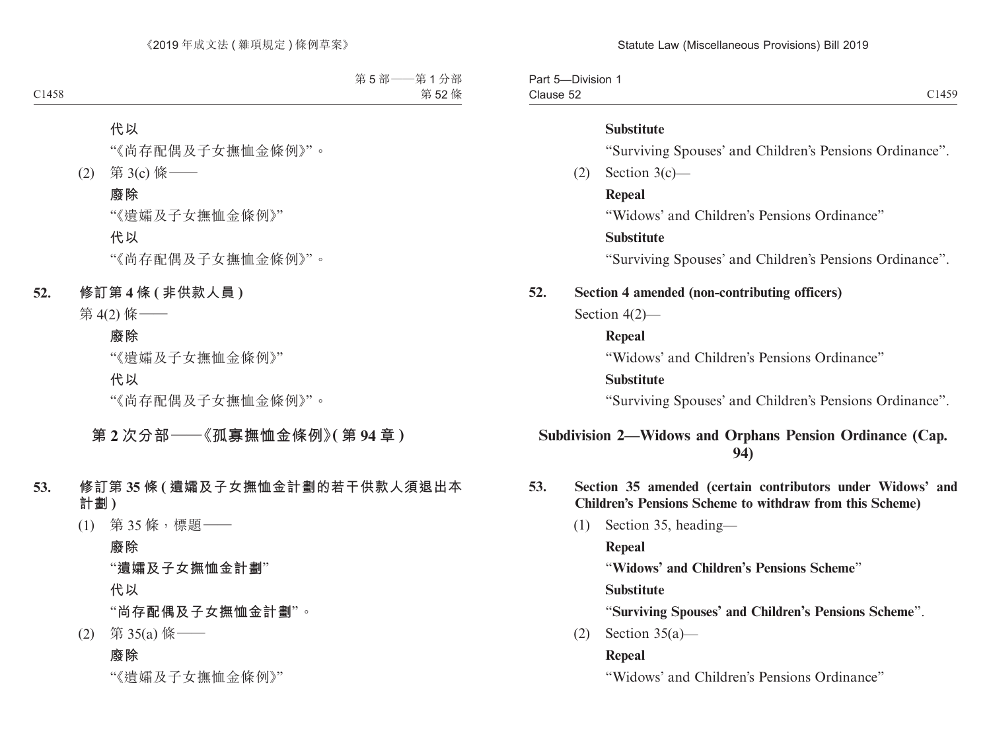Part 5—Division 1 Clause 52 Clause 52 Class Control of the Class Control of the Class Control of the Class Class Class Control of the Class

#### **Substitute**

"Surviving Spouses' and Children's Pensions Ordinance".

 $(2)$  Section 3(c) —

**Repeal**

"Widows' and Children's Pensions Ordinance"

### **Substitute**

"Surviving Spouses' and Children's Pensions Ordinance".

### **52. Section 4 amended (non-contributing officers)**

Section 4(2)—

### **Repeal**

"Widows' and Children's Pensions Ordinance"

#### **Substitute**

"Surviving Spouses' and Children's Pensions Ordinance".

# **Subdivision 2—Widows and Orphans Pension Ordinance (Cap. 94)**

- **53. Section 35 amended (certain contributors under Widows' and Children's Pensions Scheme to withdraw from this Scheme)**
	- (1) Section 35, heading—

**Repeal**

"**Widows' and Children's Pensions Scheme**"

**Substitute**

"**Surviving Spouses' and Children's Pensions Scheme**".

(2) Section 35(a)—

#### **Repeal**

"Widows' and Children's Pensions Ordinance"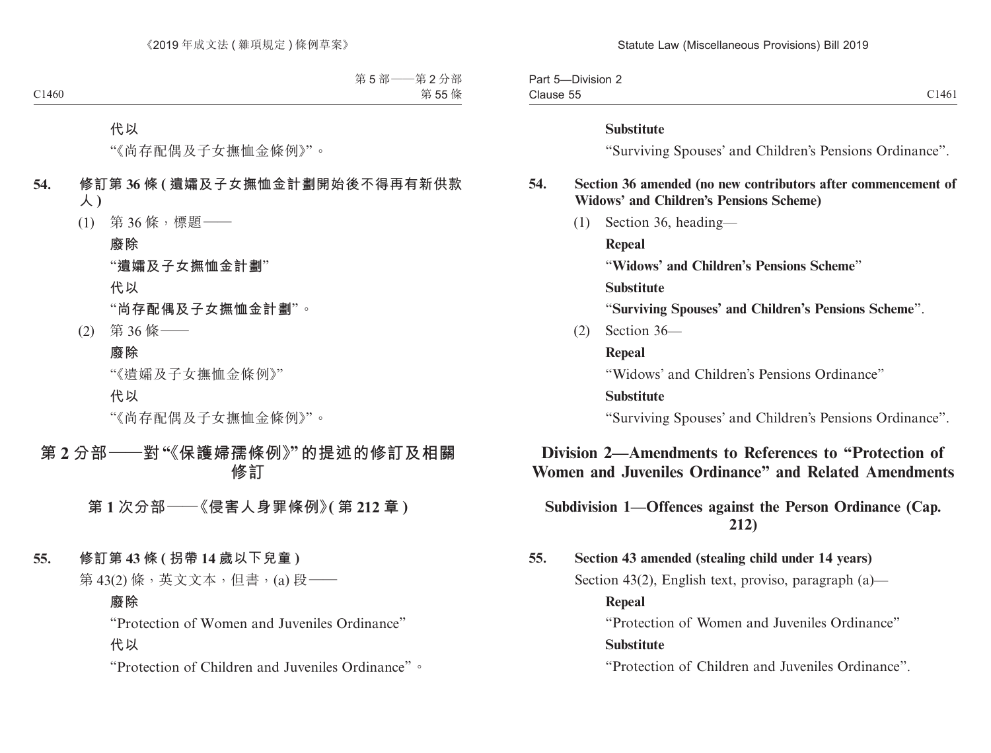| $\sim$<br>-Division 2<br>−aı ı         |       |
|----------------------------------------|-------|
| --<br>$\bigcap_{n\geq 1}$<br>Clause 55 | C1461 |

#### **Substitute**

"Surviving Spouses' and Children's Pensions Ordinance".

### **54. Section 36 amended (no new contributors after commencement of Widows' and Children's Pensions Scheme)**

(1) Section 36, heading—

**Repeal**

"**Widows' and Children's Pensions Scheme**"

**Substitute**

"**Surviving Spouses' and Children's Pensions Scheme**".

(2) Section 36—

**Repeal**

"Widows' and Children's Pensions Ordinance"

#### **Substitute**

"Surviving Spouses' and Children's Pensions Ordinance".

# **Division 2—Amendments to References to "Protection of Women and Juveniles Ordinance" and Related Amendments**

# **Subdivision 1—Offences against the Person Ordinance (Cap. 212)**

**55. Section 43 amended (stealing child under 14 years)** Section 43(2), English text, proviso, paragraph (a)—

**Repeal** "Protection of Women and Juveniles Ordinance" **Substitute**

"Protection of Children and Juveniles Ordinance".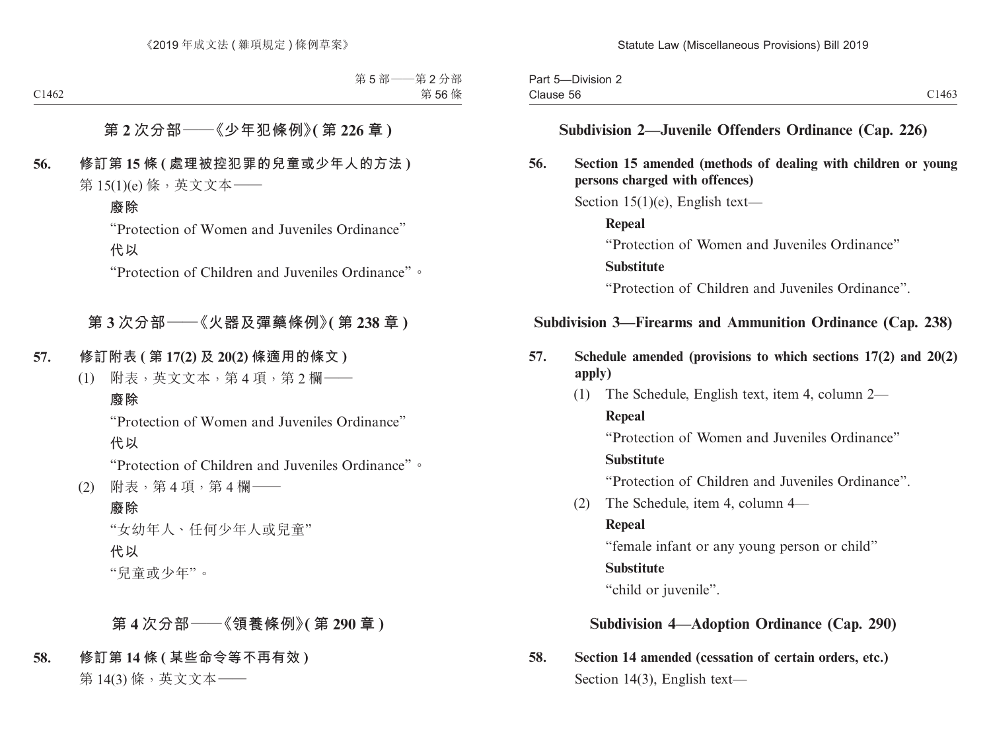# **Subdivision 2—Juvenile Offenders Ordinance (Cap. 226)**

# **56. Section 15 amended (methods of dealing with children or young persons charged with offences)**

Section  $15(1)(e)$ , English text—

**Repeal** "Protection of Women and Juveniles Ordinance" **Substitute** "Protection of Children and Juveniles Ordinance".

# **Subdivision 3—Firearms and Ammunition Ordinance (Cap. 238)**

- **57. Schedule amended (provisions to which sections 17(2) and 20(2) apply)**
	- (1) The Schedule, English text, item 4, column 2—

**Repeal**

"Protection of Women and Juveniles Ordinance"

### **Substitute**

"Protection of Children and Juveniles Ordinance".

(2) The Schedule, item 4, column 4—

### **Repeal**

"female infant or any young person or child"

# **Substitute**

"child or juvenile".

# **Subdivision 4—Adoption Ordinance (Cap. 290)**

**58. Section 14 amended (cessation of certain orders, etc.)** Section 14(3), English text—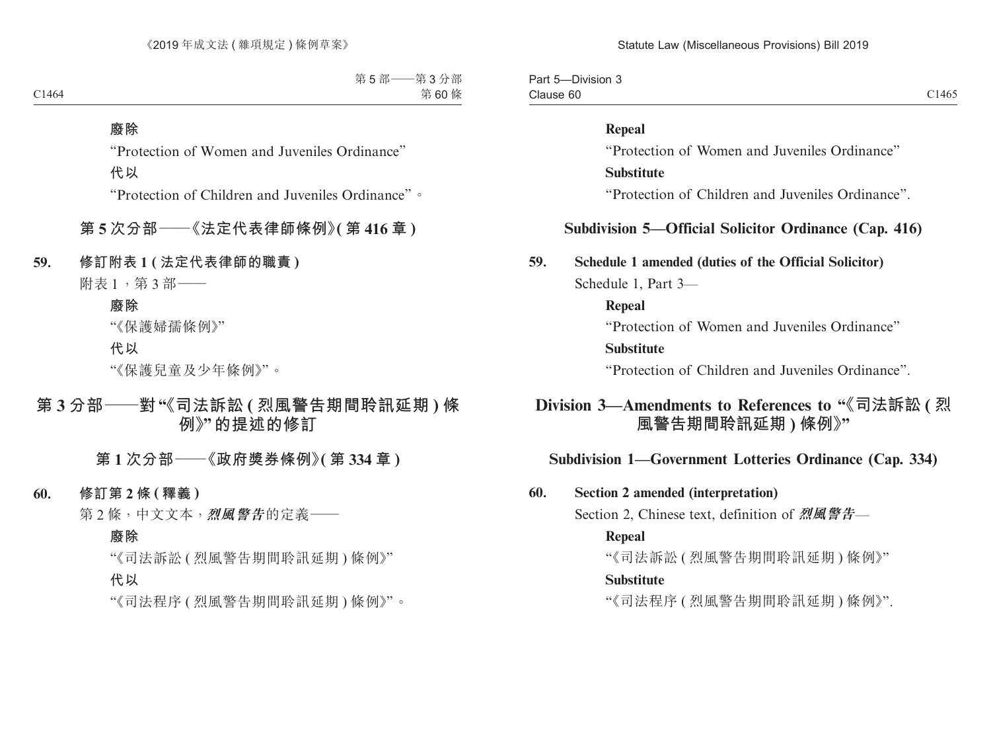Part 5—Division 3 Clause 60 Clause 60  $C1465$ 

#### **Repeal**

"Protection of Women and Juveniles Ordinance"

#### **Substitute**

"Protection of Children and Juveniles Ordinance".

# **Subdivision 5—Official Solicitor Ordinance (Cap. 416)**

#### **59. Schedule 1 amended (duties of the Official Solicitor)**

Schedule 1, Part 3—

#### **Repeal**

"Protection of Women and Juveniles Ordinance"

#### **Substitute**

"Protection of Children and Juveniles Ordinance".

# **Division 3—Amendments to References to "《司法訴訟 ( 烈 風警告期間聆訊延期 ) 條例》"**

### **Subdivision 1—Government Lotteries Ordinance (Cap. 334)**

### **60. Section 2 amended (interpretation)**

Section 2, Chinese text, definition of **烈風警告**—

#### **Repeal**

"《司法訴訟 ( 烈風警告期間聆訊延期 ) 條例》"

#### **Substitute**

"《司法程序 ( 烈風警告期間聆訊延期 ) 條例》".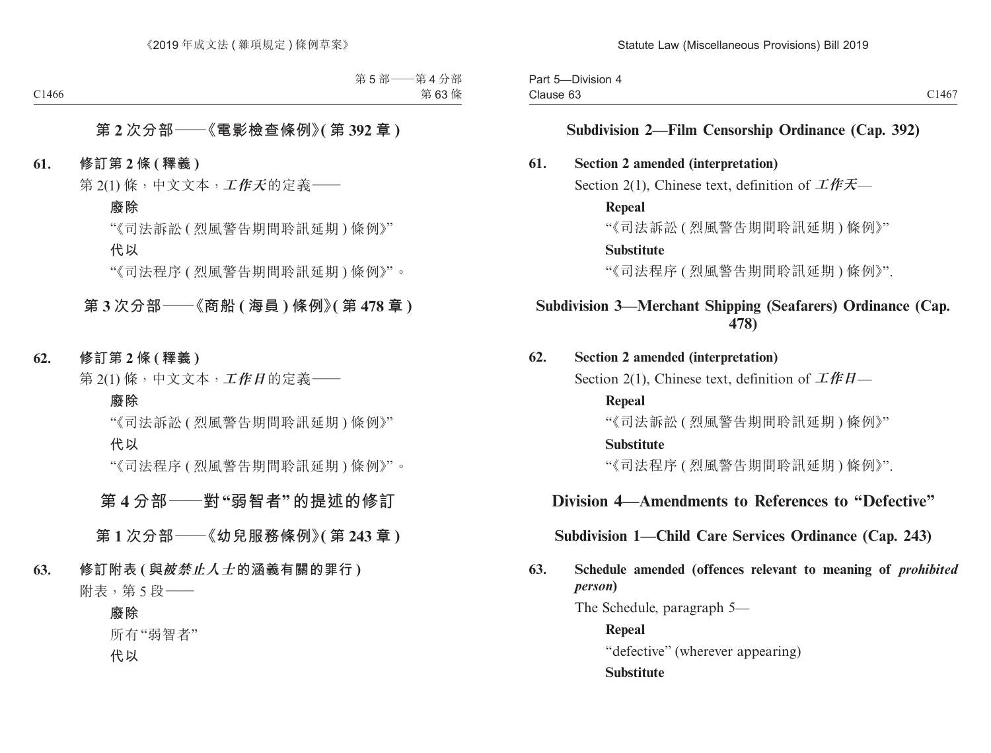Part 5—Division 4 Clause 63 Clause 63  $C1467$ 

### **Subdivision 2—Film Censorship Ordinance (Cap. 392)**

### **61. Section 2 amended (interpretation)**

Section 2(1), Chinese text, definition of **工作天**—

#### **Repeal**

"《司法訴訟 ( 烈風警告期間聆訊延期 ) 條例》"

#### **Substitute**

"《司法程序 ( 烈風警告期間聆訊延期 ) 條例》".

# **Subdivision 3—Merchant Shipping (Seafarers) Ordinance (Cap. 478)**

### **62. Section 2 amended (interpretation)**

Section 2(1), Chinese text, definition of **工作日**—

#### **Repeal**

"《司法訴訟 ( 烈風警告期間聆訊延期 ) 條例》"

#### **Substitute**

"《司法程序 ( 烈風警告期間聆訊延期 ) 條例》".

# **Division 4—Amendments to References to "Defective"**

### **Subdivision 1—Child Care Services Ordinance (Cap. 243)**

# **63. Schedule amended (offences relevant to meaning of** *prohibited person***)**

The Schedule, paragraph 5—

**Repeal** "defective" (wherever appearing) **Substitute**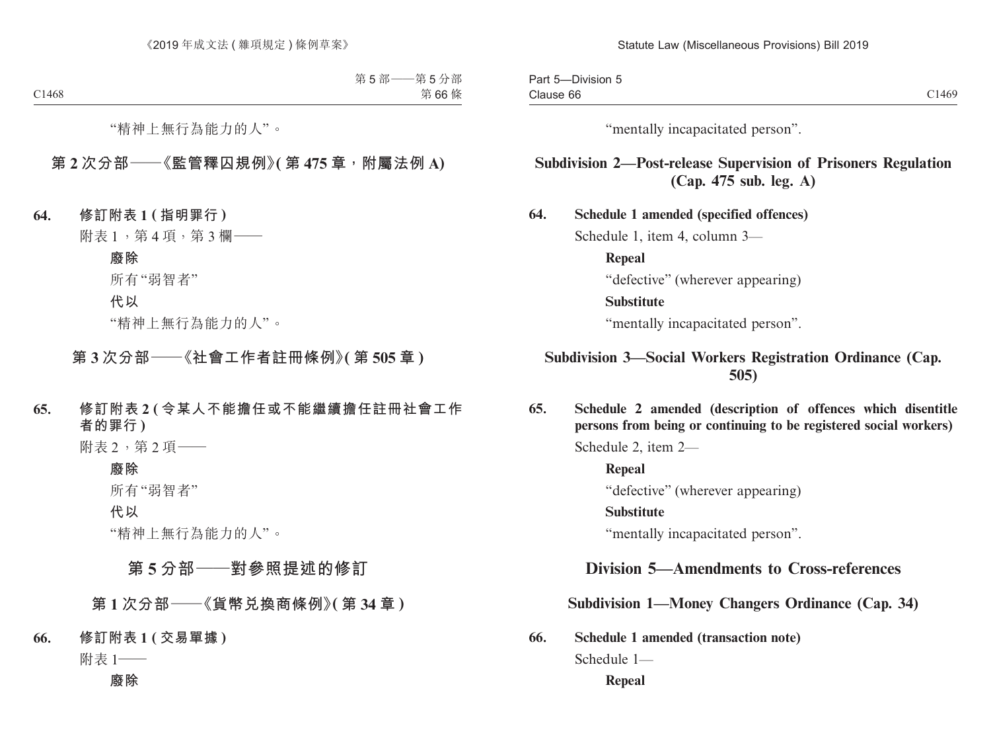| $- \cdot \cdot \cdot$<br>-Division 5<br>Part 5 |       |
|------------------------------------------------|-------|
| Clause 66                                      | C1469 |

"mentally incapacitated person".

# **Subdivision 2—Post-release Supervision of Prisoners Regulation (Cap. 475 sub. leg. A)**

**64. Schedule 1 amended (specified offences)** Schedule 1, item 4, column 3— **Repeal** "defective" (wherever appearing) **Substitute** "mentally incapacitated person".

# **Subdivision 3—Social Workers Registration Ordinance (Cap. 505)**

**65. Schedule 2 amended (description of offences which disentitle persons from being or continuing to be registered social workers)**

Schedule 2, item 2—

**Repeal** "defective" (wherever appearing)

**Substitute**

"mentally incapacitated person".

# **Division 5—Amendments to Cross-references**

**Subdivision 1—Money Changers Ordinance (Cap. 34)**

**66. Schedule 1 amended (transaction note)**

Schedule 1—

**Repeal**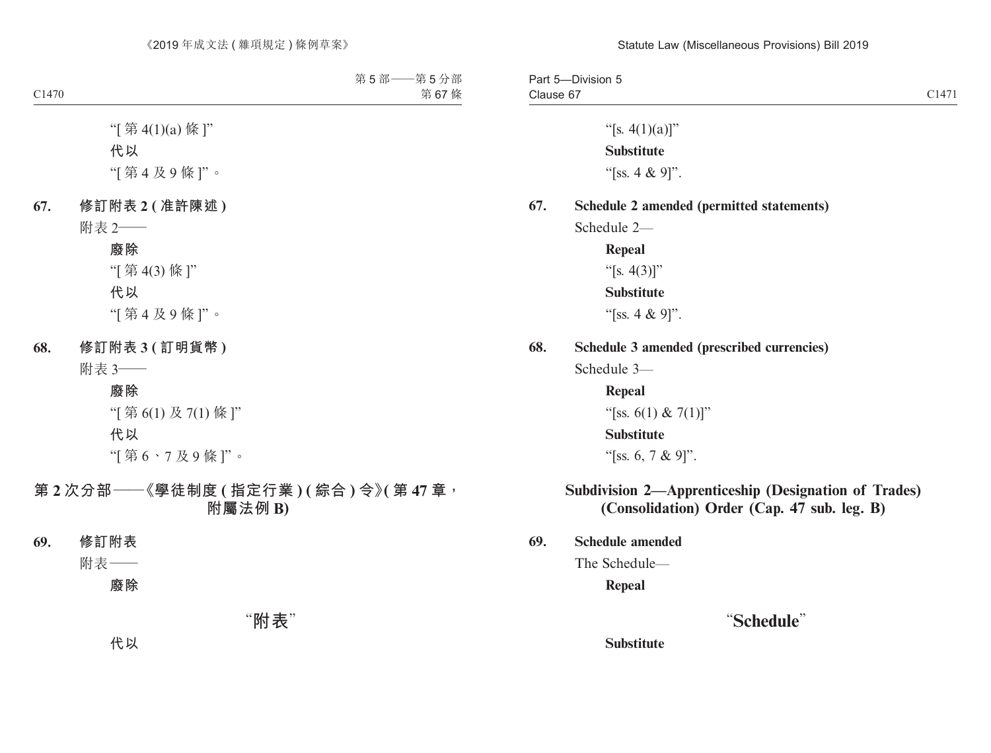#### Statute Law (Miscellaneous Provisions) Bill 2019

Part 5—Division 5 Clause 67 Clause 67 and 2014 Clause 67 and 2014 Clause 67 and 2014 Clause 67 and 2014 Clause 67 and 2014 Clause 2014 Cla

"[s.  $4(1)(a)$ ]" **Substitute** "[ss. 4 & 9]".

#### **67. Schedule 2 amended (permitted statements)**

Schedule 2—

**Repeal** "[s.  $4(3)$ ]" **Substitute** "[ss. 4 & 9]".

#### **68. Schedule 3 amended (prescribed currencies)**

Schedule 3—

**Repeal**

"[ss. 6(1) & 7(1)]"

#### **Substitute**

"[ss. 6, 7 & 9]".

### **Subdivision 2—Apprenticeship (Designation of Trades) (Consolidation) Order (Cap. 47 sub. leg. B)**

**69. Schedule amended**

The Schedule—

**Repeal**

# "**Schedule**"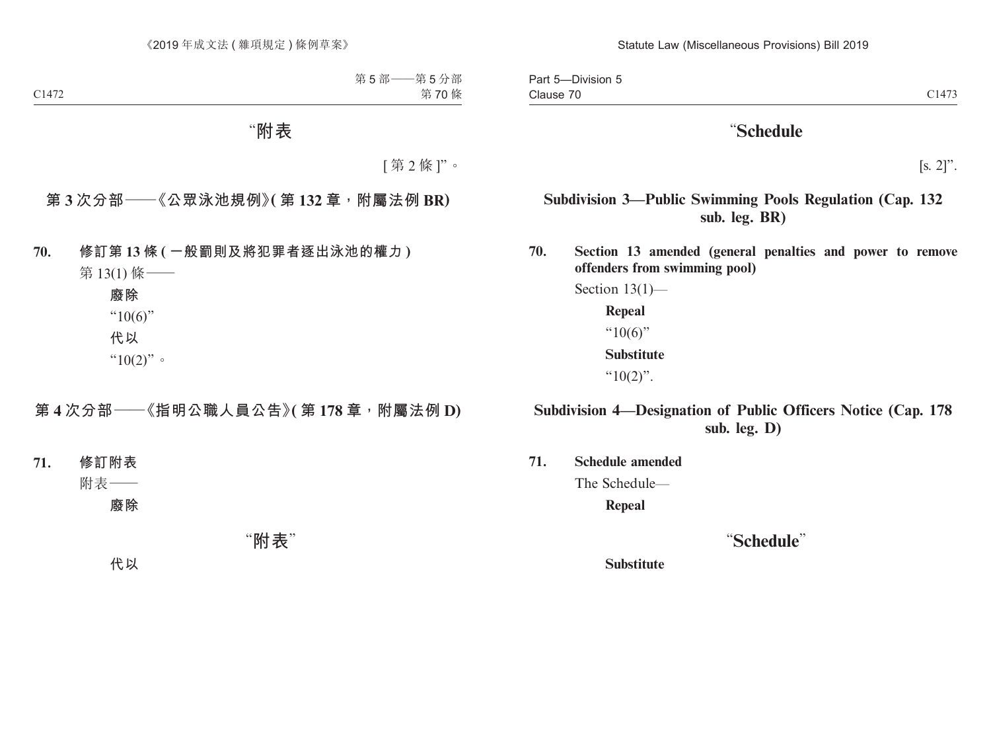Part 5—Division 5 Clause 70 Clause 70 and 2014 and 2014 and 2014 and 2014 and 2014 and 2014 and 2014 and 2014 and 2014 and 2014 and 2014 and 2014 and 2014 and 2014 and 2014 and 2014 and 2014 and 2014 and 2014 and 2014 and 2014 and 2014 and 2014 and 2

# "**Schedule**

 $[s. 2]$ ".

# **Subdivision 3—Public Swimming Pools Regulation (Cap. 132 sub. leg. BR)**

**70. Section 13 amended (general penalties and power to remove offenders from swimming pool)**

> Section 13(1)— **Repeal**  $"10(6)"$ **Substitute** " $10(2)$ ".

# **Subdivision 4—Designation of Public Officers Notice (Cap. 178 sub. leg. D)**

**71. Schedule amended**

The Schedule—

**Repeal**

# "**Schedule**"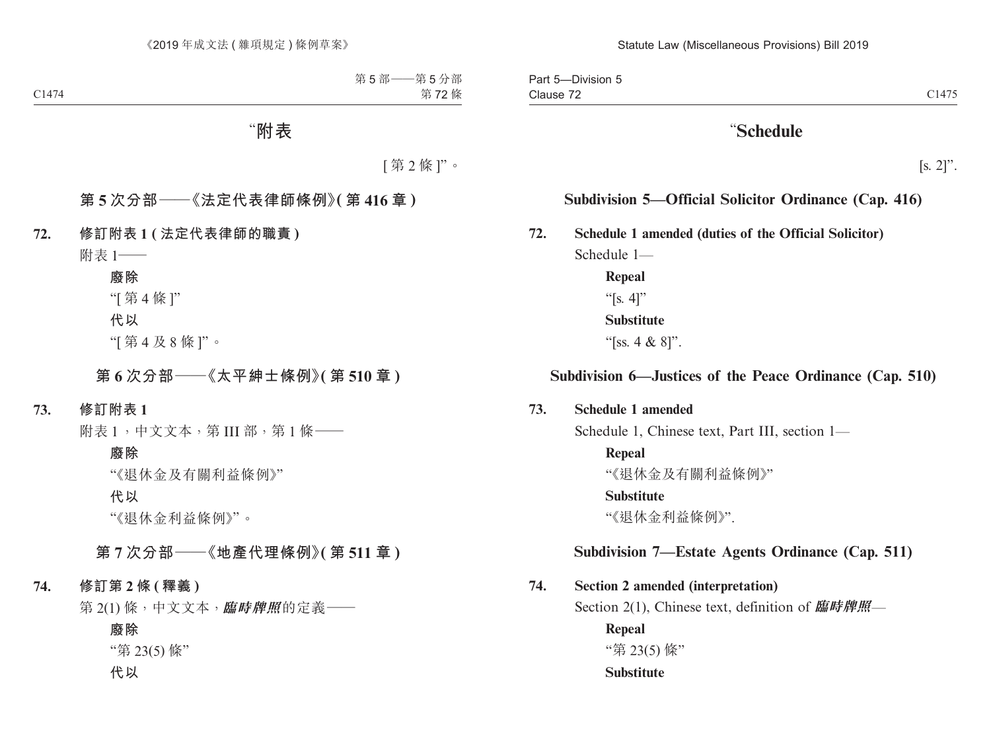# "**Schedule**

 $[s, 2]$ ".

# **Subdivision 5—Official Solicitor Ordinance (Cap. 416)**

**72. Schedule 1 amended (duties of the Official Solicitor)**

Schedule 1— **Repeal**

> "[s. 4]" **Substitute**

"[ss. 4 & 8]".

# **Subdivision 6—Justices of the Peace Ordinance (Cap. 510)**

### **73. Schedule 1 amended**

Schedule 1, Chinese text, Part III, section 1—

**Repeal**

"《退休金及有關利益條例》"

#### **Substitute**

"《退休金利益條例》".

# **Subdivision 7—Estate Agents Ordinance (Cap. 511)**

### **74. Section 2 amended (interpretation)**

Section 2(1), Chinese text, definition of **臨時牌照**—

**Repeal**

"第 23(5) 條"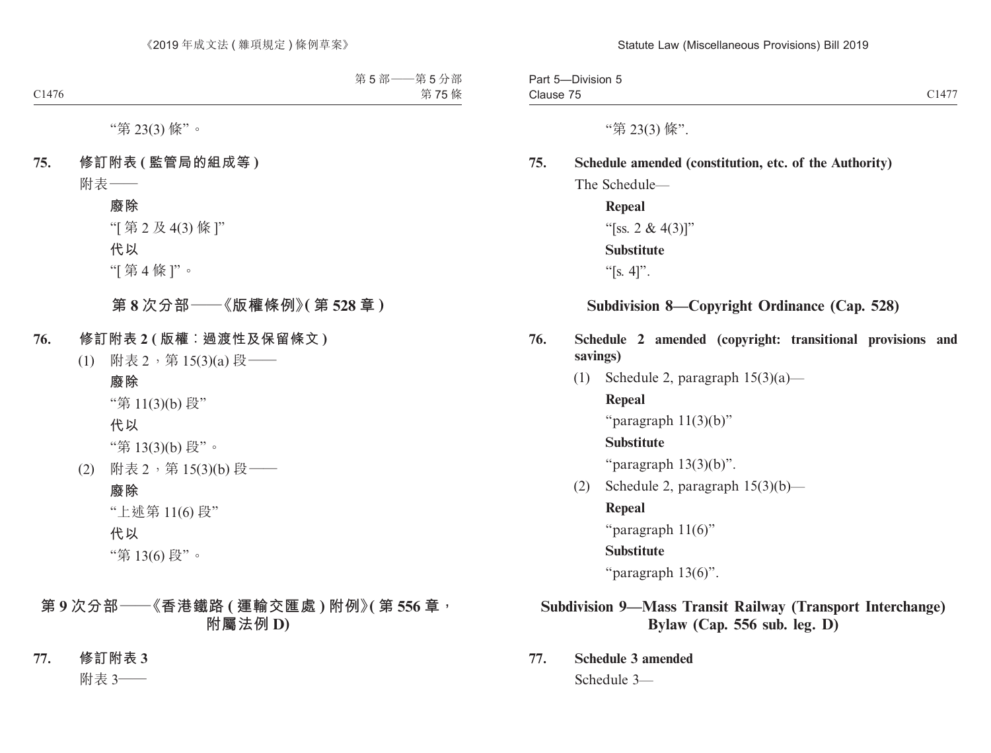Part 5—Division 5 Clause 75 Clause  $75$  Clause  $75$ 

"第 23(3) 條".

# **75. Schedule amended (constitution, etc. of the Authority)**

The Schedule—

**Repeal** "[ss. 2 &  $4(3)$ ]" **Substitute** " $[s, 4]$ ".

# **Subdivision 8—Copyright Ordinance (Cap. 528)**

- **76. Schedule 2 amended (copyright: transitional provisions and savings)**
	- (1) Schedule 2, paragraph  $15(3)(a)$ —

**Repeal**

"paragraph 11(3)(b)"

### **Substitute**

"paragraph  $13(3)(b)$ ".

(2) Schedule 2, paragraph  $15(3)(b)$ —

**Repeal**

"paragraph 11(6)"

### **Substitute**

"paragraph 13(6)".

# **Subdivision 9—Mass Transit Railway (Transport Interchange) Bylaw (Cap. 556 sub. leg. D)**

**77. Schedule 3 amended** Schedule 3—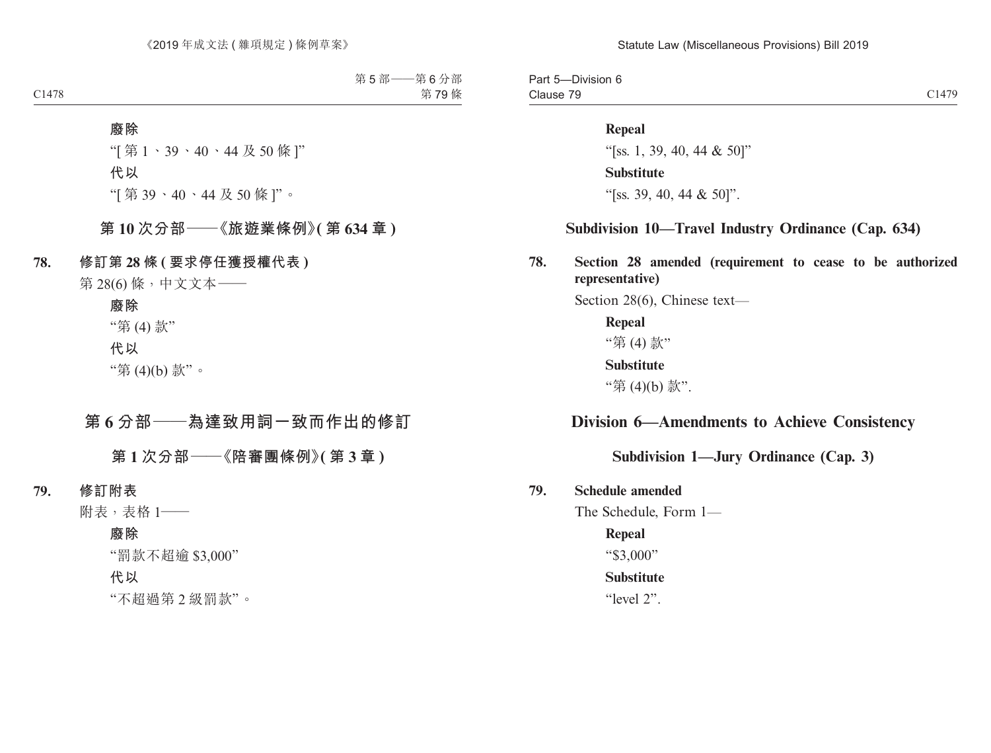Part 5—Division 6 Clause 79 Clause 79 and 2014 Clause 79 and 2014 Clause 79 and 2014 Clause 79 and 2014 Clause 79 and 2014 Clause 79 and 20

#### **Repeal**

"[ss. 1, 39, 40, 44 & 50]" **Substitute** "[ss. 39, 40, 44 & 50]".

#### **Subdivision 10—Travel Industry Ordinance (Cap. 634)**

**78. Section 28 amended (requirement to cease to be authorized representative)**

Section 28(6), Chinese text—

**Repeal** "第 (4) 款" **Substitute** "第 (4)(b) 款".

# **Division 6—Amendments to Achieve Consistency**

# **Subdivision 1—Jury Ordinance (Cap. 3)**

#### **79. Schedule amended**

The Schedule, Form 1—

#### **Repeal**

"\$3,000"

#### **Substitute**

"level 2".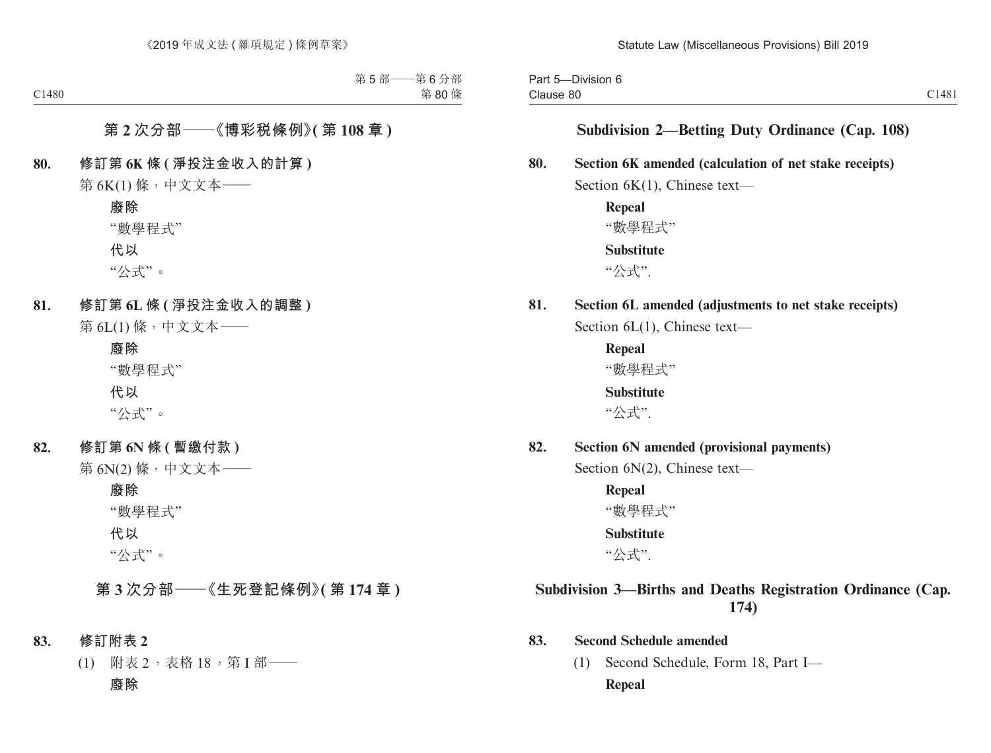Part 5—Division 6 Clause 80 Clause 80 C1481

### **Subdivision 2—Betting Duty Ordinance (Cap. 108)**

#### **80. Section 6K amended (calculation of net stake receipts)**

Section 6K(1), Chinese text—

**Repeal** "數學程式" **Substitute** "公式".

# **81. Section 6L amended (adjustments to net stake receipts)**

Section 6L(1), Chinese text—

**Repeal** "數學程式" **Substitute**

"公式".

**82. Section 6N amended (provisional payments)**

Section 6N(2), Chinese text—

**Repeal** "數學程式" **Substitute**

"公式".

# **Subdivision 3—Births and Deaths Registration Ordinance (Cap. 174)**

#### **83. Second Schedule amended**

(1) Second Schedule, Form 18, Part I— **Repeal**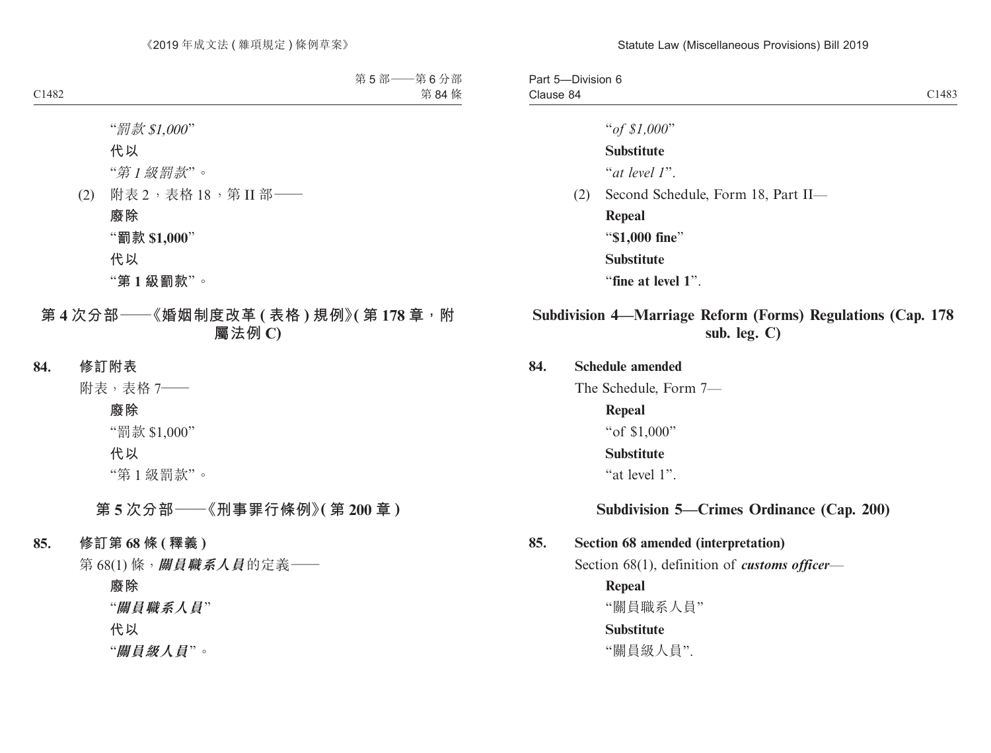| Part 5-Division 6 |                                    |       |
|-------------------|------------------------------------|-------|
| Clause 84         |                                    | C1483 |
|                   | " of \$1,000"                      |       |
|                   | <b>Substitute</b>                  |       |
|                   | "at level 1".                      |       |
| (2)               | Second Schedule, Form 18, Part II- |       |
|                   | Repeal                             |       |
|                   | "\$1,000 fine"                     |       |
|                   | <b>Substitute</b>                  |       |
|                   | "fine at level 1".                 |       |
|                   |                                    |       |

# **Subdivision 4—Marriage Reform (Forms) Regulations (Cap. 178 sub. leg. C)**

#### **84. Schedule amended**

The Schedule, Form 7—

**Repeal** "of \$1,000" **Substitute** "at level 1".

**Subdivision 5—Crimes Ordinance (Cap. 200)**

# **85. Section 68 amended (interpretation)** Section 68(1), definition of *customs officer*—

**Repeal** "關員職系人員" **Substitute** "關員級人員".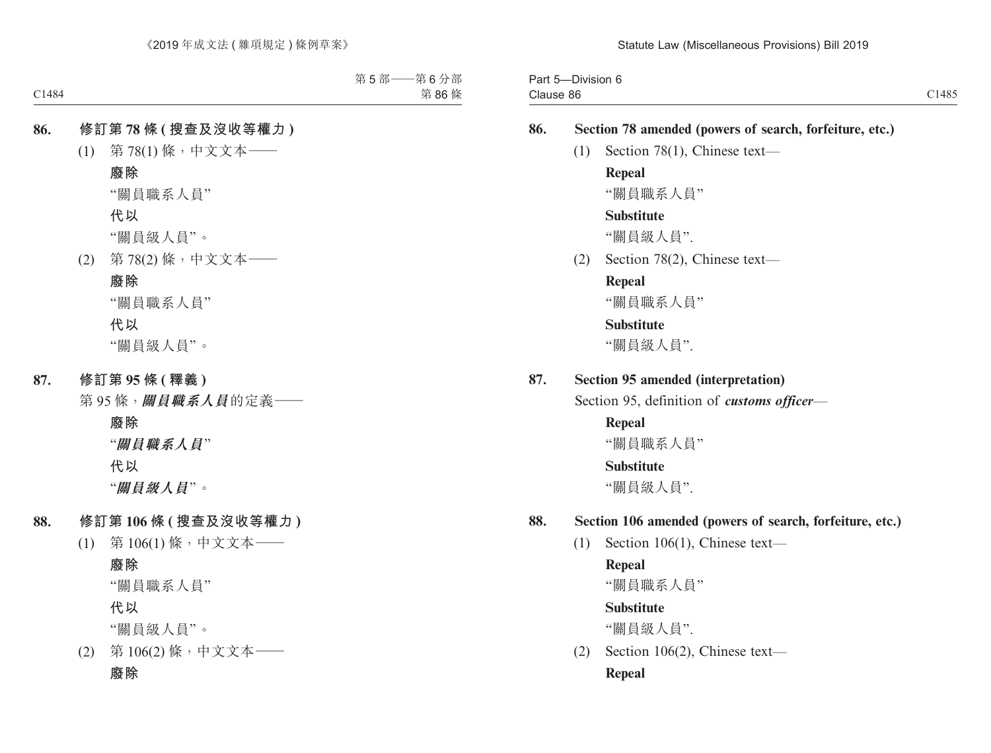Part 5—Division 6 Clause 86 Clause 86 Contract of the Contract of the Contract of the Contract of Contract of Contract of Contract of Contract of Contract of Contract of Contract of Contract of Contract of Contract of Contract of Contract of Contract

# **86. Section 78 amended (powers of search, forfeiture, etc.)**

(1) Section 78(1), Chinese text—

### **Repeal**

"關員職系人員"

### **Substitute**

"關員級人員".

(2) Section 78(2), Chinese text—

### **Repeal**

"關員職系人員"

## **Substitute**

"關員級人員".

### **87. Section 95 amended (interpretation)**

Section 95, definition of *customs officer*—

# **Repeal**

"關員職系人員"

### **Substitute**

"關員級人員".

# **88. Section 106 amended (powers of search, forfeiture, etc.)**

(1) Section 106(1), Chinese text—

# **Repeal**

"關員職系人員"

# **Substitute**

"關員級人員".

(2) Section 106(2), Chinese text— **Repeal**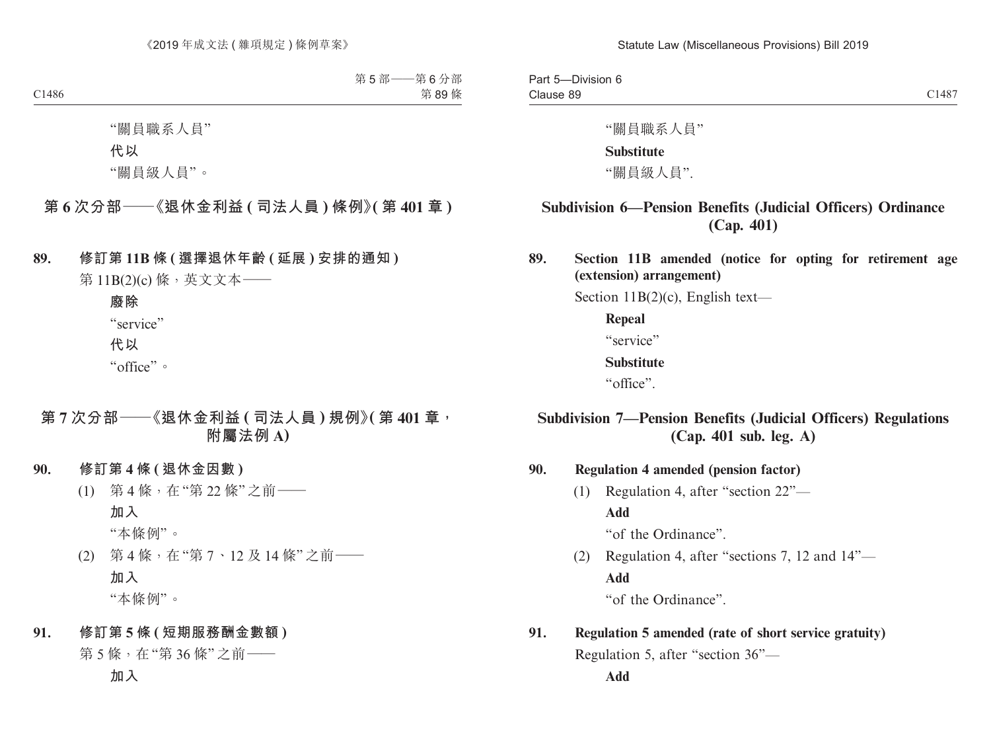Part 5—Division 6 Clause 89 Clause 89 and 2014 Clause 89 and 2014 Clause 89 and 2014 Clause 89 and 2014 Clause 89 and 2014 Clause 2014 Cla

"關員職系人員"

#### **Substitute**

"關員級人員".

# **Subdivision 6—Pension Benefits (Judicial Officers) Ordinance (Cap. 401)**

**89. Section 11B amended (notice for opting for retirement age (extension) arrangement)**

Section 11B(2)(c), English text—

**Repeal**

"service"

#### **Substitute**

"office".

# **Subdivision 7—Pension Benefits (Judicial Officers) Regulations (Cap. 401 sub. leg. A)**

**90. Regulation 4 amended (pension factor)**

(1) Regulation 4, after "section 22"— **Add** "of the Ordinance".

(2) Regulation 4, after "sections 7, 12 and 14"— **Add**

"of the Ordinance".

# **91. Regulation 5 amended (rate of short service gratuity)** Regulation 5, after "section 36"—

**Add**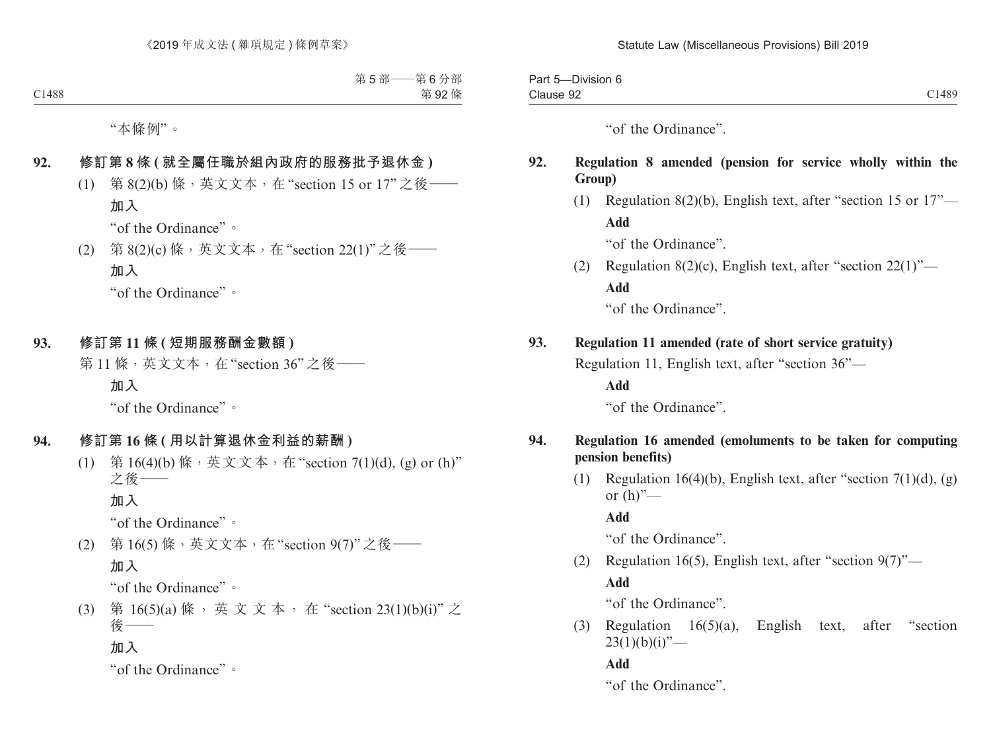| $- \cdot$<br>-<br>Part<br>Division 6<br>$\cdot$ |       |
|-------------------------------------------------|-------|
| Clause 92<br>$-$                                | C1489 |

"of the Ordinance".

### **92. Regulation 8 amended (pension for service wholly within the Group)**

(1) Regulation 8(2)(b), English text, after "section 15 or 17"— **Add**

"of the Ordinance".

(2) Regulation 8(2)(c), English text, after "section  $22(1)$ "— **Add**

"of the Ordinance".

# **93. Regulation 11 amended (rate of short service gratuity)**

Regulation 11, English text, after "section 36"—

**Add**

"of the Ordinance".

### **94. Regulation 16 amended (emoluments to be taken for computing pension benefits)**

(1) Regulation 16(4)(b), English text, after "section 7(1)(d), (g) or  $(h)$ "—

**Add**

"of the Ordinance".

(2) Regulation 16(5), English text, after "section  $9(7)$ "—

# **Add**

"of the Ordinance".

(3) Regulation 16(5)(a), English text, after "section  $23(1)(b)(i)$ "—

**Add**

"of the Ordinance".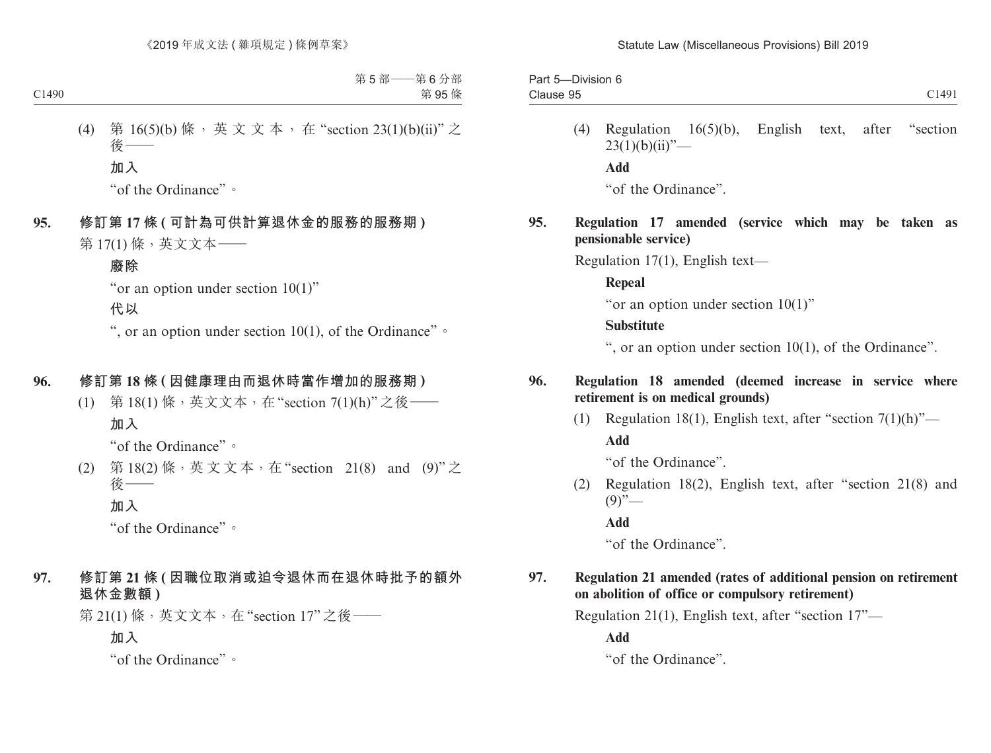| Division 6<br>سہ ر<br>-ail |       |
|----------------------------|-------|
| Clause 95<br>--------      | C1491 |
|                            |       |

(4) Regulation 16(5)(b), English text, after "section  $23(1)(b)(ii)$ "— **Add** "of the Ordinance".

### **95. Regulation 17 amended (service which may be taken as pensionable service)**

Regulation 17(1), English text—

**Repeal**

"or an option under section 10(1)"

### **Substitute**

", or an option under section 10(1), of the Ordinance".

### **96. Regulation 18 amended (deemed increase in service where retirement is on medical grounds)**

(1) Regulation 18(1), English text, after "section  $7(1)(h)$ "— **Add**

"of the Ordinance".

(2) Regulation 18(2), English text, after "section 21(8) and  $(9)$ "—

**Add**

"of the Ordinance".

# **97. Regulation 21 amended (rates of additional pension on retirement on abolition of office or compulsory retirement)**

Regulation 21(1), English text, after "section 17"—

**Add**

"of the Ordinance".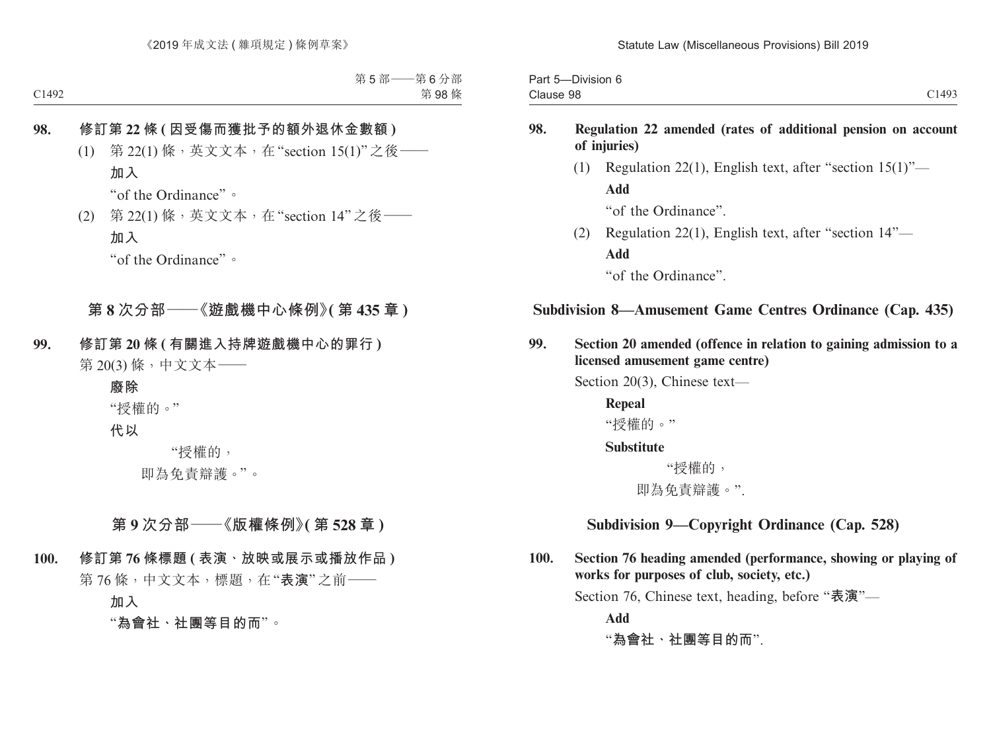| -Division 6<br>$\overline{\phantom{a}}$<br>Part 5 |       |
|---------------------------------------------------|-------|
| Clause 98                                         | C1493 |

### **98. Regulation 22 amended (rates of additional pension on account of injuries)**

(1) Regulation 22(1), English text, after "section  $15(1)$ "— **Add** "of the Ordinance".

(2) Regulation 22(1), English text, after "section 14"— **Add**

"of the Ordinance".

# **Subdivision 8—Amusement Game Centres Ordinance (Cap. 435)**

**99. Section 20 amended (offence in relation to gaining admission to a licensed amusement game centre)**

Section 20(3), Chinese text—

**Repeal** "授權的。"

#### **Substitute**

 "授權的, 即為免責辯護。".

# **Subdivision 9—Copyright Ordinance (Cap. 528)**

**100. Section 76 heading amended (performance, showing or playing of works for purposes of club, society, etc.)**

Section 76, Chinese text, heading, before "**表演**"—

**Add**

"**為會社、社團等目的而**".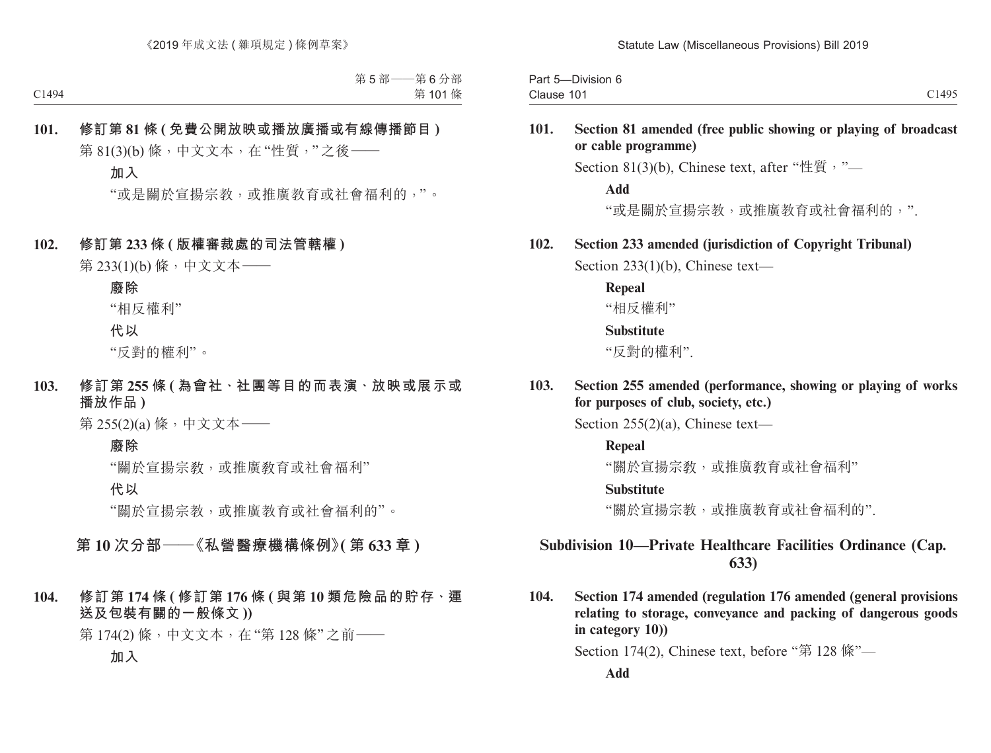| Part 5<br>Division 6            |                     |
|---------------------------------|---------------------|
| $\sim$<br>n.<br>Clause<br>- 1 U | 1495<br>- 1 I I J J |

#### **101. Section 81 amended (free public showing or playing of broadcast or cable programme)**

Section 81(3)(b), Chinese text, after "性質, "—

**Add**

"或是關於宣揚宗教,或推廣教育或社會福利的,".

#### **102. Section 233 amended (jurisdiction of Copyright Tribunal)**

Section 233(1)(b), Chinese text—

**Repeal**

"相反權利"

#### **Substitute**

"反對的權利".

**103. Section 255 amended (performance, showing or playing of works for purposes of club, society, etc.)**

Section 255(2)(a), Chinese text—

**Repeal**

"關於官揚宗敎,或推廣敎育或社會福利"

#### **Substitute**

"關於宣揚宗教,或推廣教育或社會福利的".

# **Subdivision 10—Private Healthcare Facilities Ordinance (Cap. 633)**

**104. Section 174 amended (regulation 176 amended (general provisions relating to storage, conveyance and packing of dangerous goods in category 10))**

Section 174(2), Chinese text, before "第 128 條"—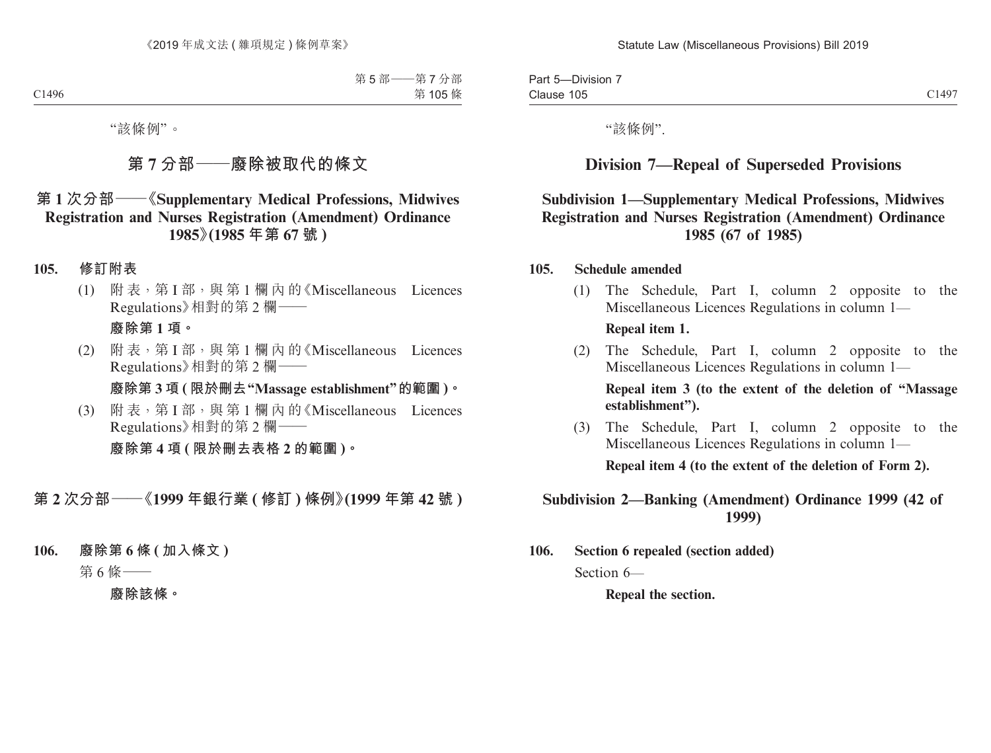Part 5—Division 7 Clause 105 Clause 105 and the control of the control of the control of the control of the control of the control of the c

"該條例".

# **Division 7—Repeal of Superseded Provisions**

# **Subdivision 1—Supplementary Medical Professions, Midwives Registration and Nurses Registration (Amendment) Ordinance 1985 (67 of 1985)**

#### **105. Schedule amended**

(1) The Schedule, Part I, column 2 opposite to the Miscellaneous Licences Regulations in column 1—

#### **Repeal item 1.**

(2) The Schedule, Part I, column 2 opposite to the Miscellaneous Licences Regulations in column 1—

**Repeal item 3 (to the extent of the deletion of "Massage establishment").**

(3) The Schedule, Part I, column 2 opposite to the Miscellaneous Licences Regulations in column 1—

**Repeal item 4 (to the extent of the deletion of Form 2).**

### **Subdivision 2—Banking (Amendment) Ordinance 1999 (42 of 1999)**

**106. Section 6 repealed (section added)**  Section 6—

**Repeal the section.**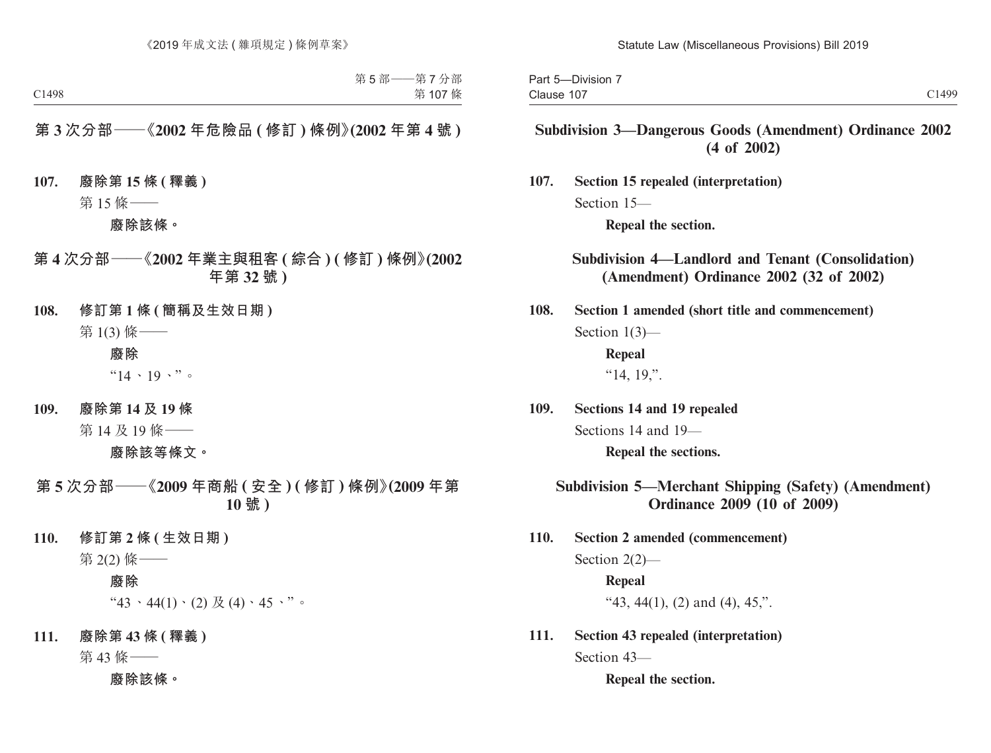| -Division<br>Part 5 |       |
|---------------------|-------|
| Clause 107          | C1499 |

# **Subdivision 3—Dangerous Goods (Amendment) Ordinance 2002 (4 of 2002)**

**107. Section 15 repealed (interpretation)** Section 15—

**Repeal the section.**

**Subdivision 4—Landlord and Tenant (Consolidation) (Amendment) Ordinance 2002 (32 of 2002)**

**108. Section 1 amended (short title and commencement)** Section 1(3)—

> **Repeal**  "14, 19,".

**109. Sections 14 and 19 repealed** Sections 14 and 19— **Repeal the sections.** 

### **Subdivision 5—Merchant Shipping (Safety) (Amendment) Ordinance 2009 (10 of 2009)**

- **110. Section 2 amended (commencement)** Section 2(2)— **Repeal** "43, 44(1), (2) and (4), 45,".
- **111. Section 43 repealed (interpretation)** Section 43—

**Repeal the section.**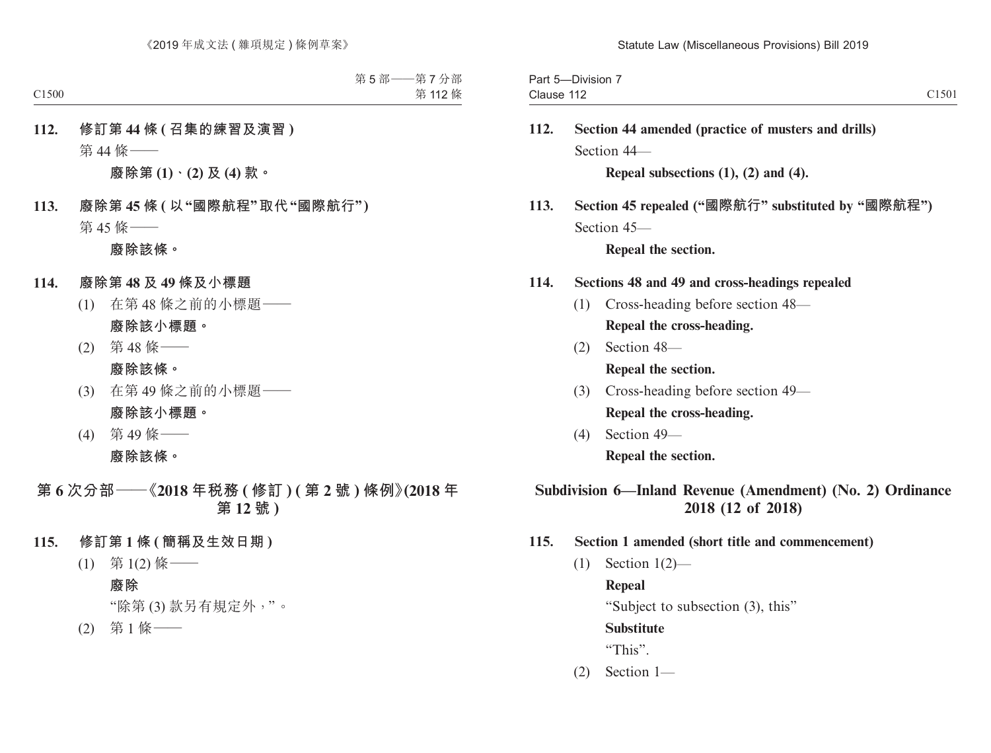| $- \cdot \cdot$<br>$\overline{\phantom{a}}$<br>--<br>Part<br>-Division |       |
|------------------------------------------------------------------------|-------|
| 11 <sup>c</sup><br>Clause<br>11 L                                      | C1501 |

# **112. Section 44 amended (practice of musters and drills)** Section 44—

**Repeal subsections (1), (2) and (4).**

**113. Section 45 repealed ("國際航行" substituted by "國際航程")** Section 45—

**Repeal the section.** 

### **114. Sections 48 and 49 and cross-headings repealed**

- (1) Cross-heading before section 48— **Repeal the cross-heading.**
- (2) Section 48— **Repeal the section.**
- (3) Cross-heading before section 49— **Repeal the cross-heading.**
- (4) Section 49— **Repeal the section.**

# **Subdivision 6—Inland Revenue (Amendment) (No. 2) Ordinance 2018 (12 of 2018)**

### **115. Section 1 amended (short title and commencement)**

(1) Section 1(2)—

**Repeal**

"Subject to subsection (3), this"

**Substitute**

"This".

(2) Section 1—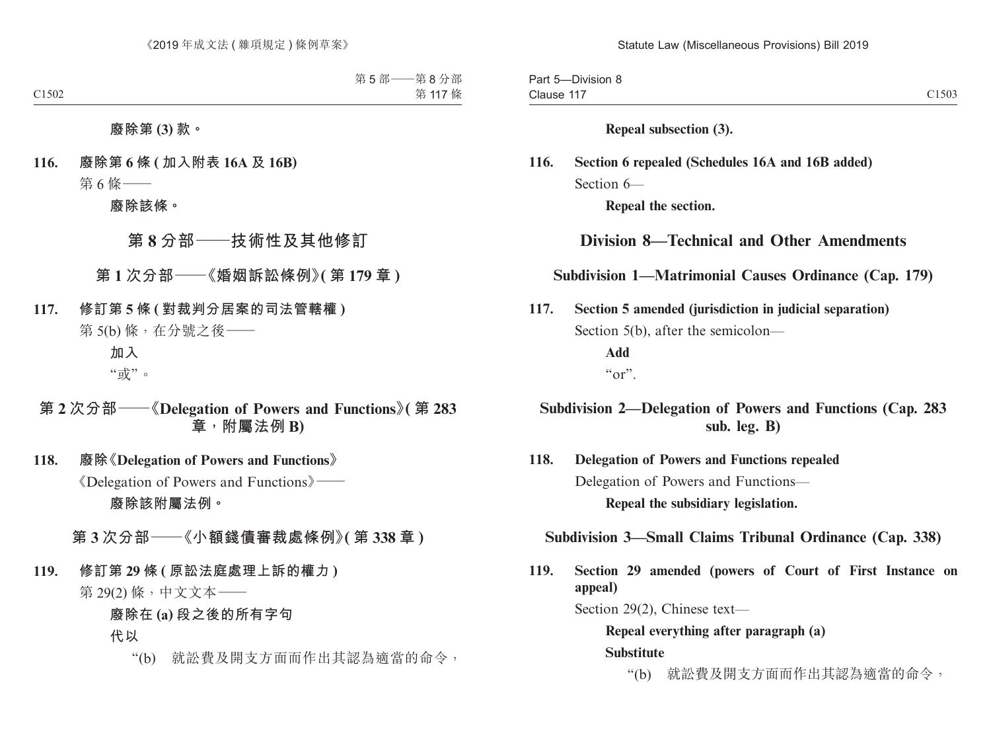Part 5—Division 8 Clause 117 Clause 117 Clause 117

**Repeal subsection (3).**

# **116. Section 6 repealed (Schedules 16A and 16B added)** Section 6—

**Repeal the section.**

# **Division 8—Technical and Other Amendments**

### **Subdivision 1—Matrimonial Causes Ordinance (Cap. 179)**

**117. Section 5 amended (jurisdiction in judicial separation)** Section 5(b), after the semicolon— **Add**  $\mathbf{u}_{\alpha r}$ 

# **Subdivision 2—Delegation of Powers and Functions (Cap. 283 sub. leg. B)**

**118. Delegation of Powers and Functions repealed** Delegation of Powers and Functions— **Repeal the subsidiary legislation.**

**Subdivision 3—Small Claims Tribunal Ordinance (Cap. 338)**

**119. Section 29 amended (powers of Court of First Instance on appeal)**

Section 29(2), Chinese text—

**Repeal everything after paragraph (a) Substitute**

"(b) 就訟費及開支方面而作出其認為適當的命令,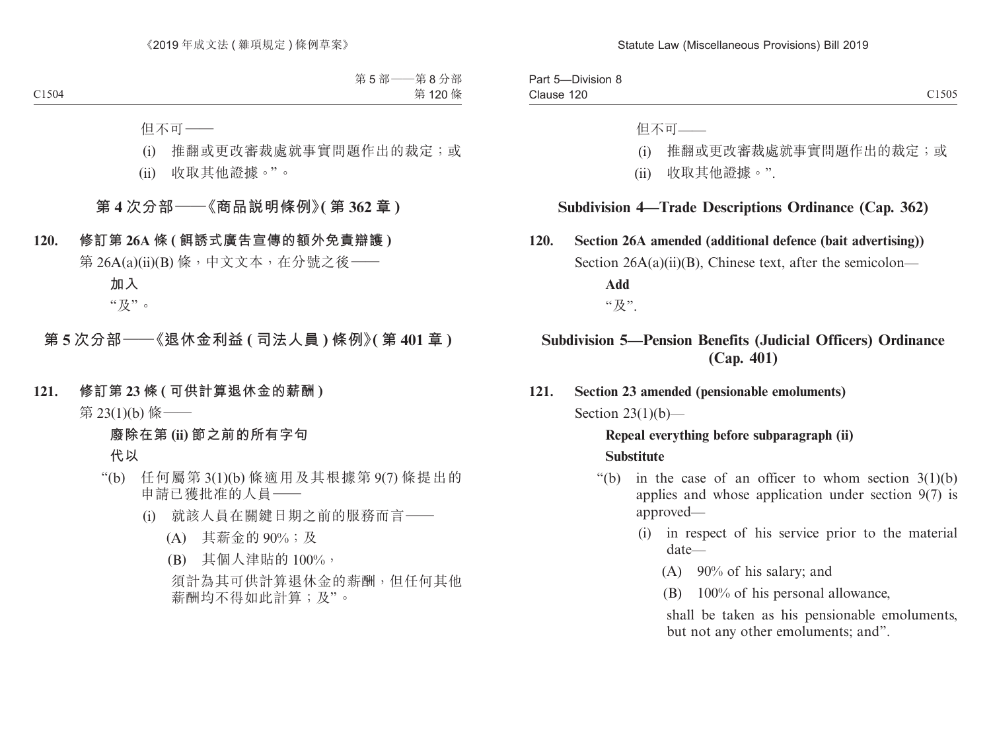Part 5—Division 8 Clause 120 Clause  $120$  Clause  $1505$ 

但不可——

- (i) 推翻或更改審裁處就事實問題作出的裁定;或
- (ii) 收取其他證據。".

### **Subdivision 4—Trade Descriptions Ordinance (Cap. 362)**

**120. Section 26A amended (additional defence (bait advertising))** Section  $26A(a)(ii)(B)$ , Chinese text, after the semicolon— **Add** "及".

# **Subdivision 5—Pension Benefits (Judicial Officers) Ordinance (Cap. 401)**

**121. Section 23 amended (pensionable emoluments)** Section  $23(1)(b)$ —

### **Repeal everything before subparagraph (ii) Substitute**

- "(b) in the case of an officer to whom section  $3(1)(b)$ applies and whose application under section 9(7) is approved—
	- (i) in respect of his service prior to the material date—
		- (A) 90% of his salary; and
		- (B) 100% of his personal allowance,

shall be taken as his pensionable emoluments, but not any other emoluments; and".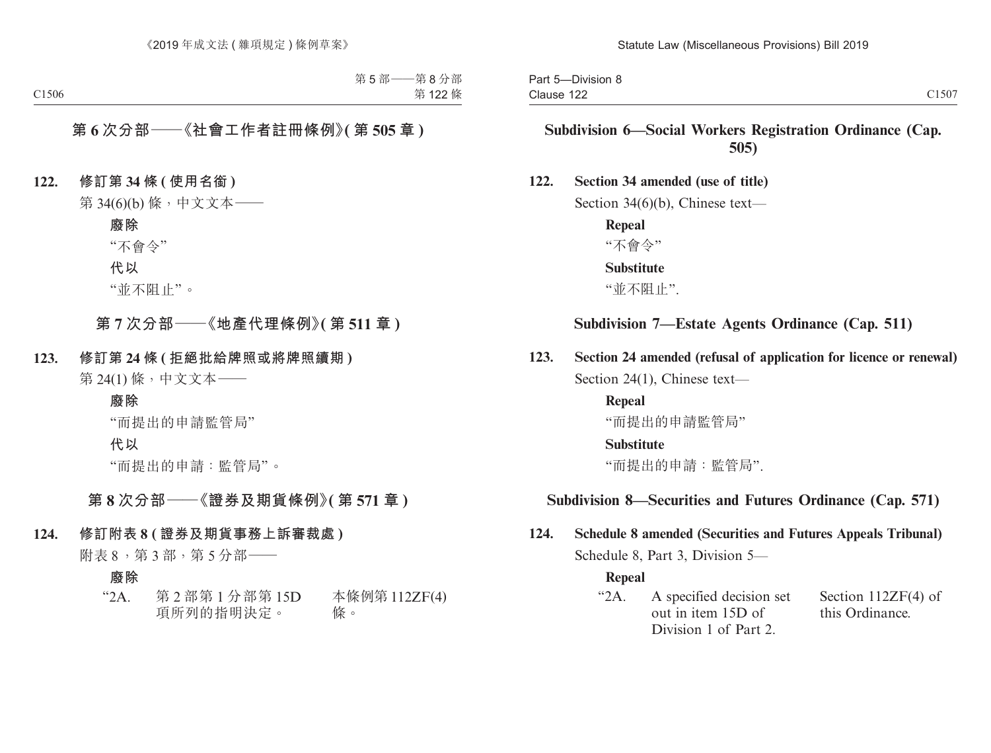# **Subdivision 6—Social Workers Registration Ordinance (Cap. 505)**

#### **122. Section 34 amended (use of title)**

Section 34(6)(b), Chinese text—

**Repeal** "不會令" **Substitute** "並不阻止".

### **Subdivision 7—Estate Agents Ordinance (Cap. 511)**

**123. Section 24 amended (refusal of application for licence or renewal)** Section 24(1), Chinese text—

> **Repeal** "而提出的申請監管局" **Substitute** "而提出的申請:監管局".

### **Subdivision 8—Securities and Futures Ordinance (Cap. 571)**

# **124. Schedule 8 amended (Securities and Futures Appeals Tribunal)** Schedule 8, Part 3, Division 5—

#### **Repeal**

"2A. A specified decision set out in item 15D of Division 1 of Part 2. Section 112ZF(4) of this Ordinance.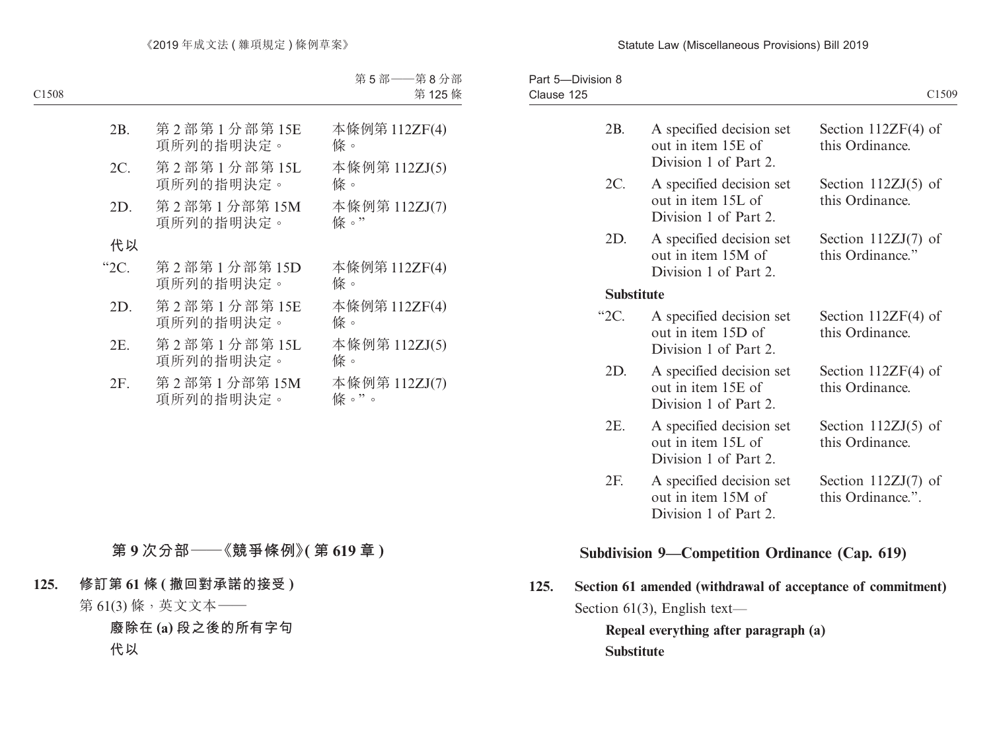#### Statute Law (Miscellaneous Provisions) Bill 2019

| Part 5-Division 8 |                                                                         | C1509                                      |
|-------------------|-------------------------------------------------------------------------|--------------------------------------------|
| 2B.               | A specified decision set<br>out in item 15E of<br>Division 1 of Part 2. | Section $112ZF(4)$ of<br>this Ordinance.   |
| 2C.               | A specified decision set<br>out in item 15L of<br>Division 1 of Part 2. | Section $112ZJ(5)$ of<br>this Ordinance.   |
| 2D.               | A specified decision set<br>out in item 15M of<br>Division 1 of Part 2. | Section $112ZJ(7)$ of<br>this Ordinance."  |
| <b>Substitute</b> |                                                                         |                                            |
| " $2C$ .          | A specified decision set<br>out in item 15D of<br>Division 1 of Part 2. | Section $112ZF(4)$ of<br>this Ordinance.   |
| 2D.               | A specified decision set<br>out in item 15E of<br>Division 1 of Part 2. | Section $112ZF(4)$ of<br>this Ordinance.   |
| 2E.               | A specified decision set<br>out in item 15L of<br>Division 1 of Part 2. | Section $112ZJ(5)$ of<br>this Ordinance.   |
| 2F.               | A specified decision set<br>out in item 15M of<br>Division 1 of Part 2. | Section $112ZJ(7)$ of<br>this Ordinance.". |
|                   |                                                                         |                                            |

# **Subdivision 9—Competition Ordinance (Cap. 619)**

**125. Section 61 amended (withdrawal of acceptance of commitment)** Section 61(3), English text—

**Repeal everything after paragraph (a) Substitute**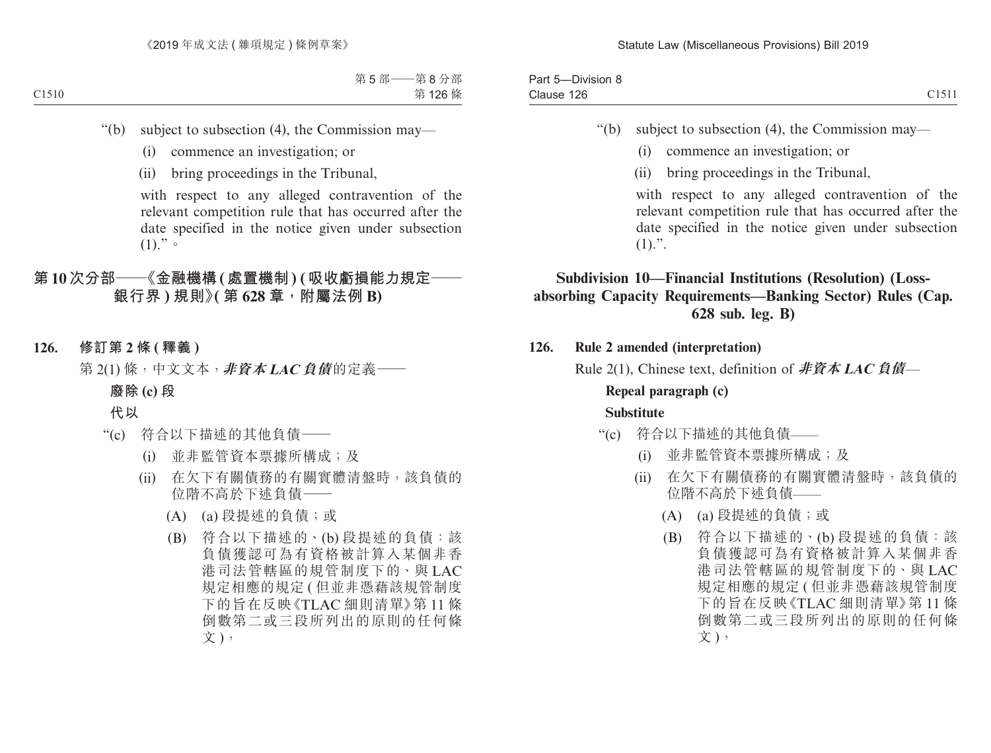| Part 5<br>-Division 8 |                             |
|-----------------------|-----------------------------|
| Clause 126            | $-1 - 11$<br>$\sim$ 1 J I I |

- "(b) subject to subsection (4), the Commission may—
	- (i) commence an investigation; or
	- (ii) bring proceedings in the Tribunal,

with respect to any alleged contravention of the relevant competition rule that has occurred after the date specified in the notice given under subsection  $(1).$ ".

# **Subdivision 10—Financial Institutions (Resolution) (Lossabsorbing Capacity Requirements—Banking Sector) Rules (Cap. 628 sub. leg. B)**

**126. Rule 2 amended (interpretation)**

Rule 2(1), Chinese text, definition of **非資本 LAC 負債**—

# **Repeal paragraph (c)**

- "(c) 符合以下描述的其他負債——
	- (i) 並非監管資本票據所構成;及
	- (ii) 在欠下有關債務的有關實體清盤時,該負債的 位階不高於下述負債——
		- (A) (a) 段提述的負債;或
		- (B) 符合以下描述的、(b) 段提述的負債:該 負債獲認可為有資格被計算入某個非香 港司法管轄區的規管制度下的、與 LAC 規定相應的規定 ( 但並非憑藉該規管制度 下的旨在反映《TLAC 細則清單》第 11 條 倒數第二或三段所列出的原則的任何條 文),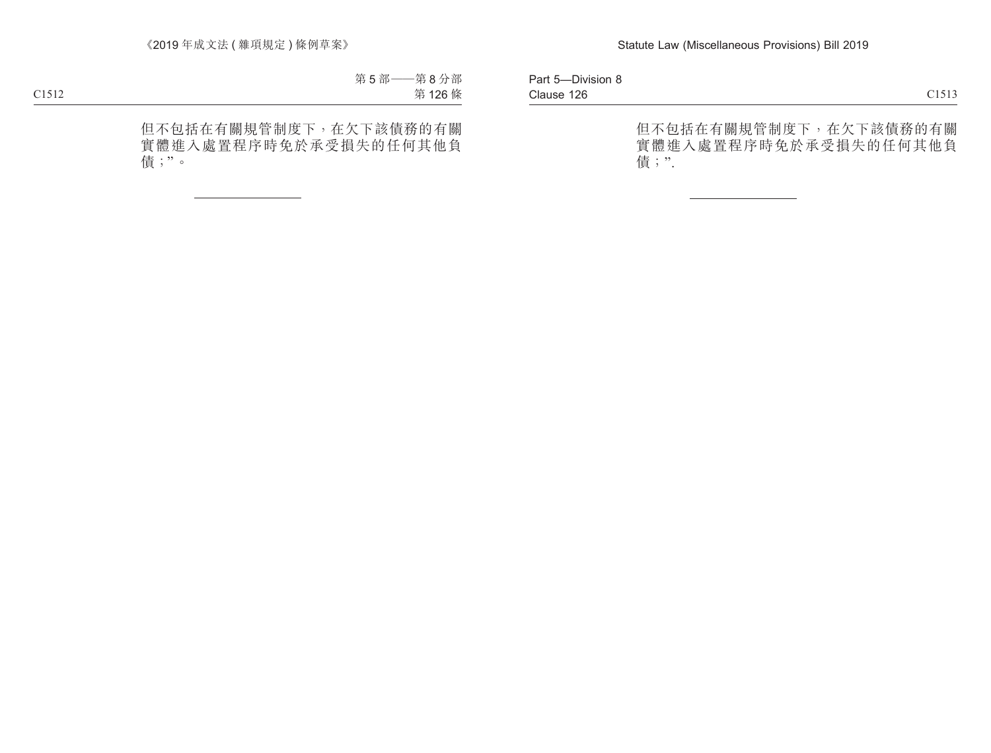Part 5—Division 8 Clause 126 Clause 126 and the contract of the contract of the contract of the contract of the contract of the contract of the contract of the contract of the contract of the contract of the contract of the contract of the contract of

但不包括在有關規管制度下,在欠下該債務的有關 實體進入處置程序時免於承受損失的任何其他負 債;".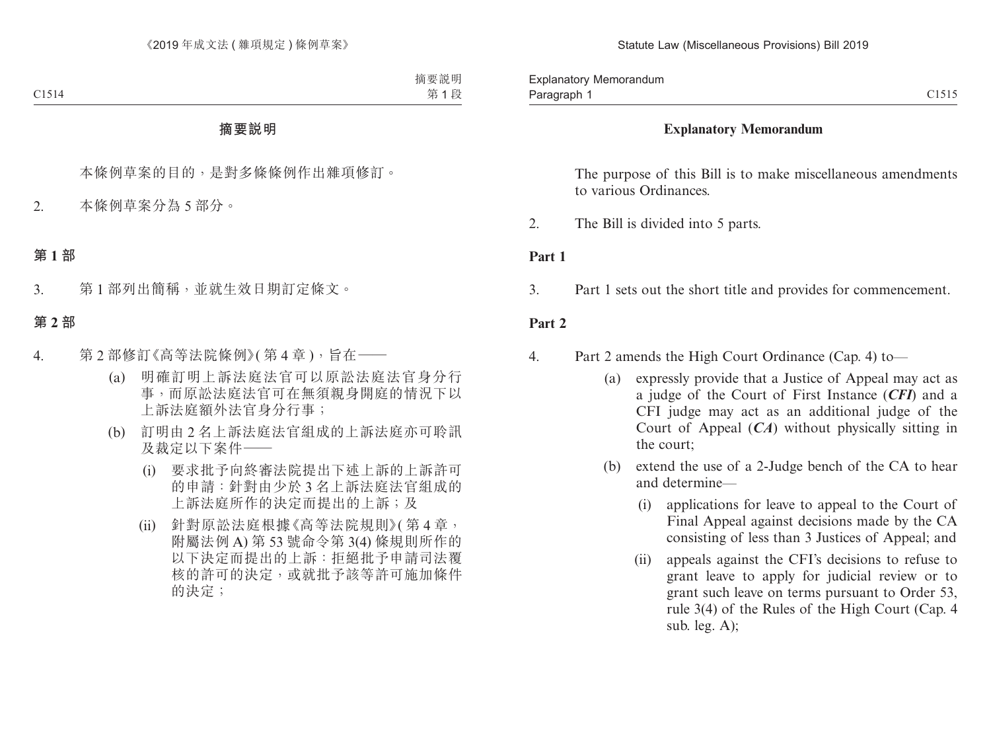### **Explanatory Memorandum**

The purpose of this Bill is to make miscellaneous amendments to various Ordinances.

2. The Bill is divided into 5 parts.

### **Part 1**

3. Part 1 sets out the short title and provides for commencement.

### **Part 2**

- 4. Part 2 amends the High Court Ordinance (Cap. 4) to—
	- (a) expressly provide that a Justice of Appeal may act as a judge of the Court of First Instance (*CFI*) and a CFI judge may act as an additional judge of the Court of Appeal (*CA*) without physically sitting in the court;
	- (b) extend the use of a 2-Judge bench of the CA to hear and determine—
		- (i) applications for leave to appeal to the Court of Final Appeal against decisions made by the CA consisting of less than 3 Justices of Appeal; and
		- (ii) appeals against the CFI's decisions to refuse to grant leave to apply for judicial review or to grant such leave on terms pursuant to Order 53, rule 3(4) of the Rules of the High Court (Cap. 4 sub. leg. A);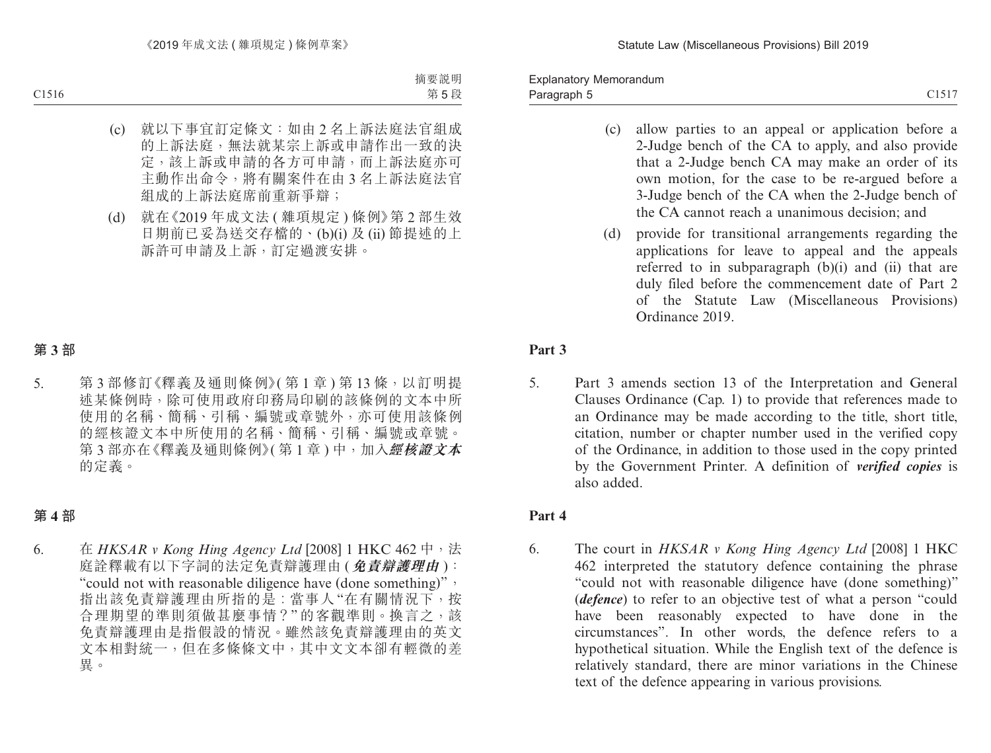Paragraph 5 and 2015 C1517 Explanatory Memorandum Paragraph 5

- (c) allow parties to an appeal or application before a 2-Judge bench of the CA to apply, and also provide that a 2-Judge bench CA may make an order of its own motion, for the case to be re-argued before a 3-Judge bench of the CA when the 2-Judge bench of the CA cannot reach a unanimous decision; and
- (d) provide for transitional arrangements regarding the applications for leave to appeal and the appeals referred to in subparagraph (b)(i) and (ii) that are duly filed before the commencement date of Part 2 of the Statute Law (Miscellaneous Provisions) Ordinance 2019.

### **Part 3**

5. Part 3 amends section 13 of the Interpretation and General Clauses Ordinance (Cap. 1) to provide that references made to an Ordinance may be made according to the title, short title, citation, number or chapter number used in the verified copy of the Ordinance, in addition to those used in the copy printed by the Government Printer. A definition of *verified copies* is also added.

### **Part 4**

6. The court in *HKSAR v Kong Hing Agency Ltd* [2008] 1 HKC 462 interpreted the statutory defence containing the phrase "could not with reasonable diligence have (done something)" (*defence*) to refer to an objective test of what a person "could have been reasonably expected to have done in the circumstances". In other words, the defence refers to a hypothetical situation. While the English text of the defence is relatively standard, there are minor variations in the Chinese text of the defence appearing in various provisions.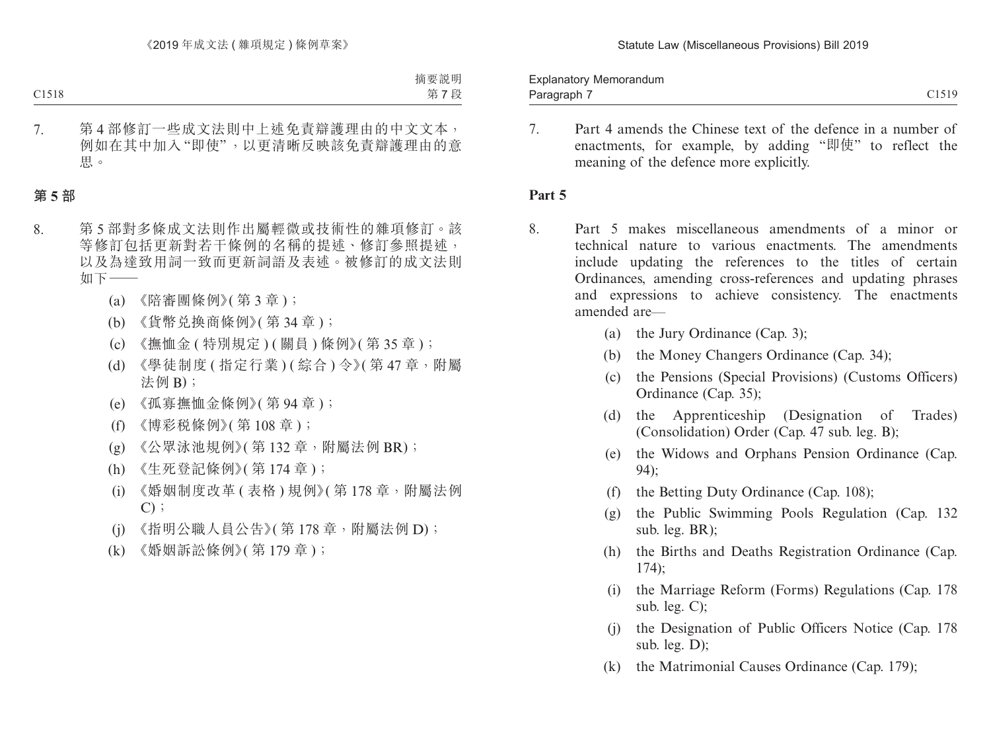Paragraph 7 and 2015 C1519 Explanatory Memorandum Paragraph 7

- 
- 7. Part 4 amends the Chinese text of the defence in a number of enactments, for example, by adding "即使" to reflect the meaning of the defence more explicitly.

### **Part 5**

- 8. Part 5 makes miscellaneous amendments of a minor or technical nature to various enactments. The amendments include updating the references to the titles of certain Ordinances, amending cross-references and updating phrases and expressions to achieve consistency. The enactments amended are—
	- (a) the Jury Ordinance (Cap. 3);
	- (b) the Money Changers Ordinance (Cap. 34);
	- (c) the Pensions (Special Provisions) (Customs Officers) Ordinance (Cap. 35);
	- (d) the Apprenticeship (Designation of Trades) (Consolidation) Order (Cap. 47 sub. leg. B);
	- (e) the Widows and Orphans Pension Ordinance (Cap. 94);
	- (f) the Betting Duty Ordinance (Cap. 108);
	- (g) the Public Swimming Pools Regulation (Cap. 132 sub. leg. BR);
	- (h) the Births and Deaths Registration Ordinance (Cap. 174);
	- (i) the Marriage Reform (Forms) Regulations (Cap. 178 sub. leg. C);
	- (j) the Designation of Public Officers Notice (Cap. 178 sub. leg. D);
	- (k) the Matrimonial Causes Ordinance (Cap. 179);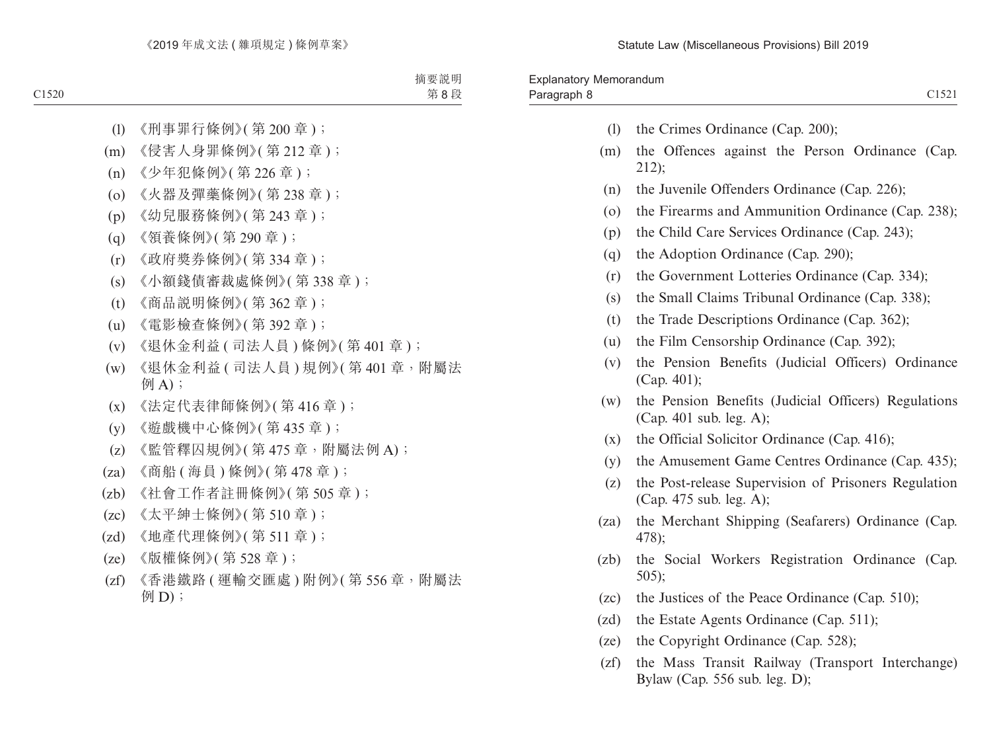- (l) the Crimes Ordinance (Cap. 200);
- (m) the Offences against the Person Ordinance (Cap. 212);
- (n) the Juvenile Offenders Ordinance (Cap. 226);
- (o) the Firearms and Ammunition Ordinance (Cap. 238);
- (p) the Child Care Services Ordinance (Cap. 243);
- (q) the Adoption Ordinance (Cap. 290);
- (r) the Government Lotteries Ordinance (Cap. 334);
- (s) the Small Claims Tribunal Ordinance (Cap. 338);
- (t) the Trade Descriptions Ordinance (Cap. 362);
- (u) the Film Censorship Ordinance (Cap. 392);
- (v) the Pension Benefits (Judicial Officers) Ordinance (Cap. 401);
- (w) the Pension Benefits (Judicial Officers) Regulations (Cap. 401 sub. leg. A);
- (x) the Official Solicitor Ordinance (Cap. 416);
- (y) the Amusement Game Centres Ordinance (Cap. 435);
- (z) the Post-release Supervision of Prisoners Regulation (Cap. 475 sub. leg. A);
- (za) the Merchant Shipping (Seafarers) Ordinance (Cap. 478);
- (zb) the Social Workers Registration Ordinance (Cap. 505);
- (zc) the Justices of the Peace Ordinance (Cap. 510);
- (zd) the Estate Agents Ordinance (Cap. 511);
- (ze) the Copyright Ordinance (Cap. 528);
- (zf) the Mass Transit Railway (Transport Interchange) Bylaw (Cap. 556 sub. leg. D);